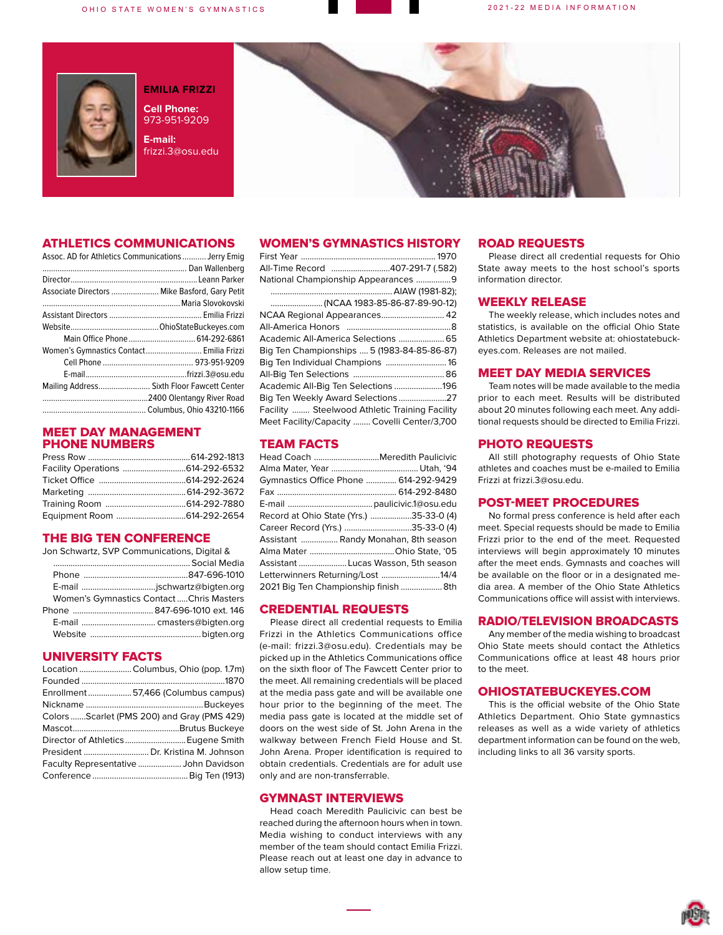

**EMILIA FRIZZI**

**Cell Phone:** 973-951-9209 **E-mail:** frizzi.3@osu.edu



#### ATHLETICS COMMUNICATIONS

| Assoc. AD for Athletics Communications Jerry Emig |                                |
|---------------------------------------------------|--------------------------------|
|                                                   |                                |
|                                                   |                                |
| Associate Directors  Mike Basford, Gary Petit     |                                |
|                                                   |                                |
|                                                   |                                |
|                                                   |                                |
|                                                   | Main Office Phone 614-292-6861 |
| Women's Gymnastics Contact Emilia Frizzi          |                                |
|                                                   |                                |
|                                                   |                                |
| Mailing Address Sixth Floor Fawcett Center        |                                |
|                                                   |                                |
|                                                   |                                |

#### MEET DAY MANAGEMENT PHONE NUMBERS

#### THE BIG TEN CONFERENCE

Jon Schwartz, SVP Communications, Digital &

| Women's Gymnastics ContactChris Masters |
|-----------------------------------------|
|                                         |
|                                         |
|                                         |

#### UNIVERSITY FACTS

| Enrollment57,466 (Columbus campus)          |
|---------------------------------------------|
|                                             |
| Colors Scarlet (PMS 200) and Gray (PMS 429) |
|                                             |
| Director of Athletics Eugene Smith          |
|                                             |
| Faculty Representative  John Davidson       |
|                                             |
|                                             |

#### WOMEN'S GYMNASTICS HISTORY

| All-Time Record 407-291-7 (.582)               |  |
|------------------------------------------------|--|
| National Championship Appearances 9            |  |
|                                                |  |
|                                                |  |
| NCAA Regional Appearances 42                   |  |
|                                                |  |
| Academic All-America Selections  65            |  |
| Big Ten Championships  5 (1983-84-85-86-87)    |  |
| Big Ten Individual Champions  16               |  |
|                                                |  |
| Academic All-Big Ten Selections 196            |  |
| Big Ten Weekly Award Selections27              |  |
| Facility  Steelwood Athletic Training Facility |  |
| Meet Facility/Capacity  Covelli Center/3,700   |  |
|                                                |  |

#### TEAM FACTS

| Head Coach Meredith Paulicivic          |  |
|-----------------------------------------|--|
|                                         |  |
| Gymnastics Office Phone  614-292-9429   |  |
|                                         |  |
|                                         |  |
| Record at Ohio State (Yrs.) 35-33-0 (4) |  |
| Career Record (Yrs.) 35-33-0 (4)        |  |
| Assistant  Randy Monahan, 8th season    |  |
|                                         |  |
| Assistant Lucas Wasson, 5th season      |  |
| Letterwinners Returning/Lost 14/4       |  |
| 2021 Big Ten Championship finish  8th   |  |

#### CREDENTIAL REQUESTS

Please direct all credential requests to Emilia Frizzi in the Athletics Communications office (e-mail: frizzi.3@osu.edu). Credentials may be picked up in the Athletics Communications office on the sixth floor of The Fawcett Center prior to the meet. All remaining credentials will be placed at the media pass gate and will be available one hour prior to the beginning of the meet. The media pass gate is located at the middle set of doors on the west side of St. John Arena in the walkway between French Field House and St. John Arena. Proper identification is required to obtain credentials. Credentials are for adult use only and are non-transferrable.

#### GYMNAST INTERVIEWS

Head coach Meredith Paulicivic can best be reached during the afternoon hours when in town. Media wishing to conduct interviews with any member of the team should contact Emilia Frizzi. Please reach out at least one day in advance to allow setup time.

#### ROAD REQUESTS

Please direct all credential requests for Ohio State away meets to the host school's sports information director.

#### WEEKLY RELEASE

The weekly release, which includes notes and statistics, is available on the official Ohio State Athletics Department website at: ohiostatebuckeyes.com. Releases are not mailed.

#### MEET DAY MEDIA SERVICES

Team notes will be made available to the media prior to each meet. Results will be distributed about 20 minutes following each meet. Any additional requests should be directed to Emilia Frizzi.

#### PHOTO REQUESTS

All still photography requests of Ohio State athletes and coaches must be e-mailed to Emilia Frizzi at frizzi.3@osu.edu.

#### POST-MEET PROCEDURES

No formal press conference is held after each meet. Special requests should be made to Emilia Frizzi prior to the end of the meet. Requested interviews will begin approximately 10 minutes after the meet ends. Gymnasts and coaches will be available on the floor or in a designated media area. A member of the Ohio State Athletics Communications office will assist with interviews.

#### RADIO/TELEVISION BROADCASTS

Any member of the media wishing to broadcast Ohio State meets should contact the Athletics Communications office at least 48 hours prior to the meet.

#### OHIOSTATEBUCKEYES.COM

This is the official website of the Ohio State Athletics Department. Ohio State gymnastics releases as well as a wide variety of athletics department information can be found on the web, including links to all 36 varsity sports.

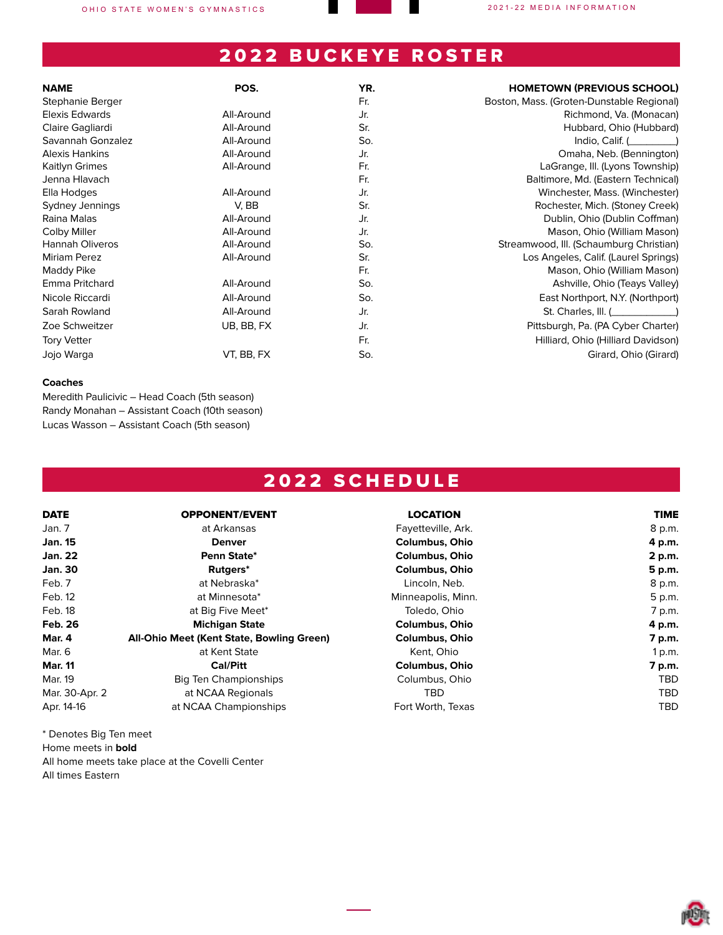## 2022 BUCKEYE ROSTER

| <b>NAME</b>            | POS.       | YR. | <b>HOMETOWN (PREVIOUS SCHOOL)</b>         |
|------------------------|------------|-----|-------------------------------------------|
| Stephanie Berger       |            | Fr. | Boston, Mass. (Groten-Dunstable Regional) |
| <b>Elexis Edwards</b>  | All-Around | Jr. | Richmond, Va. (Monacan)                   |
| Claire Gagliardi       | All-Around | Sr. | Hubbard, Ohio (Hubbard)                   |
| Savannah Gonzalez      | All-Around | So. | Indio, Calif. ()                          |
| <b>Alexis Hankins</b>  | All-Around | Jr. | Omaha, Neb. (Bennington)                  |
| <b>Kaitlyn Grimes</b>  | All-Around | Fr. | LaGrange, III. (Lyons Township)           |
| Jenna Hlavach          |            | Fr. | Baltimore, Md. (Eastern Technical)        |
| Ella Hodges            | All-Around | Jr. | Winchester, Mass. (Winchester)            |
| Sydney Jennings        | V, BB      | Sr. | Rochester, Mich. (Stoney Creek)           |
| Raina Malas            | All-Around | Jr. | Dublin, Ohio (Dublin Coffman)             |
| Colby Miller           | All-Around | Jr. | Mason, Ohio (William Mason)               |
| <b>Hannah Oliveros</b> | All-Around | So. | Streamwood, III. (Schaumburg Christian)   |
| <b>Miriam Perez</b>    | All-Around | Sr. | Los Angeles, Calif. (Laurel Springs)      |
| Maddy Pike             |            | Fr. | Mason, Ohio (William Mason)               |
| Emma Pritchard         | All-Around | So. | Ashville, Ohio (Teays Valley)             |
| Nicole Riccardi        | All-Around | So. | East Northport, N.Y. (Northport)          |
| Sarah Rowland          | All-Around | Jr. | St. Charles, III. $($                     |
| Zoe Schweitzer         | UB, BB, FX | Jr. | Pittsburgh, Pa. (PA Cyber Charter)        |
| <b>Tory Vetter</b>     |            | Fr. | Hilliard, Ohio (Hilliard Davidson)        |
| Jojo Warga             | VT, BB, FX | So. | Girard, Ohio (Girard)                     |

#### **Coaches**

Meredith Paulicivic – Head Coach (5th season) Randy Monahan – Assistant Coach (10th season) Lucas Wasson – Assistant Coach (5th season)

## 2022 SCHEDULE

| <b>DATE</b>    | <b>OPPONENT/EVENT</b>                     | <b>LOCATION</b>       | <b>TIME</b> |
|----------------|-------------------------------------------|-----------------------|-------------|
| Jan. 7         | at Arkansas                               | Fayetteville, Ark.    | 8 p.m.      |
| <b>Jan. 15</b> | <b>Denver</b>                             | <b>Columbus, Ohio</b> | 4 p.m.      |
| <b>Jan. 22</b> | Penn State*                               | <b>Columbus, Ohio</b> | 2 p.m.      |
| <b>Jan. 30</b> | Rutgers*                                  | Columbus, Ohio        | 5 p.m.      |
| Feb. 7         | at Nebraska*                              | Lincoln, Neb.         | 8 p.m.      |
| Feb. 12        | at Minnesota*                             | Minneapolis, Minn.    | 5 p.m.      |
| Feb. 18        | at Big Five Meet*                         | Toledo, Ohio          | 7 p.m.      |
| <b>Feb. 26</b> | <b>Michigan State</b>                     | <b>Columbus, Ohio</b> | 4 p.m.      |
| <b>Mar. 4</b>  | All-Ohio Meet (Kent State, Bowling Green) | <b>Columbus, Ohio</b> | 7 p.m.      |
| Mar. 6         | at Kent State                             | Kent, Ohio            | 1 p.m.      |
| <b>Mar. 11</b> | <b>Cal/Pitt</b>                           | <b>Columbus, Ohio</b> | 7 p.m.      |
| Mar. 19        | <b>Big Ten Championships</b>              | Columbus, Ohio        | <b>TBD</b>  |
| Mar. 30-Apr. 2 | at NCAA Regionals                         | <b>TBD</b>            | <b>TBD</b>  |
| Apr. 14-16     | at NCAA Championships                     | Fort Worth, Texas     | <b>TBD</b>  |

\* Denotes Big Ten meet

Home meets in **bold**

All home meets take place at the Covelli Center All times Eastern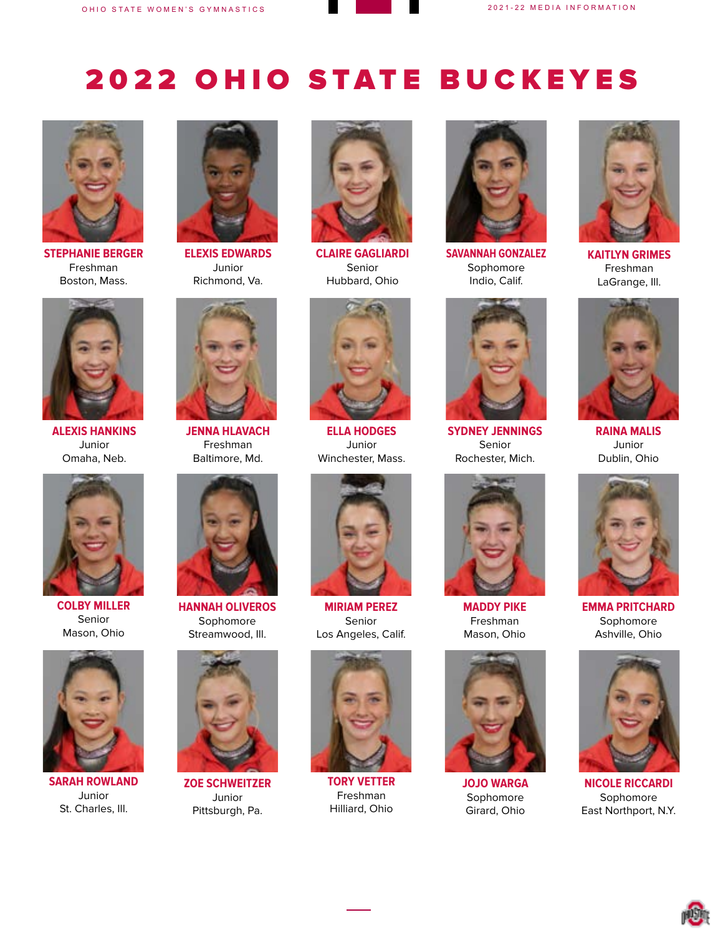# 2022 OHIO STATE BUCKEYES



**STEPHANIE BERGER** Freshman Boston, Mass.



**ELEXIS EDWARDS** Junior Richmond, Va.



**CLAIRE GAGLIARDI** Senior Hubbard, Ohio



**SAVANNAH GONZALEZ** Sophomore Indio, Calif.



**KAITLYN GRIMES** Freshman LaGrange, Ill.



**ALEXIS HANKINS** Junior Omaha, Neb.



**COLBY MILLER** Senior Mason, Ohio



**SARAH ROWLAND** Junior St. Charles, Ill.



**JENNA HLAVACH** Freshman Baltimore, Md.



**HANNAH OLIVEROS** Sophomore Streamwood, Ill.



**ZOE SCHWEITZER** Junior Pittsburgh, Pa.



**ELLA HODGES** Junior Winchester, Mass.



**MIRIAM PEREZ** Senior Los Angeles, Calif.



**TORY VETTER** Freshman Hilliard, Ohio



**SYDNEY JENNINGS** Senior Rochester, Mich.



**MADDY PIKE** Freshman Mason, Ohio



**JOJO WARGA** Sophomore Girard, Ohio



**RAINA MALIS** Junior Dublin, Ohio



**EMMA PRITCHARD** Sophomore Ashville, Ohio



**NICOLE RICCARDI** Sophomore East Northport, N.Y.

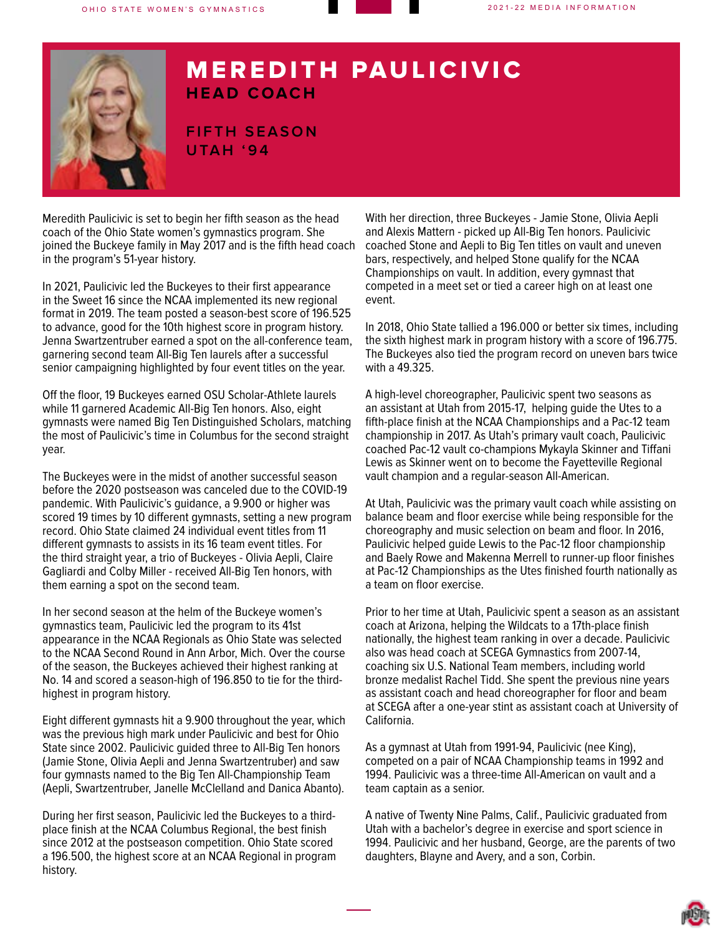

## MEREDITH PAULICIVIC **HEAD COACH**

**FIFTH SEASON UTAH '94**

Meredith Paulicivic is set to begin her fifth season as the head coach of the Ohio State women's gymnastics program. She joined the Buckeye family in May 2017 and is the fifth head coach in the program's 51-year history.

In 2021, Paulicivic led the Buckeyes to their first appearance in the Sweet 16 since the NCAA implemented its new regional format in 2019. The team posted a season-best score of 196.525 to advance, good for the 10th highest score in program history. Jenna Swartzentruber earned a spot on the all-conference team, garnering second team All-Big Ten laurels after a successful senior campaigning highlighted by four event titles on the year.

Off the floor, 19 Buckeyes earned OSU Scholar-Athlete laurels while 11 garnered Academic All-Big Ten honors. Also, eight gymnasts were named Big Ten Distinguished Scholars, matching the most of Paulicivic's time in Columbus for the second straight year.

The Buckeyes were in the midst of another successful season before the 2020 postseason was canceled due to the COVID-19 pandemic. With Paulicivic's guidance, a 9.900 or higher was scored 19 times by 10 different gymnasts, setting a new program record. Ohio State claimed 24 individual event titles from 11 different gymnasts to assists in its 16 team event titles. For the third straight year, a trio of Buckeyes - Olivia Aepli, Claire Gagliardi and Colby Miller - received All-Big Ten honors, with them earning a spot on the second team.

In her second season at the helm of the Buckeye women's gymnastics team, Paulicivic led the program to its 41st appearance in the NCAA Regionals as Ohio State was selected to the NCAA Second Round in Ann Arbor, Mich. Over the course of the season, the Buckeyes achieved their highest ranking at No. 14 and scored a season-high of 196.850 to tie for the thirdhighest in program history.

Eight different gymnasts hit a 9.900 throughout the year, which was the previous high mark under Paulicivic and best for Ohio State since 2002. Paulicivic guided three to All-Big Ten honors (Jamie Stone, Olivia Aepli and Jenna Swartzentruber) and saw four gymnasts named to the Big Ten All-Championship Team (Aepli, Swartzentruber, Janelle McClelland and Danica Abanto).

During her first season, Paulicivic led the Buckeyes to a thirdplace finish at the NCAA Columbus Regional, the best finish since 2012 at the postseason competition. Ohio State scored a 196.500, the highest score at an NCAA Regional in program history.

With her direction, three Buckeyes - Jamie Stone, Olivia Aepli and Alexis Mattern - picked up All-Big Ten honors. Paulicivic coached Stone and Aepli to Big Ten titles on vault and uneven bars, respectively, and helped Stone qualify for the NCAA Championships on vault. In addition, every gymnast that competed in a meet set or tied a career high on at least one event.

In 2018, Ohio State tallied a 196.000 or better six times, including the sixth highest mark in program history with a score of 196.775. The Buckeyes also tied the program record on uneven bars twice with a 49.325.

A high-level choreographer, Paulicivic spent two seasons as an assistant at Utah from 2015-17, helping guide the Utes to a fifth-place finish at the NCAA Championships and a Pac-12 team championship in 2017. As Utah's primary vault coach, Paulicivic coached Pac-12 vault co-champions Mykayla Skinner and Tiffani Lewis as Skinner went on to become the Fayetteville Regional vault champion and a regular-season All-American.

At Utah, Paulicivic was the primary vault coach while assisting on balance beam and floor exercise while being responsible for the choreography and music selection on beam and floor. In 2016, Paulicivic helped guide Lewis to the Pac-12 floor championship and Baely Rowe and Makenna Merrell to runner-up floor finishes at Pac-12 Championships as the Utes finished fourth nationally as a team on floor exercise.

Prior to her time at Utah, Paulicivic spent a season as an assistant coach at Arizona, helping the Wildcats to a 17th-place finish nationally, the highest team ranking in over a decade. Paulicivic also was head coach at SCEGA Gymnastics from 2007-14, coaching six U.S. National Team members, including world bronze medalist Rachel Tidd. She spent the previous nine years as assistant coach and head choreographer for floor and beam at SCEGA after a one-year stint as assistant coach at University of California.

As a gymnast at Utah from 1991-94, Paulicivic (nee King), competed on a pair of NCAA Championship teams in 1992 and 1994. Paulicivic was a three-time All-American on vault and a team captain as a senior.

A native of Twenty Nine Palms, Calif., Paulicivic graduated from Utah with a bachelor's degree in exercise and sport science in 1994. Paulicivic and her husband, George, are the parents of two daughters, Blayne and Avery, and a son, Corbin.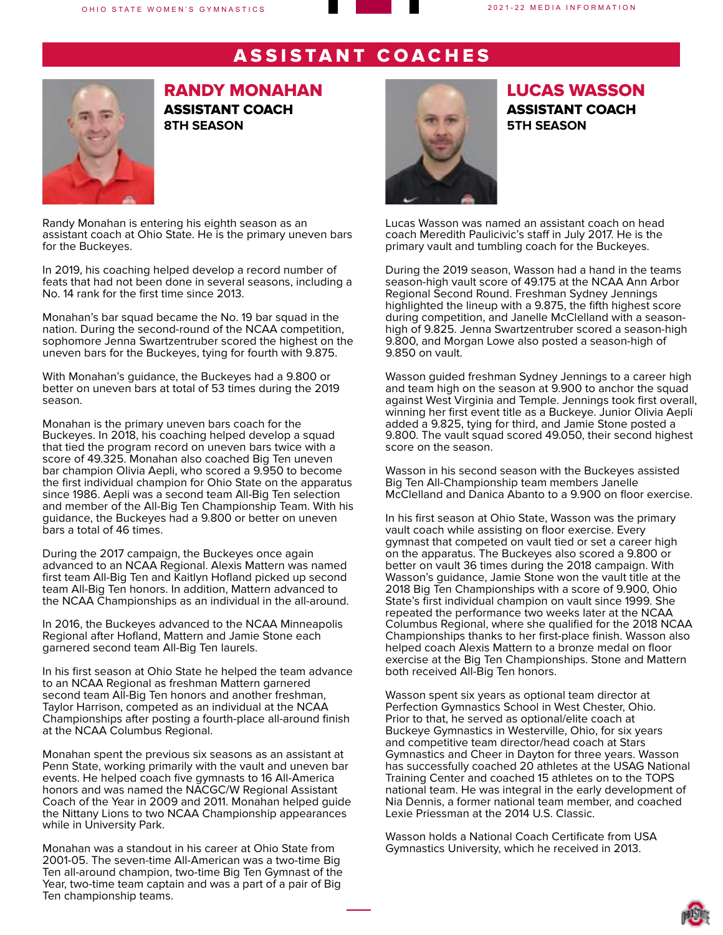## ASSISTANT COACHES



RANDY MONAHAN ASSISTANT COACH **8TH SEASON**

Randy Monahan is entering his eighth season as an assistant coach at Ohio State. He is the primary uneven bars for the Buckeyes.

In 2019, his coaching helped develop a record number of feats that had not been done in several seasons, including a No. 14 rank for the first time since 2013.

Monahan's bar squad became the No. 19 bar squad in the nation. During the second-round of the NCAA competition, sophomore Jenna Swartzentruber scored the highest on the uneven bars for the Buckeyes, tying for fourth with 9.875.

With Monahan's guidance, the Buckeyes had a 9.800 or better on uneven bars at total of 53 times during the 2019 season.

Monahan is the primary uneven bars coach for the Buckeyes. In 2018, his coaching helped develop a squad that tied the program record on uneven bars twice with a score of 49.325. Monahan also coached Big Ten uneven bar champion Olivia Aepli, who scored a 9.950 to become the first individual champion for Ohio State on the apparatus since 1986. Aepli was a second team All-Big Ten selection and member of the All-Big Ten Championship Team. With his guidance, the Buckeyes had a 9.800 or better on uneven bars a total of 46 times.

During the 2017 campaign, the Buckeyes once again advanced to an NCAA Regional. Alexis Mattern was named first team All-Big Ten and Kaitlyn Hofland picked up second team All-Big Ten honors. In addition, Mattern advanced to the NCAA Championships as an individual in the all-around.

In 2016, the Buckeyes advanced to the NCAA Minneapolis Regional after Hofland, Mattern and Jamie Stone each garnered second team All-Big Ten laurels.

In his first season at Ohio State he helped the team advance to an NCAA Regional as freshman Mattern garnered second team All-Big Ten honors and another freshman, Taylor Harrison, competed as an individual at the NCAA Championships after posting a fourth-place all-around finish at the NCAA Columbus Regional.

Monahan spent the previous six seasons as an assistant at Penn State, working primarily with the vault and uneven bar events. He helped coach five gymnasts to 16 All-America honors and was named the NACGC/W Regional Assistant Coach of the Year in 2009 and 2011. Monahan helped guide the Nittany Lions to two NCAA Championship appearances while in University Park.

Monahan was a standout in his career at Ohio State from 2001-05. The seven-time All-American was a two-time Big Ten all-around champion, two-time Big Ten Gymnast of the Year, two-time team captain and was a part of a pair of Big Ten championship teams.



## LUCAS WASSON ASSISTANT COACH **5TH SEASON**

Lucas Wasson was named an assistant coach on head coach Meredith Paulicivic's staff in July 2017. He is the primary vault and tumbling coach for the Buckeyes.

During the 2019 season, Wasson had a hand in the teams season-high vault score of 49.175 at the NCAA Ann Arbor Regional Second Round. Freshman Sydney Jennings highlighted the lineup with a 9.875, the fifth highest score during competition, and Janelle McClelland with a seasonhigh of 9.825. Jenna Swartzentruber scored a season-high 9.800, and Morgan Lowe also posted a season-high of 9.850 on vault.

Wasson guided freshman Sydney Jennings to a career high and team high on the season at 9.900 to anchor the squad against West Virginia and Temple. Jennings took first overall, winning her first event title as a Buckeye. Junior Olivia Aepli added a 9.825, tying for third, and Jamie Stone posted a 9.800. The vault squad scored 49.050, their second highest score on the season.

Wasson in his second season with the Buckeyes assisted Big Ten All-Championship team members Janelle McClelland and Danica Abanto to a 9.900 on floor exercise.

In his first season at Ohio State, Wasson was the primary vault coach while assisting on floor exercise. Every gymnast that competed on vault tied or set a career high on the apparatus. The Buckeyes also scored a 9.800 or better on vault 36 times during the 2018 campaign. With Wasson's guidance, Jamie Stone won the vault title at the 2018 Big Ten Championships with a score of 9.900, Ohio State's first individual champion on vault since 1999. She repeated the performance two weeks later at the NCAA Columbus Regional, where she qualified for the 2018 NCAA Championships thanks to her first-place finish. Wasson also helped coach Alexis Mattern to a bronze medal on floor exercise at the Big Ten Championships. Stone and Mattern both received All-Big Ten honors.

Wasson spent six years as optional team director at Perfection Gymnastics School in West Chester, Ohio. Prior to that, he served as optional/elite coach at Buckeye Gymnastics in Westerville, Ohio, for six years and competitive team director/head coach at Stars Gymnastics and Cheer in Dayton for three years. Wasson has successfully coached 20 athletes at the USAG National Training Center and coached 15 athletes on to the TOPS national team. He was integral in the early development of Nia Dennis, a former national team member, and coached Lexie Priessman at the 2014 U.S. Classic.

Wasson holds a National Coach Certificate from USA Gymnastics University, which he received in 2013.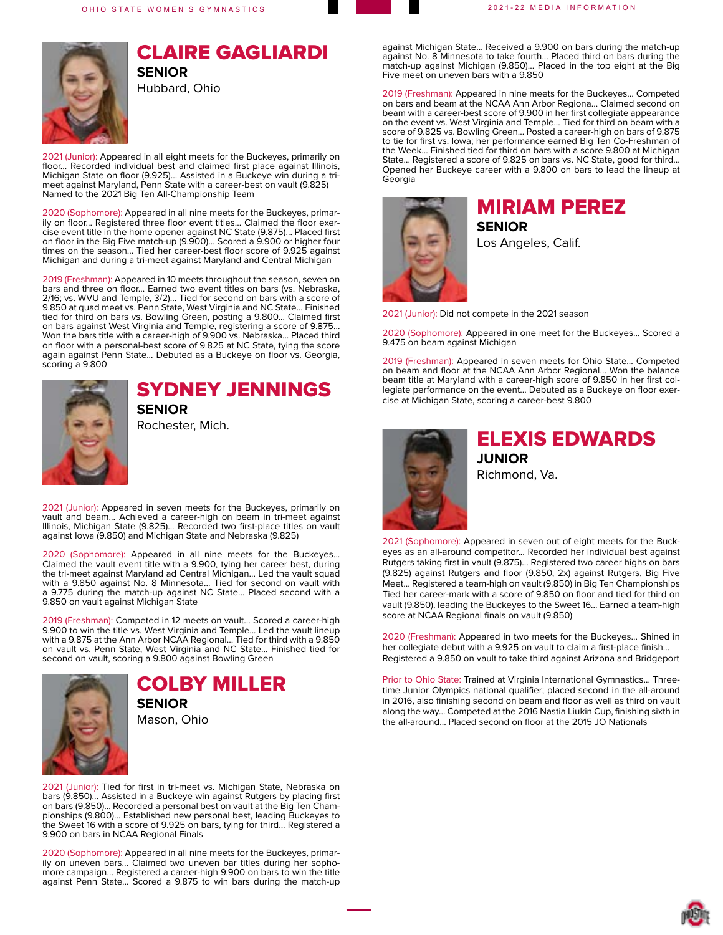OHIO STATE WOMEN'S GYMNASTICS 2021-22 MEDIA INFORMATION



## CLAIRE GAGLIARDI **SENIOR**

Hubbard, Ohio

2021 (Junior): Appeared in all eight meets for the Buckeyes, primarily on floor... Recorded individual best and claimed first place against Illinois, Michigan State on floor (9.925)... Assisted in a Buckeye win during a trimeet against Maryland, Penn State with a career-best on vault (9.825) Named to the 2021 Big Ten All-Championship Team

2020 (Sophomore): Appeared in all nine meets for the Buckeyes, primarily on floor... Registered three floor event titles... Claimed the floor exercise event title in the home opener against NC State (9.875)... Placed first on floor in the Big Five match-up (9.900)... Scored a 9.900 or higher four times on the season... Tied her career-best floor score of 9.925 against Michigan and during a tri-meet against Maryland and Central Michigan

2019 (Freshman): Appeared in 10 meets throughout the season, seven on bars and three on floor... Earned two event titles on bars (vs. Nebraska, 2/16; vs. WVU and Temple, 3/2)... Tied for second on bars with a score of 9.850 at quad meet vs. Penn State, West Virginia and NC State... Finished tied for third on bars vs. Bowling Green, posting a 9.800... Claimed first on bars against West Virginia and Temple, registering a score of 9.875... Won the bars title with a career-high of 9.900 vs. Nebraska... Placed third on floor with a personal-best score of 9.825 at NC State, tying the score again against Penn State... Debuted as a Buckeye on floor vs. Georgia, scoring a 9.800



## SYDNEY JENNINGS **SENIOR**

Rochester, Mich.

2021 (Junior): Appeared in seven meets for the Buckeyes, primarily on vault and beam... Achieved a career-high on beam in tri-meet against Illinois, Michigan State (9.825)... Recorded two first-place titles on vault against Iowa (9.850) and Michigan State and Nebraska (9.825)

2020 (Sophomore): Appeared in all nine meets for the Buckeyes... Claimed the vault event title with a 9.900, tying her career best, during the tri-meet against Maryland ad Central Michigan... Led the vault squad with a 9.850 against No. 8 Minnesota... Tied for second on vault with a 9.775 during the match-up against NC State... Placed second with a 9.850 on vault against Michigan State

2019 (Freshman): Competed in 12 meets on vault... Scored a career-high 9.900 to win the title vs. West Virginia and Temple... Led the vault lineup with a 9.875 at the Ann Arbor NCAA Regional... Tied for third with a 9.850 on vault vs. Penn State, West Virginia and NC State... Finished tied for second on vault, scoring a 9.800 against Bowling Green



## COLBY MILLER **SENIOR**

Mason, Ohio

2021 (Junior): Tied for first in tri-meet vs. Michigan State, Nebraska on bars (9.850)... Assisted in a Buckeye win against Rutgers by placing first on bars (9.850)... Recorded a personal best on vault at the Big Ten Championships (9.800)... Established new personal best, leading Buckeyes to the Sweet 16 with a score of 9.925 on bars, tying for third... Registered a 9.900 on bars in NCAA Regional Finals

2020 (Sophomore): Appeared in all nine meets for the Buckeyes, primarily on uneven bars... Claimed two uneven bar titles during her sophomore campaign... Registered a career-high 9.900 on bars to win the title against Penn State... Scored a 9.875 to win bars during the match-up

against Michigan State... Received a 9.900 on bars during the match-up against No. 8 Minnesota to take fourth... Placed third on bars during the match-up against Michigan (9.850)... Placed in the top eight at the Big Five meet on uneven bars with a 9.850

2019 (Freshman): Appeared in nine meets for the Buckeyes... Competed on bars and beam at the NCAA Ann Arbor Regiona... Claimed second on beam with a career-best score of 9.900 in her first collegiate appearance on the event vs. West Virginia and Temple... Tied for third on beam with a score of 9.825 vs. Bowling Green... Posted a career-high on bars of 9.875 to tie for first vs. Iowa; her performance earned Big Ten Co-Freshman of the Week... Finished tied for third on bars with a score 9.800 at Michigan State... Registered a score of 9.825 on bars vs. NC State, good for third... Opened her Buckeye career with a 9.800 on bars to lead the lineup at **Georgia** 



### MIRIAM PEREZ **SENIOR** Los Angeles, Calif.

2021 (Junior): Did not compete in the 2021 season

2020 (Sophomore): Appeared in one meet for the Buckeyes... Scored a 9.475 on beam against Michigan

2019 (Freshman): Appeared in seven meets for Ohio State... Competed on beam and floor at the NCAA Ann Arbor Regional... Won the balance beam title at Maryland with a career-high score of 9.850 in her first collegiate performance on the event... Debuted as a Buckeye on floor exercise at Michigan State, scoring a career-best 9.800



### ELEXIS EDWARDS **JUNIOR** Richmond, Va.

2021 (Sophomore): Appeared in seven out of eight meets for the Buckeyes as an all-around competitor... Recorded her individual best against Rutgers taking first in vault (9.875)... Registered two career highs on bars (9.825) against Rutgers and floor (9.850, 2x) against Rutgers, Big Five Meet... Registered a team-high on vault (9.850) in Big Ten Championships Tied her career-mark with a score of 9.850 on floor and tied for third on vault (9.850), leading the Buckeyes to the Sweet 16... Earned a team-high score at NCAA Regional finals on vault (9.850)

2020 (Freshman): Appeared in two meets for the Buckeyes... Shined in her collegiate debut with a 9.925 on vault to claim a first-place finish... Registered a 9.850 on vault to take third against Arizona and Bridgeport

Prior to Ohio State: Trained at Virginia International Gymnastics... Threetime Junior Olympics national qualifier; placed second in the all-around in 2016, also finishing second on beam and floor as well as third on vault along the way... Competed at the 2016 Nastia Liukin Cup, finishing sixth in the all-around... Placed second on floor at the 2015 JO Nationals

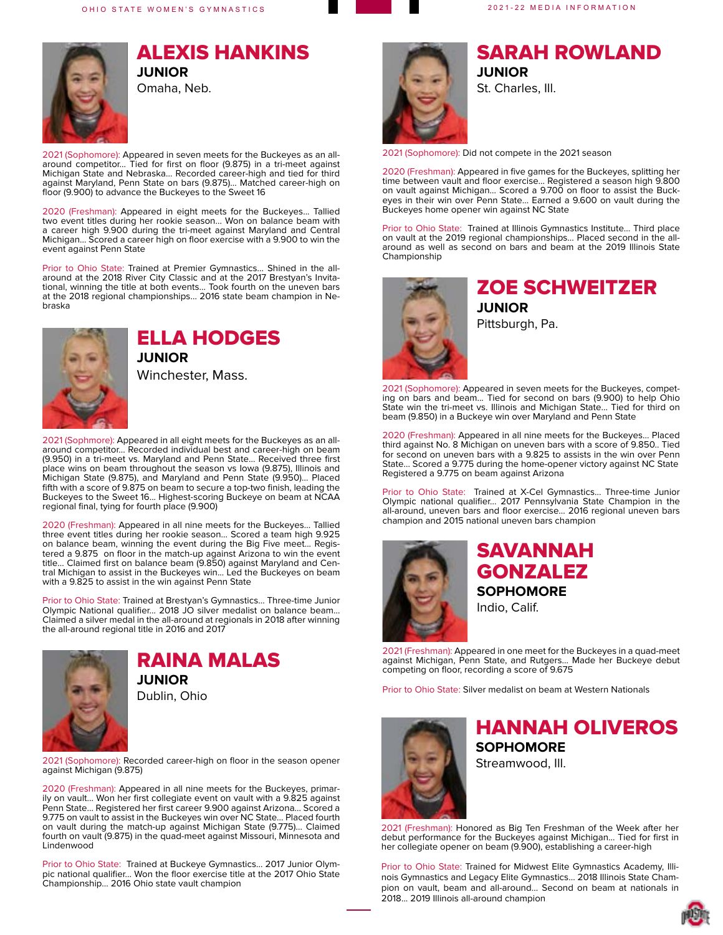

## ALEXIS HANKINS **JUNIOR** Omaha, Neb.

2021 (Sophomore): Appeared in seven meets for the Buckeyes as an allaround competitor... Tied for first on floor (9.875) in a tri-meet against Michigan State and Nebraska... Recorded career-high and tied for third against Maryland, Penn State on bars (9.875)... Matched career-high on floor (9.900) to advance the Buckeyes to the Sweet 16

2020 (Freshman): Appeared in eight meets for the Buckeyes... Tallied two event titles during her rookie season... Won on balance beam with a career high 9.900 during the tri-meet against Maryland and Central Michigan... Scored a career high on floor exercise with a 9.900 to win the event against Penn State

Prior to Ohio State: Trained at Premier Gymnastics... Shined in the allaround at the 2018 River City Classic and at the 2017 Brestyan's Invitational, winning the title at both events... Took fourth on the uneven bars at the 2018 regional championships... 2016 state beam champion in Nebraska



## ELLA HODGES **JUNIOR**

Winchester, Mass.

2021 (Sophmore): Appeared in all eight meets for the Buckeyes as an allaround competitor... Recorded individual best and career-high on beam (9.950) in a tri-meet vs. Maryland and Penn State... Received three first place wins on beam throughout the season vs Iowa (9.875), Illinois and Michigan State (9.875), and Maryland and Penn State (9.950)... Placed fifth with a score of 9.875 on beam to secure a top-two finish, leading the Buckeyes to the Sweet 16... Highest-scoring Buckeye on beam at NCAA regional final, tying for fourth place (9.900)

2020 (Freshman): Appeared in all nine meets for the Buckeyes... Tallied three event titles during her rookie season... Scored a team high 9.925 on balance beam, winning the event during the Big Five meet... Registered a 9.875 on floor in the match-up against Arizona to win the event title... Claimed first on balance beam (9.850) against Maryland and Central Michigan to assist in the Buckeyes win... Led the Buckeyes on beam with a 9.825 to assist in the win against Penn State

Prior to Ohio State: Trained at Brestyan's Gymnastics... Three-time Junior Olympic National qualifier... 2018 JO silver medalist on balance beam... Claimed a silver medal in the all-around at regionals in 2018 after winning the all-around regional title in 2016 and 2017



## RAINA MALAS **JUNIOR**

Dublin, Ohio

2021 (Sophomore): Recorded career-high on floor in the season opener against Michigan (9.875)

2020 (Freshman): Appeared in all nine meets for the Buckeyes, primarily on vault... Won her first collegiate event on vault with a 9.825 against Penn State... Registered her first career 9.900 against Arizona... Scored a 9.775 on vault to assist in the Buckeyes win over NC State... Placed fourth on vault during the match-up against Michigan State (9.775)... Claimed fourth on vault (9.875) in the quad-meet against Missouri, Minnesota and Lindenwood

Prior to Ohio State: Trained at Buckeye Gymnastics... 2017 Junior Olympic national qualifier... Won the floor exercise title at the 2017 Ohio State Championship... 2016 Ohio state vault champion



## SARAH ROWLAND **JUNIOR** St. Charles, Ill.

2021 (Sophomore): Did not compete in the 2021 season

2020 (Freshman): Appeared in five games for the Buckeyes, splitting her time between vault and floor exercise... Registered a season high 9.800 on vault against Michigan... Scored a 9.700 on floor to assist the Buckeyes in their win over Penn State... Earned a 9.600 on vault during the Buckeyes home opener win against NC State

Prior to Ohio State: Trained at Illinois Gymnastics Institute... Third place on vault at the 2019 regional championships... Placed second in the allaround as well as second on bars and beam at the 2019 Illinois State Championship



### ZOE SCHWEITZER **JUNIOR** Pittsburgh, Pa.

2021 (Sophomore): Appeared in seven meets for the Buckeyes, competing on bars and beam... Tied for second on bars (9.900) to help Ohio State win the tri-meet vs. Illinois and Michigan State... Tied for third on beam (9.850) in a Buckeye win over Maryland and Penn State

2020 (Freshman): Appeared in all nine meets for the Buckeyes... Placed third against No. 8 Michigan on uneven bars with a score of 9.850.. Tied for second on uneven bars with a 9.825 to assists in the win over Penn State... Scored a 9.775 during the home-opener victory against NC State Registered a 9.775 on beam against Arizona

Prior to Ohio State: Trained at X-Cel Gymnastics... Three-time Junior Olympic national qualifier... 2017 Pennsylvania State Champion in the all-around, uneven bars and floor exercise... 2016 regional uneven bars champion and 2015 national uneven bars champion



SAVANNAH GONZALEZ **SOPHOMORE** Indio, Calif.

2021 (Freshman): Appeared in one meet for the Buckeyes in a quad-meet against Michigan, Penn State, and Rutgers... Made her Buckeye debut competing on floor, recording a score of 9.675

Prior to Ohio State: Silver medalist on beam at Western Nationals



HANNAH OLIVEROS **SOPHOMORE** Streamwood, Ill.

2021 (Freshman): Honored as Big Ten Freshman of the Week after her debut performance for the Buckeyes against Michigan... Tied for first in her collegiate opener on beam (9.900), establishing a career-high

Prior to Ohio State: Trained for Midwest Elite Gymnastics Academy, Illinois Gymnastics and Legacy Elite Gymnastics... 2018 Illinois State Champion on vault, beam and all-around... Second on beam at nationals in 2018... 2019 Illinois all-around champion

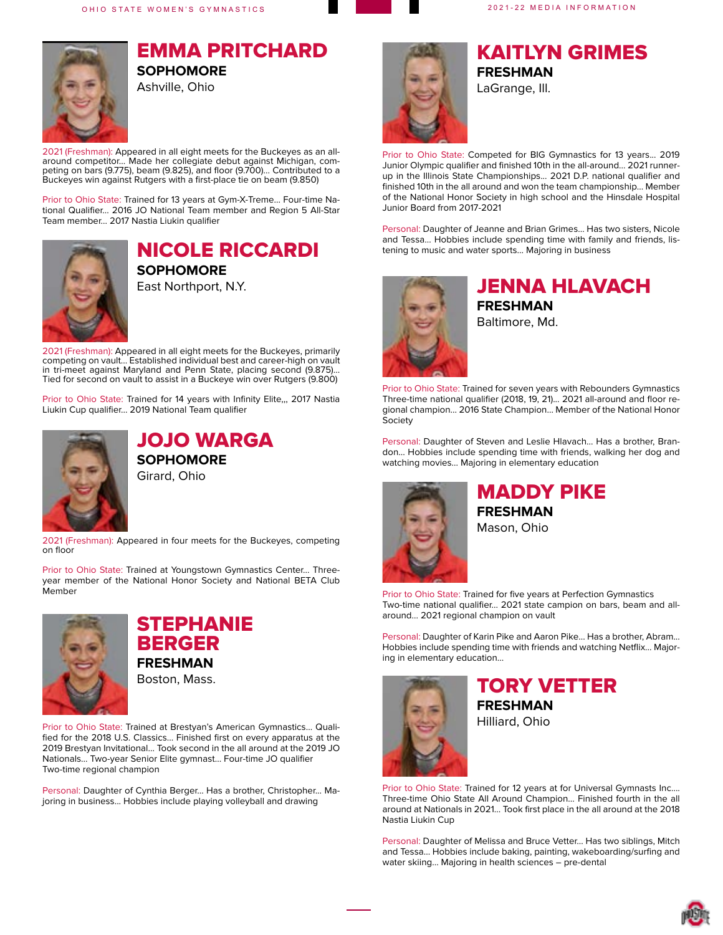

## EMMA PRITCHARD **SOPHOMORE**

Ashville, Ohio

2021 (Freshman): Appeared in all eight meets for the Buckeyes as an allaround competitor... Made her collegiate debut against Michigan, competing on bars (9.775), beam (9.825), and floor (9.700)... Contributed to a Buckeyes win against Rutgers with a first-place tie on beam (9.850)

Prior to Ohio State: Trained for 13 years at Gym-X-Treme... Four-time National Qualifier... 2016 JO National Team member and Region 5 All-Star Team member... 2017 Nastia Liukin qualifier



### NICOLE RICCARDI **SOPHOMORE** East Northport, N.Y.

2021 (Freshman): Appeared in all eight meets for the Buckeyes, primarily competing on vault... Established individual best and career-high on vault in tri-meet against Maryland and Penn State, placing second (9.875)... Tied for second on vault to assist in a Buckeye win over Rutgers (9.800)

Prior to Ohio State: Trained for 14 years with Infinity Elite,,, 2017 Nastia Liukin Cup qualifier... 2019 National Team qualifier



## JOJO WARGA **SOPHOMORE**

Girard, Ohio

2021 (Freshman): Appeared in four meets for the Buckeyes, competing on floor

Prior to Ohio State: Trained at Youngstown Gymnastics Center... Threeyear member of the National Honor Society and National BETA Club Member





Prior to Ohio State: Trained at Brestyan's American Gymnastics... Qualified for the 2018 U.S. Classics... Finished first on every apparatus at the 2019 Brestyan Invitational... Took second in the all around at the 2019 JO Nationals... Two-year Senior Elite gymnast... Four-time JO qualifier Two-time regional champion

Personal: Daughter of Cynthia Berger... Has a brother, Christopher... Majoring in business... Hobbies include playing volleyball and drawing



## KAITLYN GRIMES **FRESHMAN** LaGrange, Ill.

Prior to Ohio State: Competed for BIG Gymnastics for 13 years... 2019 Junior Olympic qualifier and finished 10th in the all-around... 2021 runnerup in the Illinois State Championships... 2021 D.P. national qualifier and finished 10th in the all around and won the team championship... Member of the National Honor Society in high school and the Hinsdale Hospital Junior Board from 2017-2021

Personal: Daughter of Jeanne and Brian Grimes... Has two sisters, Nicole and Tessa... Hobbies include spending time with family and friends, listening to music and water sports... Majoring in business



JENNA HLAVACH **FRESHMAN** Baltimore, Md.

Prior to Ohio State: Trained for seven years with Rebounders Gymnastics Three-time national qualifier (2018, 19, 21)... 2021 all-around and floor regional champion... 2016 State Champion... Member of the National Honor Society

Personal: Daughter of Steven and Leslie Hlavach... Has a brother, Brandon... Hobbies include spending time with friends, walking her dog and watching movies... Majoring in elementary education



MADDY PIKE **FRESHMAN** Mason, Ohio

Prior to Ohio State: Trained for five years at Perfection Gymnastics Two-time national qualifier... 2021 state campion on bars, beam and allaround... 2021 regional champion on vault

Personal: Daughter of Karin Pike and Aaron Pike... Has a brother, Abram... Hobbies include spending time with friends and watching Netflix... Majoring in elementary education...



TORY VETTER **FRESHMAN**

Hilliard, Ohio

Prior to Ohio State: Trained for 12 years at for Universal Gymnasts Inc.... Three-time Ohio State All Around Champion... Finished fourth in the all around at Nationals in 2021... Took first place in the all around at the 2018 Nastia Liukin Cup

Personal: Daughter of Melissa and Bruce Vetter... Has two siblings, Mitch and Tessa... Hobbies include baking, painting, wakeboarding/surfing and water skiing... Majoring in health sciences – pre-dental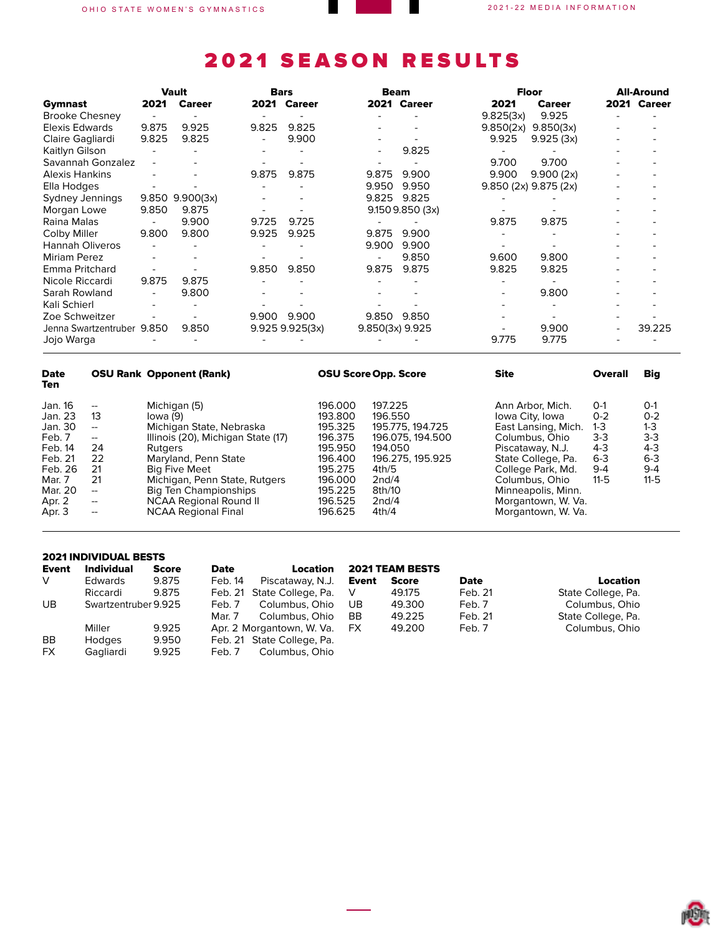

## 2021 SEASON RESULTS

|                            |       | <b>Vault</b>  |       | <b>Bars</b>     | <b>Beam</b>     |                 |           | <b>Floor</b>              | <b>All-Around</b> |
|----------------------------|-------|---------------|-------|-----------------|-----------------|-----------------|-----------|---------------------------|-------------------|
| Gymnast                    | 2021  | <b>Career</b> |       | 2021 Career     |                 | 2021 Career     | 2021      | <b>Career</b>             | 2021 Career       |
| <b>Brooke Chesney</b>      |       |               |       |                 |                 |                 | 9.825(3x) | 9.925                     |                   |
| <b>Elexis Edwards</b>      | 9.875 | 9.925         | 9.825 | 9.825           |                 |                 | 9.850(2x) | 9.850(3x)                 |                   |
| Claire Gagliardi           | 9.825 | 9.825         |       | 9.900           |                 |                 | 9.925     | 9.925(3x)                 |                   |
| Kaitlyn Gilson             |       |               |       |                 |                 | 9.825           |           |                           |                   |
| Savannah Gonzalez          |       |               |       |                 |                 |                 | 9.700     | 9.700                     |                   |
| <b>Alexis Hankins</b>      |       |               | 9.875 | 9.875           | 9.875           | 9.900           | 9.900     | 9.900(2x)                 |                   |
| Ella Hodges                |       |               |       |                 | 9.950           | 9.950           |           | $9.850$ (2x) $9.875$ (2x) |                   |
| Sydney Jennings            | 9.850 | 9.900(3x)     |       |                 | 9.825           | 9.825           |           |                           |                   |
| Morgan Lowe                | 9.850 | 9.875         |       |                 |                 | 9.1509.850 (3x) |           |                           |                   |
| Raina Malas                |       | 9.900         | 9.725 | 9.725           |                 |                 | 9.875     | 9.875                     |                   |
| <b>Colby Miller</b>        | 9.800 | 9.800         | 9.925 | 9.925           | 9.875           | 9.900           |           |                           |                   |
| <b>Hannah Oliveros</b>     |       |               |       |                 | 9.900           | 9.900           |           |                           |                   |
| <b>Miriam Perez</b>        |       |               |       |                 |                 | 9.850           | 9.600     | 9.800                     |                   |
| Emma Pritchard             |       |               | 9.850 | 9.850           | 9.875           | 9.875           | 9.825     | 9.825                     |                   |
| Nicole Riccardi            | 9.875 | 9.875         |       |                 |                 |                 |           |                           |                   |
| Sarah Rowland              |       | 9.800         |       |                 |                 |                 |           | 9.800                     |                   |
| Kali Schierl               |       |               |       |                 |                 |                 |           |                           |                   |
| Zoe Schweitzer             |       |               | 9.900 | 9.900           | 9.850           | 9.850           |           |                           |                   |
| Jenna Swartzentruber 9.850 |       | 9.850         |       | 9.925 9.925(3x) | 9.850(3x) 9.925 |                 |           | 9.900                     | 39.225            |
| Jojo Warga                 |       |               |       |                 |                 |                 | 9.775     | 9.775                     |                   |

| <b>Date</b><br><b>Ten</b>                                                                                         |                                                                                                                                                                                                                                       | <b>OSU Rank Opponent (Rank)</b>                                                                                                                                                                                                                                                       | <b>OSU Score Opp. Score</b>                                                                                           |                                                                                                                                        | <b>Site</b>                                                                                                                                                                                                                     | <b>Overall</b>                                                                | Big                                                                                 |
|-------------------------------------------------------------------------------------------------------------------|---------------------------------------------------------------------------------------------------------------------------------------------------------------------------------------------------------------------------------------|---------------------------------------------------------------------------------------------------------------------------------------------------------------------------------------------------------------------------------------------------------------------------------------|-----------------------------------------------------------------------------------------------------------------------|----------------------------------------------------------------------------------------------------------------------------------------|---------------------------------------------------------------------------------------------------------------------------------------------------------------------------------------------------------------------------------|-------------------------------------------------------------------------------|-------------------------------------------------------------------------------------|
| Jan. 16<br>Jan. 23<br>Jan. 30<br>Feb. 7<br>Feb. 14<br>Feb. 21<br>Feb. 26<br>Mar. 7<br>Mar. 20<br>Apr. 2<br>Apr. 3 | $- -$<br>13<br>$\hspace{0.05cm} -\hspace{0.05cm} -\hspace{0.05cm}$<br>$\overline{\phantom{m}}$<br>24<br>22<br>21<br>21<br>$\hspace{0.05cm} -\hspace{0.05cm} -\hspace{0.05cm}$<br>$\overline{\phantom{a}}$<br>$\overline{\phantom{a}}$ | Michigan (5)<br>lowa (9)<br>Michigan State, Nebraska<br>Illinois (20), Michigan State (17)<br>Rutaers<br>Maryland, Penn State<br><b>Big Five Meet</b><br>Michigan, Penn State, Rutgers<br><b>Big Ten Championships</b><br><b>NCAA Regional Round II</b><br><b>NCAA Regional Final</b> | 196.000<br>193.800<br>195.325<br>196.375<br>195.950<br>196.400<br>195.275<br>196.000<br>195.225<br>196.525<br>196.625 | 197.225<br>196.550<br>195.775, 194.725<br>196.075, 194.500<br>194.050<br>196.275.195.925<br>4th/5<br>2nd/4<br>8th/10<br>2nd/4<br>4th/4 | Ann Arbor, Mich.<br>Iowa City, Iowa<br>East Lansing, Mich.<br>Columbus, Ohio<br>Piscataway, N.J.<br>State College, Pa.<br>College Park, Md.<br>Columbus, Ohio<br>Minneapolis, Minn.<br>Morgantown, W. Va.<br>Morgantown, W. Va. | $O-1$<br>$O - 2$<br>1-3<br>$3-3$<br>$4 - 3$<br>$6 - 3$<br>$9 - 4$<br>$11 - 5$ | $O-1$<br>$O - 2$<br>$1 - 3$<br>$3 - 3$<br>$4 - 3$<br>$6 - 3$<br>$9 - 4$<br>$11 - 5$ |

#### 2021 INDIVIDUAL BESTS

| Event     | <b>Individual</b>    | Score | <b>Date</b> | Location                     |       | <b>2021 TEAM BESTS</b> |             |                    |
|-----------|----------------------|-------|-------------|------------------------------|-------|------------------------|-------------|--------------------|
| V         | <b>Edwards</b>       | 9.875 | Feb. 14     | Piscataway, N.J.             | Event | Score                  | <b>Date</b> | Location           |
|           | Riccardi             | 9.875 |             | Feb. 21 State College, Pa. V |       | 49.175                 | Feb. 21     | State College, Pa. |
| <b>UB</b> | Swartzentruber 9.925 |       | Feb. 7      | Columbus, Ohio               | UB    | 49.300                 | Feb. 7      | Columbus, Ohio     |
|           |                      |       | Mar. 7      | Columbus, Ohio               | BB    | 49.225                 | Feb. 21     | State College, Pa. |
|           | Miller               | 9.925 |             | Apr. 2 Morgantown, W. Va.    | FX    | 49.200                 | Feb. 7      | Columbus, Ohio     |
| <b>BB</b> | Hodges               | 9.950 |             | Feb. 21 State College, Pa.   |       |                        |             |                    |
| <b>FX</b> | Gagliardi            | 9.925 | Feb. 7      | Columbus, Ohio               |       |                        |             |                    |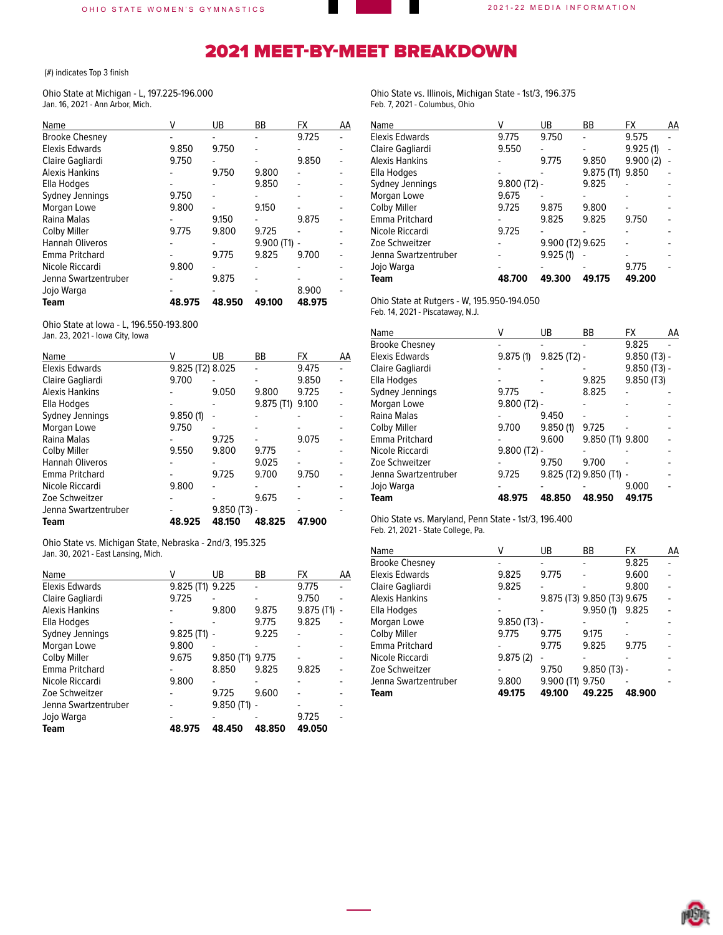## 2021 MEET-BY-MEET BREAKDOWN

(#) indicates Top 3 finish

Ohio State at Michigan - L, 197.225-196.000 Jan. 16, 2021 - Ann Arbor, Mich.

| Name                   |        | UB     | ВB        | FX     | AA |
|------------------------|--------|--------|-----------|--------|----|
| <b>Brooke Chesney</b>  |        |        |           | 9.725  |    |
| Elexis Edwards         | 9.850  | 9.750  |           |        |    |
| Claire Gagliardi       | 9.750  |        |           | 9.850  |    |
| <b>Alexis Hankins</b>  |        | 9.750  | 9.800     |        |    |
| Ella Hodges            |        |        | 9.850     |        |    |
| Sydney Jennings        | 9.750  |        |           |        |    |
| Morgan Lowe            | 9.800  |        | 9.150     |        |    |
| Raina Malas            |        | 9.150  |           | 9.875  |    |
| Colby Miller           | 9.775  | 9.800  | 9.725     |        |    |
| <b>Hannah Oliveros</b> |        |        | 9.900(11) |        |    |
| Emma Pritchard         |        | 9.775  | 9.825     | 9.700  |    |
| Nicole Riccardi        | 9.800  |        |           |        |    |
| Jenna Swartzentruber   |        | 9.875  |           |        |    |
| Jojo Warga             |        |        |           | 8.900  |    |
| Team                   | 48.975 | 48.950 | 49.100    | 48.975 |    |

Ohio State at Iowa - L, 196.550-193.800 Jan. 23, 2021 - Iowa City, Iowa

| Name                  | V                | UB             | ВB        | FX     | AA |
|-----------------------|------------------|----------------|-----------|--------|----|
| Elexis Edwards        | 9.825 (T2) 8.025 |                |           | 9.475  |    |
| Claire Gagliardi      | 9.700            |                |           | 9.850  |    |
| <b>Alexis Hankins</b> |                  | 9.050          | 9.800     | 9.725  |    |
| Ella Hodges           |                  |                | 9.875(11) | 9.100  |    |
| Sydney Jennings       | 9.850(1)         |                |           |        |    |
| Morgan Lowe           | 9.750            |                |           |        |    |
| Raina Malas           |                  | 9.725          |           | 9.075  |    |
| Colby Miller          | 9.550            | 9.800          | 9.775     |        |    |
| Hannah Oliveros       |                  |                | 9.025     |        |    |
| Emma Pritchard        |                  | 9.725          | 9.700     | 9.750  |    |
| Nicole Riccardi       | 9.800            |                |           |        |    |
| Zoe Schweitzer        |                  |                | 9.675     |        |    |
| Jenna Swartzentruber  |                  | $9.850$ (T3) - |           |        |    |
| Team                  | 48.925           | 48.150         | 48.825    | 47.900 |    |
|                       |                  |                |           |        |    |

Ohio State vs. Michigan State, Nebraska - 2nd/3, 195.325 Jan. 30, 2021 - East Lansing, Mich.

| Name                  | v         | UB            | BB     | <b>FX</b> | AA |
|-----------------------|-----------|---------------|--------|-----------|----|
| Elexis Edwards        | 9.825(11) | 9.225         |        | 9.775     |    |
| Claire Gagliardi      | 9.725     |               |        | 9.750     |    |
| <b>Alexis Hankins</b> |           | 9.800         | 9.875  | 9.875(11) |    |
| Ella Hodges           |           |               | 9.775  | 9.825     |    |
| Sydney Jennings       | 9.825(11) |               | 9.225  |           |    |
| Morgan Lowe           | 9.800     |               |        |           |    |
| Colby Miller          | 9.675     | 9.850(11)     | 9.775  |           |    |
| Emma Pritchard        |           | 8.850         | 9.825  | 9.825     |    |
| Nicole Riccardi       | 9.800     |               |        |           |    |
| Zoe Schweitzer        |           | 9.725         | 9.600  |           |    |
| Jenna Swartzentruber  |           | $9.850(11) -$ |        |           |    |
| Jojo Warga            |           |               |        | 9.725     |    |
| Team                  | 48.975    | 48.450        | 48.850 | 49.050    |    |

Ohio State vs. Illinois, Michigan State - 1st/3, 196.375 Feb. 7, 2021 - Columbus, Ohio

| Name                  | ٧              | UB               | ВB        | FX       | AA |
|-----------------------|----------------|------------------|-----------|----------|----|
| Elexis Edwards        | 9.775          | 9.750            |           | 9.575    |    |
| Claire Gagliardi      | 9.550          |                  |           | 9.925(1) |    |
| <b>Alexis Hankins</b> |                | 9.775            | 9.850     | 9.900(2) |    |
| Ella Hodges           |                |                  | 9.875(T1) | 9.850    |    |
| Sydney Jennings       | $9.800$ (T2) - |                  | 9.825     |          |    |
| Morgan Lowe           | 9.675          |                  |           |          |    |
| <b>Colby Miller</b>   | 9.725          | 9.875            | 9.800     |          |    |
| Emma Pritchard        |                | 9.825            | 9.825     | 9.750    |    |
| Nicole Riccardi       | 9.725          |                  |           |          |    |
| Zoe Schweitzer        |                | 9.900 (T2) 9.625 |           |          |    |
| Jenna Swartzentruber  |                | 9.925(1)         |           |          |    |
| Jojo Warga            |                |                  |           | 9.775    |    |
| Team                  | 48.700         | 49.300           | 49.175    | 49.200   |    |

Ohio State at Rutgers - W, 195.950-194.050 Feb. 14, 2021 - Piscataway, N.J.

| Name                  | V              | UB                    | BB               | <b>FX</b>      | AA |
|-----------------------|----------------|-----------------------|------------------|----------------|----|
| <b>Brooke Chesney</b> |                |                       |                  | 9.825          |    |
| Elexis Edwards        | 9.875(1)       | $9.825$ (T2) -        |                  | $9.850$ (T3) - |    |
| Claire Gagliardi      |                |                       |                  | $9.850$ (T3) - |    |
| Ella Hodges           |                |                       | 9.825            | 9.850 (T3)     |    |
| Sydney Jennings       | 9.775          |                       | 8.825            |                |    |
| Morgan Lowe           | $9.800$ (T2) - |                       |                  |                |    |
| Raina Malas           |                | 9.450                 |                  |                |    |
| <b>Colby Miller</b>   | 9.700          | 9.850(1)              | 9.725            |                |    |
| Emma Pritchard        |                | 9.600                 | 9.850 (T1) 9.800 |                |    |
| Nicole Riccardi       | $9.800$ (T2) - |                       |                  |                |    |
| Zoe Schweitzer        |                | 9.750                 | 9.700            |                |    |
| Jenna Swartzentruber  | 9.725          | 9.825 (T2) 9.850 (T1) |                  |                |    |
| Jojo Warga            |                |                       |                  | 9.000          |    |
| Team                  | 48.975         | 48.850                | 48.950           | 49.175         |    |

Ohio State vs. Maryland, Penn State - 1st/3, 196.400 Feb. 21, 2021 - State College, Pa.

| Name                  | V              | UB        | BB                          | FX     | AA |
|-----------------------|----------------|-----------|-----------------------------|--------|----|
| <b>Brooke Chesney</b> |                |           |                             | 9.825  |    |
| Elexis Edwards        | 9.825          | 9.775     |                             | 9.600  |    |
| Claire Gagliardi      | 9.825          |           |                             | 9.800  |    |
| Alexis Hankins        |                |           | 9.875 (T3) 9.850 (T3) 9.675 |        |    |
| Ella Hodges           |                |           | 9.950(1)                    | 9.825  |    |
| Morgan Lowe           | $9.850$ (T3) - |           |                             |        |    |
| Colby Miller          | 9.775          | 9.775     | 9.175                       |        |    |
| Emma Pritchard        |                | 9.775     | 9.825                       | 9.775  |    |
| Nicole Riccardi       | 9.875(2)       |           |                             |        |    |
| Zoe Schweitzer        |                | 9.750     | $9.850$ (T3) -              |        |    |
| Jenna Swartzentruber  | 9.800          | 9.900(11) | 9.750                       |        |    |
| Team                  | 49.175         | 49.100    | 49.225                      | 48.900 |    |
|                       |                |           |                             |        |    |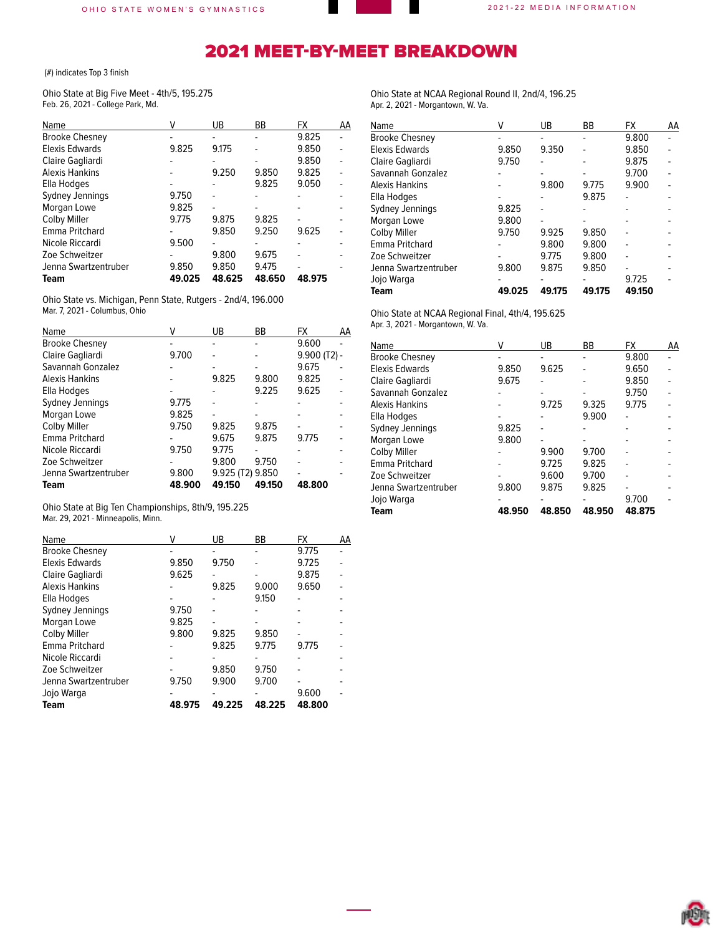## 2021 MEET-BY-MEET BREAKDOWN

(#) indicates Top 3 finish

Ohio State at Big Five Meet - 4th/5, 195.275 Feb. 26, 2021 - College Park, Md.

| Name                  |        | UB     | ВB     | FX     | AA |
|-----------------------|--------|--------|--------|--------|----|
| <b>Brooke Chesney</b> |        |        |        | 9.825  |    |
| Elexis Edwards        | 9.825  | 9.175  |        | 9.850  |    |
| Claire Gagliardi      |        |        |        | 9.850  |    |
| <b>Alexis Hankins</b> |        | 9.250  | 9.850  | 9.825  |    |
| Ella Hodges           |        |        | 9.825  | 9.050  |    |
| Sydney Jennings       | 9.750  |        |        |        |    |
| Morgan Lowe           | 9.825  |        |        |        |    |
| Colby Miller          | 9.775  | 9.875  | 9.825  |        |    |
| Emma Pritchard        |        | 9.850  | 9.250  | 9.625  |    |
| Nicole Riccardi       | 9.500  |        |        |        |    |
| Zoe Schweitzer        |        | 9.800  | 9.675  |        |    |
| Jenna Swartzentruber  | 9.850  | 9.850  | 9.475  |        |    |
| Team                  | 49.025 | 48.625 | 48.650 | 48.975 |    |

Ohio State vs. Michigan, Penn State, Rutgers - 2nd/4, 196.000 Mar. 7, 2021 - Columbus, Ohio

| Name                  |        | UB               | ВB     | FX             | AA |
|-----------------------|--------|------------------|--------|----------------|----|
| <b>Brooke Chesney</b> |        |                  |        | 9.600          |    |
| Claire Gagliardi      | 9.700  |                  |        | $9.900$ (T2) - |    |
| Savannah Gonzalez     |        |                  |        | 9.675          |    |
| <b>Alexis Hankins</b> |        | 9.825            | 9.800  | 9.825          |    |
| Ella Hodges           |        |                  | 9.225  | 9.625          |    |
| Sydney Jennings       | 9.775  |                  |        |                |    |
| Morgan Lowe           | 9.825  |                  |        |                |    |
| Colby Miller          | 9.750  | 9.825            | 9.875  |                |    |
| Emma Pritchard        |        | 9.675            | 9.875  | 9.775          |    |
| Nicole Riccardi       | 9.750  | 9.775            |        |                |    |
| Zoe Schweitzer        |        | 9.800            | 9.750  |                |    |
| Jenna Swartzentruber  | 9.800  | 9.925 (T2) 9.850 |        |                |    |
| Team                  | 48.900 | 49.150           | 49.150 | 48.800         |    |

Ohio State at Big Ten Championships, 8th/9, 195.225 Mar. 29, 2021 - Minneapolis, Minn.

| Name                  |        | UB     | ВB     | FX     | AA |
|-----------------------|--------|--------|--------|--------|----|
| <b>Brooke Chesney</b> |        |        |        | 9.775  |    |
| Elexis Edwards        | 9.850  | 9.750  |        | 9.725  |    |
| Claire Gagliardi      | 9.625  |        |        | 9.875  |    |
| <b>Alexis Hankins</b> |        | 9.825  | 9.000  | 9.650  |    |
| Ella Hodges           |        |        | 9.150  |        |    |
| Sydney Jennings       | 9.750  |        |        |        |    |
| Morgan Lowe           | 9.825  |        |        |        |    |
| <b>Colby Miller</b>   | 9.800  | 9.825  | 9.850  |        |    |
| Emma Pritchard        |        | 9.825  | 9.775  | 9.775  |    |
| Nicole Riccardi       |        |        |        |        |    |
| Zoe Schweitzer        |        | 9.850  | 9.750  |        |    |
| Jenna Swartzentruber  | 9.750  | 9.900  | 9.700  |        |    |
| Jojo Warga            |        |        |        | 9.600  |    |
| Team                  | 48.975 | 49.225 | 48.225 | 48.800 |    |

Ohio State at NCAA Regional Round II, 2nd/4, 196.25 Apr. 2, 2021 - Morgantown, W. Va.

| Name                  | V      | UB     | BB     | FX     | AA |
|-----------------------|--------|--------|--------|--------|----|
| <b>Brooke Chesney</b> |        |        |        | 9.800  |    |
| Elexis Edwards        | 9.850  | 9.350  |        | 9.850  |    |
| Claire Gagliardi      | 9.750  |        |        | 9.875  |    |
| Savannah Gonzalez     |        |        |        | 9.700  |    |
| <b>Alexis Hankins</b> |        | 9.800  | 9.775  | 9.900  |    |
| Ella Hodges           |        |        | 9.875  |        |    |
| Sydney Jennings       | 9.825  |        |        |        |    |
| Morgan Lowe           | 9.800  |        |        |        |    |
| Colby Miller          | 9.750  | 9.925  | 9.850  |        |    |
| Emma Pritchard        |        | 9.800  | 9.800  |        |    |
| Zoe Schweitzer        |        | 9.775  | 9.800  |        |    |
| Jenna Swartzentruber  | 9.800  | 9.875  | 9.850  |        |    |
| Jojo Warga            |        |        |        | 9.725  |    |
| Team                  | 49.025 | 49.175 | 49.175 | 49.150 |    |

Ohio State at NCAA Regional Final, 4th/4, 195.625 Apr. 3, 2021 - Morgantown, W. Va.

| Name                  | v      | UB     | BB     | <b>FX</b> | AA |
|-----------------------|--------|--------|--------|-----------|----|
| <b>Brooke Chesney</b> |        |        |        | 9.800     |    |
| Elexis Edwards        | 9.850  | 9.625  |        | 9.650     |    |
| Claire Gagliardi      | 9.675  |        |        | 9.850     |    |
| Savannah Gonzalez     |        |        |        | 9.750     |    |
| Alexis Hankins        |        | 9.725  | 9.325  | 9.775     |    |
| Ella Hodges           |        |        | 9.900  |           |    |
| Sydney Jennings       | 9.825  |        |        |           |    |
| Morgan Lowe           | 9.800  |        |        |           |    |
| Colby Miller          |        | 9.900  | 9.700  |           |    |
| Emma Pritchard        |        | 9.725  | 9.825  |           |    |
| Zoe Schweitzer        |        | 9.600  | 9.700  |           |    |
| Jenna Swartzentruber  | 9.800  | 9.875  | 9.825  |           |    |
| Jojo Warga            |        |        |        | 9.700     |    |
| Team                  | 48.950 | 48.850 | 48.950 | 48.875    |    |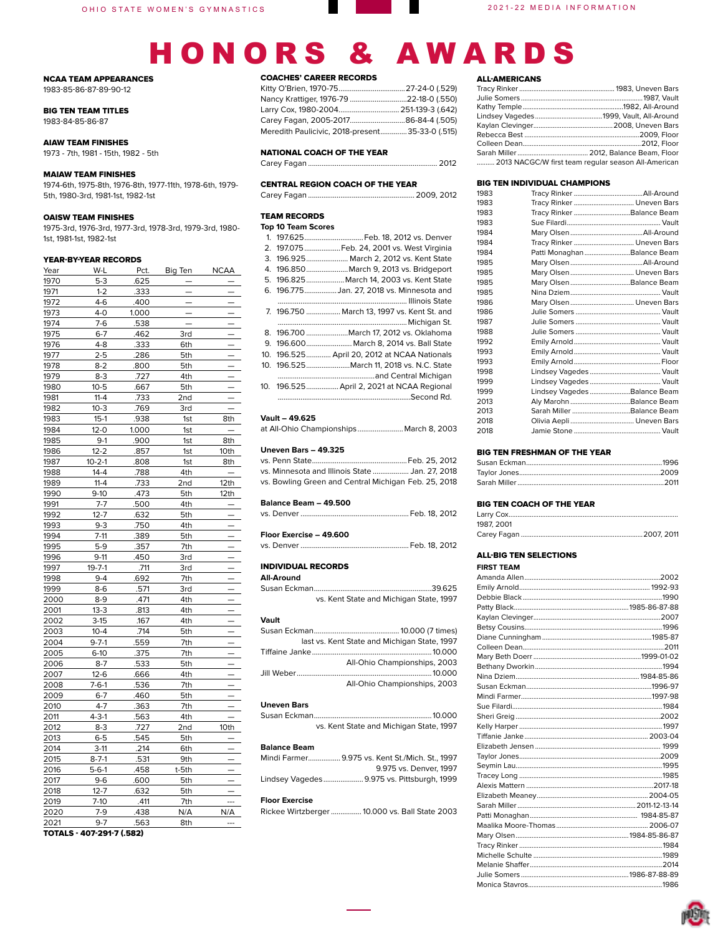NCAA TEAM APPEARANCES 1983-85-86-87-89-90-12

#### BIG TEN TEAM TITLES

1983-84-85-86-87

#### AIAW TEAM FINISHES

1973 - 7th, 1981 - 15th, 1982 - 5th

#### MAIAW TEAM FINISHES

1974-6th, 1975-8th, 1976-8th, 1977-11th, 1978-6th, 1979- 5th, 1980-3rd, 1981-1st, 1982-1st

#### OAISW TEAM FINISHES

1975-3rd, 1976-3rd, 1977-3rd, 1978-3rd, 1979-3rd, 1980- 1st, 1981-1st, 1982-1st

## **YEAR-BY-YEAR RECORDS**<br>Year W-L Pct.

| Year | W-L          | Pct.  | <b>Big Ten</b>           | <b>NCAA</b> |
|------|--------------|-------|--------------------------|-------------|
| 1970 | $5 - 3$      | .625  |                          |             |
| 1971 | $1 - 2$      | .333  |                          |             |
| 1972 | $4-6$        | .400  |                          |             |
| 1973 | $4 - 0$      | 1.000 |                          |             |
| 1974 | $7-6$        | .538  | $\overline{\phantom{0}}$ |             |
| 1975 | $6 - 7$      | .462  | 3rd                      |             |
| 1976 | $4 - 8$      | .333  | 6th                      |             |
| 1977 | $2 - 5$      | .286  | 5th                      |             |
| 1978 | $8-2$        | .800  | 5th                      |             |
| 1979 | $8-3$        | .727  | 4th                      |             |
| 1980 | $10 - 5$     | .667  | 5th                      |             |
| 1981 | $11 - 4$     | .733  | 2nd                      |             |
| 1982 | $10-3$       | .769  | 3rd                      |             |
| 1983 | $15-1$       | .938  | 1st                      | 8th         |
| 1984 | $12 - 0$     | 1.000 | 1st                      |             |
| 1985 | $9-1$        | .900  | 1st                      | 8th         |
| 1986 | $12 - 2$     | .857  | 1st                      | 10th        |
| 1987 | $10 - 2 - 1$ | .808  | 1st                      | 8th         |
| 1988 | $14 - 4$     | .788  | 4th                      |             |
| 1989 | $11 - 4$     | .733  | 2nd                      | 12th        |
| 1990 | $9-10$       | .473  | 5th                      | 12th        |
| 1991 | $7 - 7$      | .500  | 4th                      |             |
| 1992 | $12 - 7$     | .632  | 5th                      |             |
| 1993 | $9 - 3$      | .750  | 4th                      |             |
| 1994 | $7-11$       | .389  | 5th                      |             |
| 1995 | $5-9$        | .357  | 7th                      |             |
| 1996 | $9-11$       | .450  | 3rd                      |             |
| 1997 | $19 - 7 - 1$ | .711  | 3rd                      |             |
| 1998 | $9 - 4$      | .692  | 7th                      |             |
| 1999 | $8-6$        | .571  | 3rd                      |             |
| 2000 | $8-9$        | .471  | 4th                      |             |
| 2001 | $13 - 3$     | .813  | 4th                      |             |
| 2002 | $3-15$       | .167  | 4th                      |             |
| 2003 | $10 - 4$     | .714  | 5th                      |             |
| 2004 | $9 - 7 - 1$  | .559  | 7th                      |             |
| 2005 | $6-10$       | .375  | 7th                      |             |
| 2006 | $8 - 7$      | .533  | 5th                      |             |
| 2007 | $12-6$       | .666  | 4th                      |             |
| 2008 | $7 - 6 - 1$  | .536  | 7th                      |             |
| 2009 | $6 - 7$      | .460  | 5th                      |             |
| 2010 | $4 - 7$      | .363  | 7th                      |             |
| 2011 | $4 - 3 - 1$  | .563  | 4th                      |             |
| 2012 | $8-3$        | .727  | 2nd                      | 10th        |
| 2013 | 6-5          | .545  | 5th                      |             |
| 2014 | $3-11$       | .214  | 6th                      |             |
| 2015 | $8 - 7 - 1$  | .531  | 9th                      |             |
| 2016 | $5 - 6 - 1$  | .458  | t-5th                    |             |
| 2017 | $9-6$        | .600  | 5th                      |             |
| 2018 | $12 - 7$     | .632  | 5th                      |             |
| 2019 | $7-10$       | .411  | 7th                      |             |
| 2020 | $7-9$        | .438  | N/A                      | N/A         |
| 2021 | $9 - 7$      | .563  | 8th                      |             |

TOTALS - 407-291-7 (.582)

#### COACHES' CAREER RECORDS

| Nancy Krattiger, 1976-79 22-18-0 (.550)         |  |
|-------------------------------------------------|--|
|                                                 |  |
| Carey Fagan, 2005-201786-84-4 (.505)            |  |
| Meredith Paulicivic, 2018-present35-33-0 (.515) |  |

#### NATIONAL COACH OF THE YEAR

Carey Fagan .................................................................... 2012

#### CENTRAL REGION COACH OF THE YEAR

Carey Fagan ........................................................ 2009, 2012

#### TEAM RECORDS

| <b>Top 10 Team Scores</b> |                                              |
|---------------------------|----------------------------------------------|
|                           | 1. 197.625 Feb. 18, 2012 vs. Denver          |
|                           | 2. 197.075Feb. 24, 2001 vs. West Virginia    |
|                           | 3. 196.925 March 2, 2012 vs. Kent State      |
|                           | 4. 196.850March 9, 2013 vs. Bridgeport       |
|                           | 5. 196.825 March 14, 2003 vs. Kent State     |
|                           | 6. 196.775Jan. 27, 2018 vs. Minnesota and    |
|                           |                                              |
|                           | 7. 196.750  March 13, 1997 vs. Kent St. and  |
|                           |                                              |
|                           | 8. 196.700 March 17, 2012 vs. Oklahoma       |
|                           | 9. 196.600 March 8, 2014 vs. Ball State      |
|                           | 10. 196.525 April 20, 2012 at NCAA Nationals |
|                           |                                              |
|                           |                                              |
|                           | 10. 196.525 April 2, 2021 at NCAA Regional   |
|                           |                                              |
|                           |                                              |
| Vault – 49.625            |                                              |

at All-Ohio Championships........................March 8, 2003

#### **Uneven Bars – 49.325**

|  | vs. Minnesota and Illinois State  Jan. 27. 2018      |  |  |
|--|------------------------------------------------------|--|--|
|  | vs. Bowling Green and Central Michigan Feb. 25, 2018 |  |  |

#### **Balance Beam – 49.500**

| Floor Exercise - 49.600 |  |
|-------------------------|--|

#### INDIVIDUAL RECORDS

**All-Around**

| vs. Kent State and Michigan State, 1997 |  |
|-----------------------------------------|--|

#### **Vault**

| last vs. Kent State and Michigan State, 1997 |
|----------------------------------------------|
|                                              |
| All-Ohio Championships, 2003                 |
|                                              |
| All-Ohio Championships, 2003                 |

#### **Uneven Bars**

| vs. Kent State and Michigan State, 1997 |  |  |
|-----------------------------------------|--|--|

#### **Balance Beam**

| Mindi Farmer 9.975 vs. Kent St./Mich. St 1997 |
|-----------------------------------------------|
| 9.975 vs. Denver, 1997                        |
| Lindsey Vagedes 9.975 vs. Pittsburgh, 1999    |

#### **Floor Exercise**

Rickee Wirtzberger................ 10.000 vs. Ball State 2003

#### ALL-AMERICANS

| 2013 NACGC/W first team regular season All-American |
|-----------------------------------------------------|

## **BIG TEN INDIVIDUAL CHAMPIONS**<br>1983 Tracy Rinker **...................**

| 1983 |                              |  |
|------|------------------------------|--|
| 1983 | Tracy Rinker  Uneven Bars    |  |
| 1983 | Tracy Rinker Balance Beam    |  |
| 1983 |                              |  |
| 1984 |                              |  |
| 1984 |                              |  |
| 1984 | Patti Monaghan Balance Beam  |  |
| 1985 |                              |  |
| 1985 | Mary Olsen Uneven Bars       |  |
| 1985 | Mary Olsen Balance Beam      |  |
| 1985 |                              |  |
| 1986 | Mary Olsen  Uneven Bars      |  |
| 1986 |                              |  |
| 1987 |                              |  |
| 1988 |                              |  |
| 1992 |                              |  |
| 1993 |                              |  |
| 1993 |                              |  |
| 1998 |                              |  |
| 1999 |                              |  |
| 1999 | Lindsey Vagedes Balance Beam |  |
| 2013 | Aly Marohn Balance Beam      |  |
| 2013 |                              |  |
| 2018 |                              |  |
| 2018 |                              |  |

#### BIG TEN FRESHMAN OF THE YEAR

BIG TEN COACH OF THE YEAR

| 1987, 2001 |  |
|------------|--|
|            |  |

Susan Eckman.............................................................................1996

#### ALL-BIG TEN SELECTIONS

#### **FIRST TEAM**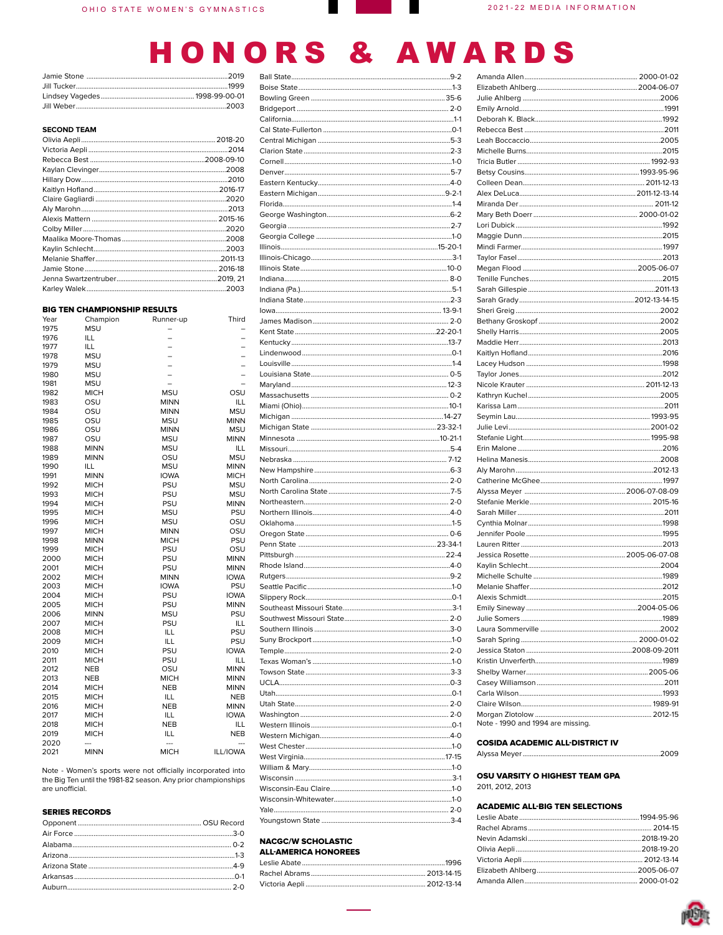#### **SECOND TEAM**

#### **BIG TEN CHAMPIONSHIP RESULTS**

| Year | Champion    | Runner-up      | Third           |
|------|-------------|----------------|-----------------|
| 1975 | <b>MSU</b>  |                |                 |
| 1976 | ILL         |                |                 |
| 1977 | ILL         |                |                 |
| 1978 | <b>MSU</b>  |                |                 |
| 1979 | <b>MSU</b>  |                |                 |
| 1980 | <b>MSU</b>  | $\overline{a}$ |                 |
| 1981 | <b>MSU</b>  | $\overline{a}$ |                 |
| 1982 | <b>MICH</b> | <b>MSU</b>     | OSU             |
| 1983 | OSU         | <b>MINN</b>    | ILL             |
| 1984 | OSU         | <b>MINN</b>    | <b>MSU</b>      |
| 1985 | OSU         | <b>MSU</b>     | <b>MINN</b>     |
|      | OSU         |                | <b>MSU</b>      |
| 1986 |             | <b>MINN</b>    |                 |
| 1987 | OSU         | <b>MSU</b>     | <b>MINN</b>     |
| 1988 | <b>MINN</b> | <b>MSU</b>     | ILL             |
| 1989 | <b>MINN</b> | OSU            | <b>MSU</b>      |
| 1990 | ILL         | <b>MSU</b>     | <b>MINN</b>     |
| 1991 | <b>MINN</b> | <b>IOWA</b>    | MICH            |
| 1992 | <b>MICH</b> | PSU            | <b>MSU</b>      |
| 1993 | <b>MICH</b> | PSU            | <b>MSU</b>      |
| 1994 | <b>MICH</b> | PSU            | <b>MINN</b>     |
| 1995 | <b>MICH</b> | <b>MSU</b>     | PSU             |
| 1996 | <b>MICH</b> | <b>MSU</b>     | OSU             |
| 1997 | <b>MICH</b> | <b>MINN</b>    | OSU             |
| 1998 | <b>MINN</b> | <b>MICH</b>    | PSU             |
| 1999 | <b>MICH</b> | PSU            | OSU             |
| 2000 | <b>MICH</b> | PSU            | <b>MINN</b>     |
| 2001 | <b>MICH</b> | PSU            | <b>MINN</b>     |
| 2002 | <b>MICH</b> | <b>MINN</b>    | <b>IOWA</b>     |
| 2003 | <b>MICH</b> | <b>IOWA</b>    | PSU             |
| 2004 | <b>MICH</b> | PSU            | <b>IOWA</b>     |
| 2005 | <b>MICH</b> | PSU            | <b>MINN</b>     |
| 2006 | <b>MINN</b> | <b>MSU</b>     | PSU             |
| 2007 | <b>MICH</b> | PSU            | ILL             |
| 2008 | <b>MICH</b> | ILL            | PSU             |
| 2009 | <b>MICH</b> | ILL            | PSU             |
| 2010 | <b>MICH</b> | PSU            | <b>IOWA</b>     |
| 2011 | <b>MICH</b> | PSU            | ILL             |
| 2012 | <b>NEB</b>  | OSU            | <b>MINN</b>     |
|      |             | <b>MICH</b>    | <b>MINN</b>     |
| 2013 | <b>NEB</b>  |                |                 |
| 2014 | <b>MICH</b> | <b>NEB</b>     | <b>MINN</b>     |
| 2015 | <b>MICH</b> | ILL            | <b>NEB</b>      |
| 2016 | <b>MICH</b> | <b>NEB</b>     | <b>MINN</b>     |
| 2017 | <b>MICH</b> | ILL            | <b>IOWA</b>     |
| 2018 | <b>MICH</b> | <b>NEB</b>     | ILL             |
| 2019 | <b>MICH</b> | ILL            | <b>NEB</b>      |
| 2020 |             | $\overline{a}$ |                 |
| 2021 | <b>MINN</b> | <b>MICH</b>    | <b>ILL/IOWA</b> |

Note - Women's sports were not officially incorporated into the Big Ten until the 1981-82 season. Any prior championships are unofficial.

#### **SERIES RECORDS**

#### **NACGC/W SCHOLASTIC ALL-AMERICA HONOREES**

| Note - 1990 and 1994 are missing. |  |
|-----------------------------------|--|
|                                   |  |

**COSIDA ACADEMIC ALL-DISTRICT IV** 

#### Alyssa Meyer ...............................

.2009

OSU VARSITY O HIGHEST TEAM GPA 2011, 2012, 2013

#### **ACADEMIC ALL-BIG TEN SELECTIONS**

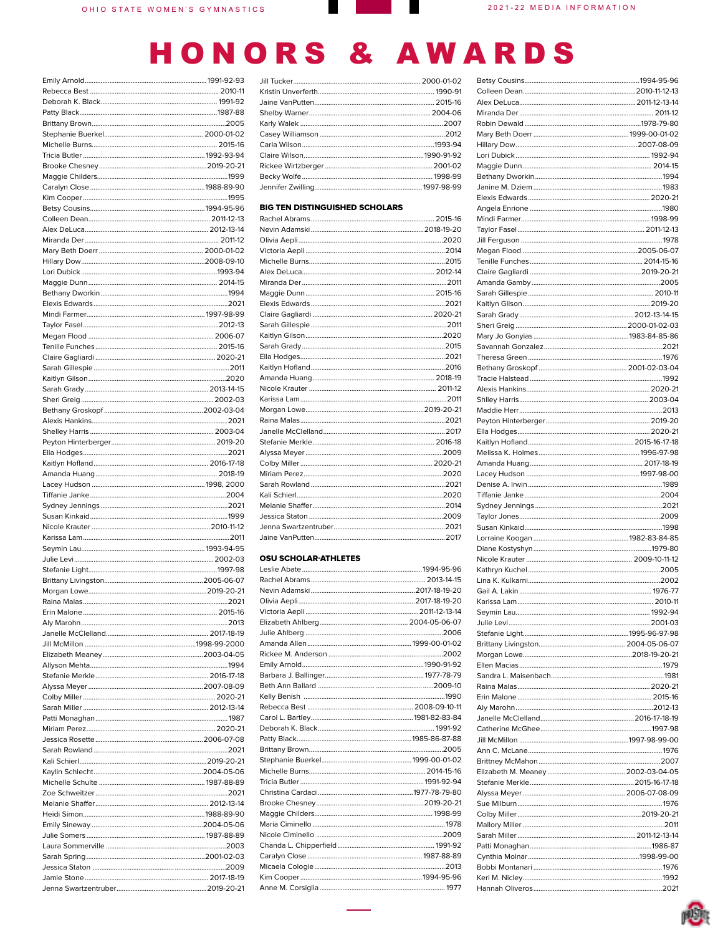a sa Ba

Ш

| Raina Malas | 2021 |
|-------------|------|
|             |      |
|             |      |
|             |      |
|             |      |
|             |      |
|             |      |
|             |      |
|             |      |
|             |      |
|             |      |
|             |      |
|             |      |
|             |      |
|             |      |
|             |      |
|             |      |
|             |      |
|             |      |
|             |      |
|             |      |
|             |      |
|             |      |
|             |      |
|             |      |

#### BIG TEN DISTINGUISHED SCHOLARS

#### **OSU SCHOLAR-ATHLETES**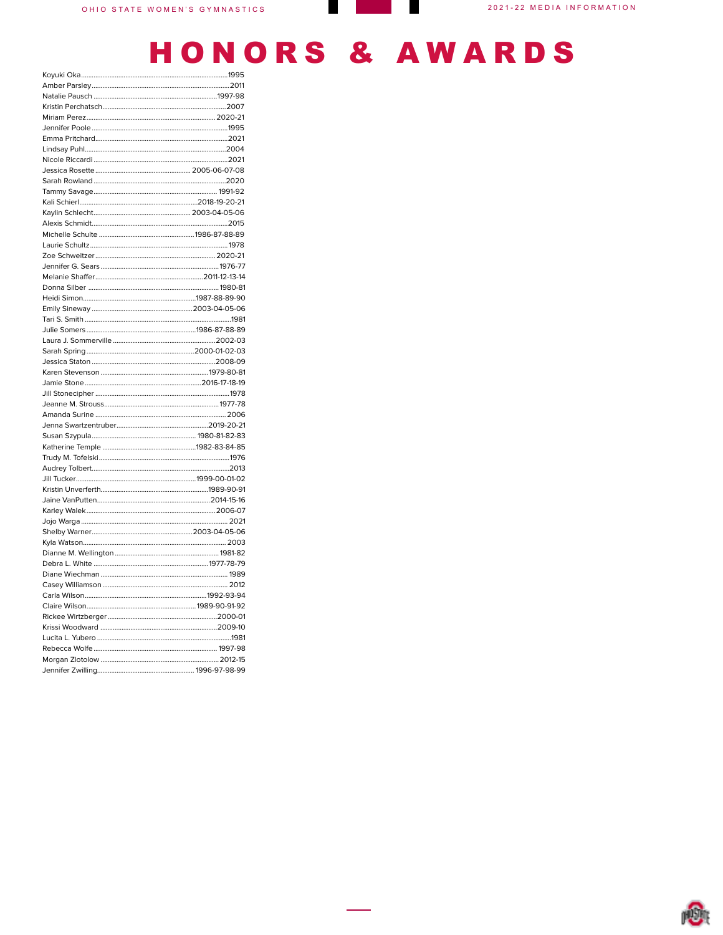a na matsay

**The Co** 

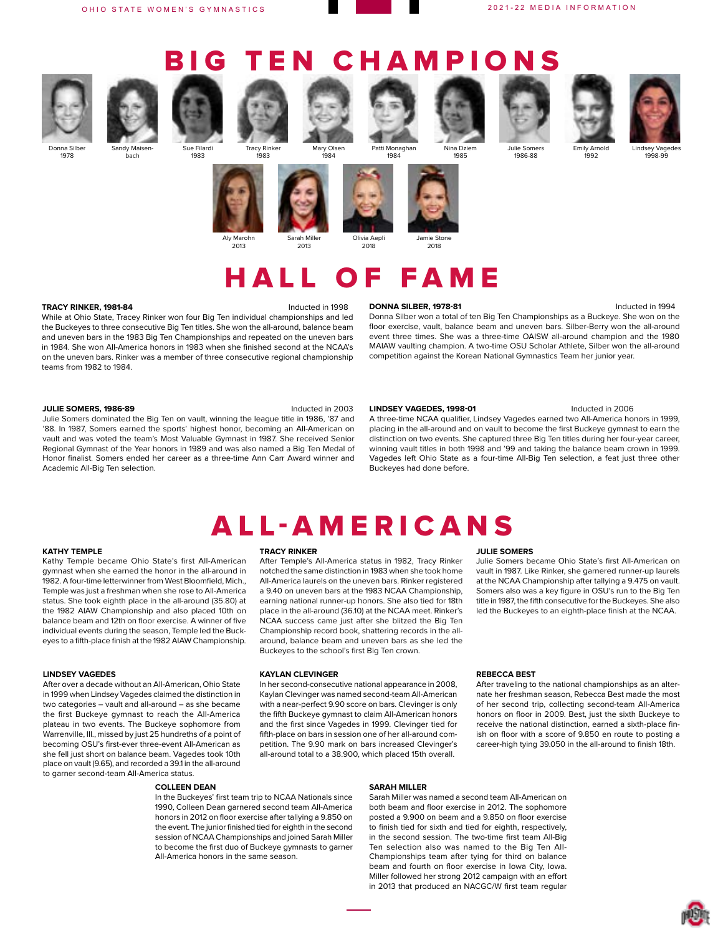

## BIG TEN CHAMPIONS



Sandy Maisen-

bach





1984

Nina Dziem

1985





**Emily Arnold** ,<br>1992

Julie Somers 1986-88

Lindsey Vagedes 1998-99

Donna Silber 1978

Sue Filardi 1983



2013





 $2012$ 



1984

2018

## HALL OF FAME

2018

#### **TRACY RINKER, 1981-84 Inducted in 1998**

While at Ohio State, Tracey Rinker won four Big Ten individual championships and led the Buckeyes to three consecutive Big Ten titles. She won the all-around, balance beam and uneven bars in the 1983 Big Ten Championships and repeated on the uneven bars in 1984. She won All-America honors in 1983 when she finished second at the NCAA's on the uneven bars. Rinker was a member of three consecutive regional championship teams from 1982 to 1984.

#### **DONNA SILBER, 1978-81** Inducted in 1994

Donna Silber won a total of ten Big Ten Championships as a Buckeye. She won on the floor exercise, vault, balance beam and uneven bars. Silber-Berry won the all-around event three times. She was a three-time OAISW all-around champion and the 1980 MAIAW vaulting champion. A two-time OSU Scholar Athlete, Silber won the all-around competition against the Korean National Gymnastics Team her junior year.

#### **JULIE SOMERS, 1986-89** Inducted in 2003

Julie Somers dominated the Big Ten on vault, winning the league title in 1986, '87 and '88. In 1987, Somers earned the sports' highest honor, becoming an All-American on vault and was voted the team's Most Valuable Gymnast in 1987. She received Senior Regional Gymnast of the Year honors in 1989 and was also named a Big Ten Medal of Honor finalist. Somers ended her career as a three-time Ann Carr Award winner and Academic All-Big Ten selection.

#### LINDSEY VAGEDES, 1998-01 **Inducted in 2006**

A three-time NCAA qualifier, Lindsey Vagedes earned two All-America honors in 1999, placing in the all-around and on vault to become the first Buckeye gymnast to earn the distinction on two events. She captured three Big Ten titles during her four-year career, winning vault titles in both 1998 and '99 and taking the balance beam crown in 1999. Vagedes left Ohio State as a four-time All-Big Ten selection, a feat just three other Buckeyes had done before.

#### **KATHY TEMPLE**

Kathy Temple became Ohio State's first All-American gymnast when she earned the honor in the all-around in 1982. A four-time letterwinner from West Bloomfield, Mich., Temple was just a freshman when she rose to All-America status. She took eighth place in the all-around (35.80) at the 1982 AIAW Championship and also placed 10th on balance beam and 12th on floor exercise. A winner of five individual events during the season, Temple led the Buckeyes to a fifth-place finish at the 1982 AIAW Championship.

#### **LINDSEY VAGEDES**

After over a decade without an All-American, Ohio State in 1999 when Lindsey Vagedes claimed the distinction in two categories – vault and all-around – as she became the first Buckeye gymnast to reach the All-America plateau in two events. The Buckeye sophomore from Warrenville, Ill., missed by just 25 hundreths of a point of becoming OSU's first-ever three-event All-American as she fell just short on balance beam. Vagedes took 10th place on vault (9.65), and recorded a 39.1 in the all-around to garner second-team All-America status.

#### **COLLEEN DEAN**

In the Buckeyes' first team trip to NCAA Nationals since 1990, Colleen Dean garnered second team All-America honors in 2012 on floor exercise after tallying a 9.850 on the event. The junior finished tied for eighth in the second session of NCAA Championships and joined Sarah Miller to become the first duo of Buckeye gymnasts to garner All-America honors in the same season.

#### **TRACY RINKER**

After Temple's All-America status in 1982, Tracy Rinker notched the same distinction in 1983 when she took home All-America laurels on the uneven bars. Rinker registered a 9.40 on uneven bars at the 1983 NCAA Championship, earning national runner-up honors. She also tied for 18th place in the all-around (36.10) at the NCAA meet. Rinker's NCAA success came just after she blitzed the Big Ten Championship record book, shattering records in the allaround, balance beam and uneven bars as she led the Buckeyes to the school's first Big Ten crown.

ALL-AMERICANS

#### **KAYLAN CLEVINGER**

In her second-consecutive national appearance in 2008, Kaylan Clevinger was named second-team All-American with a near-perfect 9.90 score on bars. Clevinger is only the fifth Buckeye gymnast to claim All-American honors and the first since Vagedes in 1999. Clevinger tied for fifth-place on bars in session one of her all-around competition. The 9.90 mark on bars increased Clevinger's all-around total to a 38.900, which placed 15th overall.

#### **REBECCA BEST**

**JULIE SOMERS**

After traveling to the national championships as an alternate her freshman season, Rebecca Best made the most of her second trip, collecting second-team All-America honors on floor in 2009. Best, just the sixth Buckeye to receive the national distinction, earned a sixth-place finish on floor with a score of 9.850 en route to posting a career-high tying 39.050 in the all-around to finish 18th.

Julie Somers became Ohio State's first All-American on vault in 1987. Like Rinker, she garnered runner-up laurels at the NCAA Championship after tallying a 9.475 on vault. Somers also was a key figure in OSU's run to the Big Ten title in 1987, the fifth consecutive for the Buckeyes. She also led the Buckeyes to an eighth-place finish at the NCAA.

#### **SARAH MILLER**

Sarah Miller was named a second team All-American on both beam and floor exercise in 2012. The sophomore posted a 9.900 on beam and a 9.850 on floor exercise to finish tied for sixth and tied for eighth, respectively, in the second session. The two-time first team All-Big Ten selection also was named to the Big Ten All-Championships team after tying for third on balance beam and fourth on floor exercise in Iowa City, Iowa. Miller followed her strong 2012 campaign with an effort in 2013 that produced an NACGC/W first team regular

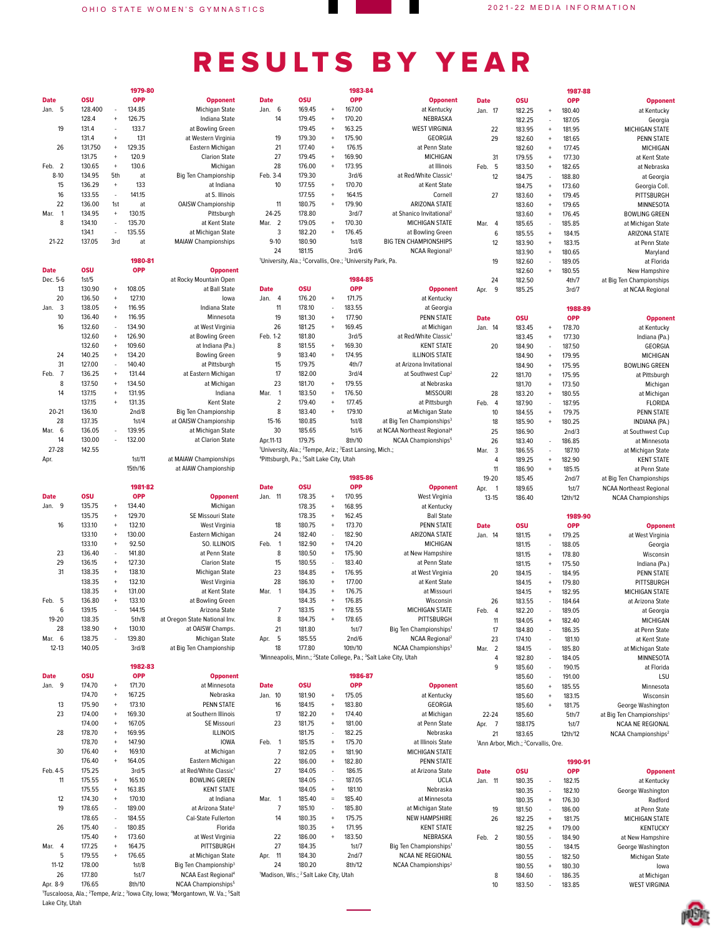|                        |                                                 |                        | 1987-88              |                                       |
|------------------------|-------------------------------------------------|------------------------|----------------------|---------------------------------------|
| <b>Date</b>            | osu                                             |                        | <b>OPP</b>           | <b>Opponent</b>                       |
| Jan.<br>17             | 182.25                                          | $\ddot{}$              | 180.40               | at Kentucky                           |
| 22                     | 182.25<br>183.95                                | ä,<br>$\ddot{}$        | 187.05<br>181.95     | Georgia<br><b>MICHIGAN STATE</b>      |
| 29                     | 182.60                                          | $\ddot{}$              | 181.65               | <b>PENN STATE</b>                     |
|                        | 182.60                                          | $\ddot{}$              | 177.45               | <b>MICHIGAN</b>                       |
| 31                     | 179.55                                          | $\ddot{}$              | 177.30               | at Kent State                         |
| 5<br>Feb.              | 183.50                                          | $\ddot{}$              | 182.65               | at Nebraska                           |
| 12                     | 184.75<br>184.75                                | ä,<br>$\ddot{}$        | 188.80<br>173.60     | at Georgia<br>Georgia Coll.           |
| 27                     | 183.60                                          | $\ddot{}$              | 179.45               | PITTSBURGH                            |
|                        | 183.60                                          | $\ddot{}$              | 179.65               | <b>MINNESOTA</b>                      |
|                        | 183.60                                          | $\ddot{}$              | 176.45               | <b>BOWLING GREEN</b>                  |
| 4<br>Mar.              | 185.65                                          | $\overline{a}$         | 185.85               | at Michigan State                     |
| 6<br>12                | 185.55<br>183.90                                | $\ddot{}$<br>$\ddot{}$ | 184.15<br>183.15     | <b>ARIZONA STATE</b><br>at Penn State |
|                        | 183.90                                          | $\ddot{}$              | 180.65               | Maryland                              |
| 19                     | 182.60                                          | ä,                     | 189.05               | at Florida                            |
|                        | 182.60                                          | $\ddot{}$              | 180.55               | New Hampshire                         |
| 24                     | 182.50                                          |                        | 4th/7                | at Big Ten Championships              |
| 9<br>Apr.              | 185.25                                          |                        | 3rd/7                | at NCAA Regional                      |
|                        |                                                 |                        | 1988-89              |                                       |
| <b>Date</b>            | <b>OSU</b>                                      |                        | <b>OPP</b>           | <b>Opponent</b>                       |
| Jan. 14                | 183.45                                          | $\ddot{}$<br>$\ddot{}$ | 178.70               | at Kentucky                           |
| 20                     | 183.45<br>184.90                                | ä,                     | 177.30<br>187.50     | Indiana (Pa.)<br><b>GEORGIA</b>       |
|                        | 184.90                                          | $\ddot{}$              | 179.95               | <b>MICHIGAN</b>                       |
|                        | 184.90                                          | $\ddot{}$              | 175.95               | <b>BOWLING GREEN</b>                  |
| 22                     | 181.70                                          | $\ddot{}$              | 175.95               | at Pittsburgh                         |
|                        | 181.70                                          | $\ddot{}$              | 173.50               | Michigan                              |
| 28                     | 183.20                                          | $\ddot{}$              | 180.55               | at Michigan                           |
| Feb.<br>$\overline{4}$ | 187.90                                          | ä,                     | 187.95               | <b>FLORIDA</b>                        |
| 10<br>18               | 184.55<br>185.90                                | $\ddot{}$<br>$\ddot{}$ | 179.75<br>180.25     | <b>PENN STATE</b>                     |
| 25                     | 186.90                                          |                        | 2nd/3                | INDIANA (PA.)<br>at Southwest Cup     |
| 26                     | 183.40                                          | i,                     | 186.85               | at Minnesota                          |
| Mar.<br>3              | 186.55                                          |                        | 187.10               | at Michigan State                     |
| 4                      | 189.25                                          | $\ddot{}$              | 182.90               | <b>KENT STATE</b>                     |
| 11                     | 186.90                                          | $\ddot{+}$             | 185.15               | at Penn State                         |
| 19-20                  | 185.45                                          |                        | 2nd/7                | at Big Ten Championships              |
| Apr.<br>1<br>$13 - 15$ | 189.65<br>186.40                                |                        | 1st/7                | <b>NCAA Northeast Regional</b>        |
|                        |                                                 |                        | 12th/12              | <b>NCAA Championships</b>             |
|                        |                                                 |                        | 1989-90              |                                       |
| <b>Date</b><br>Jan. 14 | osu<br>181.15                                   | $\ddot{}$              | <b>OPP</b><br>179.25 | <b>Opponent</b><br>at West Virginia   |
|                        | 181.15                                          | ä,                     | 188.05               | Georgia                               |
|                        | 181.15                                          | $\ddot{}$              | 178.80               | Wisconsin                             |
|                        | 181.15                                          | $\ddot{}$              | 175.50               | Indiana (Pa.)                         |
| 20                     | 184.15                                          | ä,                     | 184.95               | <b>PENN STATE</b>                     |
|                        | 184.15                                          | $\ddot{}$              | 179.80               | PITTSBURGH                            |
|                        | 184.15                                          | $\ddot{}$              | 182.95               | <b>MICHIGAN STATE</b>                 |
| 26<br>Feb.<br>4        | 183.55<br>182.20                                | ä,                     | 184.64<br>189.05     | at Arizona State<br>at Georgia        |
| 11                     | 184.05                                          | $\ddot{}$              | 182.40               | <b>MICHIGAN</b>                       |
| 17                     | 184.80                                          | L.                     | 186.35               | at Penn State                         |
| 23                     | 174.10                                          | i,                     | 181.10               | at Kent State                         |
| $\overline{2}$<br>Mar. | 184.15                                          | $\overline{a}$         | 185.80               | at Michigan State                     |
| 4                      | 182.80                                          | L.                     | 184.05               | MINNESOTA                             |
| 9                      | 185.60                                          | L.                     | 190.15               | at Florida                            |
|                        | 185.60                                          | $\overline{a}$         | 191.00               | LSU                                   |
|                        | 185.60<br>185.60                                | $\ddot{+}$<br>$\ddag$  | 185.55<br>183.15     | Minnesota<br>Wisconsin                |
|                        | 185.60                                          | $\ddot{}$              | 181.75               | George Washington                     |
| 22-24                  | 185.60                                          |                        | 5th/7                | at Big Ten Championships <sup>1</sup> |
| $\overline{7}$<br>Apr. | 188.175                                         |                        | 1st/7                | NCAA NE REGIONAL                      |
| 21                     | 183.65                                          |                        | 12th/12              | NCAA Championships <sup>2</sup>       |
|                        | 'Ann Arbor, Mich.; <sup>2</sup> Corvallis, Ore. |                        |                      |                                       |
|                        |                                                 |                        | 1990-91              |                                       |
| <b>Date</b>            | <b>OSU</b>                                      |                        | <b>OPP</b>           | <b>Opponent</b>                       |
| Jan.<br>11             | 180.35                                          |                        | 182.15               | at Kentucky                           |
|                        | 180.35<br>180.35                                | $\ddot{+}$             | 182.10<br>176.30     | George Washington<br>Radford          |
| 19                     | 181.50                                          |                        | 186.00               | at Penn State                         |
| 26                     | 182.25                                          | $\ddot{+}$             | 181.75               | <b>MICHIGAN STATE</b>                 |
|                        | 182.25                                          | $\ddot{}$              | 179.00               | <b>KENTUCKY</b>                       |
| Feb.<br>$\overline{2}$ | 180.55                                          | i.                     | 184.90               | at New Hampshire                      |
|                        | 180.55                                          | $\overline{a}$         | 184.15               | George Washington                     |

180.55 - 184.15 George Washington<br>180.55 - 182.50 Michigan State - 182.50 Michigan State<br>+ 180.30 Iowa

186.35 at Michigan<br>18 184.60 - 186.35 at Michigan<br>10 183.50 - 183.85 WEST VIRGINIA

180.55 + 180.30<br>8 184.60 - 186.35

| <b>Date</b>                                            |                                                                                                                                                                |                          |                       |                                                                                                                                                                                                                                                                                                                                                  |
|--------------------------------------------------------|----------------------------------------------------------------------------------------------------------------------------------------------------------------|--------------------------|-----------------------|--------------------------------------------------------------------------------------------------------------------------------------------------------------------------------------------------------------------------------------------------------------------------------------------------------------------------------------------------|
|                                                        | <b>OSU</b>                                                                                                                                                     |                          | <b>OPP</b>            | <b>Opponent</b>                                                                                                                                                                                                                                                                                                                                  |
| 6<br>Jan.<br>14                                        | 169.45<br>179.45                                                                                                                                               | $\ddot{}$<br>$\ddot{}$   | 167.00<br>170.20      | at Kentucky<br>NEBRASKA                                                                                                                                                                                                                                                                                                                          |
|                                                        | 179.45                                                                                                                                                         | $\ddot{}$                | 163.25                | <b>WEST VIRGINIA</b>                                                                                                                                                                                                                                                                                                                             |
| 19                                                     | 179.30                                                                                                                                                         | $\ddot{}$                | 175.90                | <b>GEORGIA</b>                                                                                                                                                                                                                                                                                                                                   |
| 21                                                     | 177.40                                                                                                                                                         | $\ddot{}$                | 176.15                | at Penn State                                                                                                                                                                                                                                                                                                                                    |
| 27                                                     | 179.45                                                                                                                                                         | $\ddot{}$                | 169.90                | <b>MICHIGAN</b>                                                                                                                                                                                                                                                                                                                                  |
| 28                                                     | 176.00                                                                                                                                                         | $\ddot{}$                | 173.95                | at Illinois                                                                                                                                                                                                                                                                                                                                      |
| Feb. 3-4                                               | 179.30                                                                                                                                                         |                          | 3rd/6                 | at Red/White Classic <sup>1</sup>                                                                                                                                                                                                                                                                                                                |
| 10                                                     | 177.55                                                                                                                                                         | $\ddot{}$                | 170.70                | at Kent State                                                                                                                                                                                                                                                                                                                                    |
|                                                        | 177.55                                                                                                                                                         | $\ddot{}$                | 164.15                | Cornell                                                                                                                                                                                                                                                                                                                                          |
| 11                                                     | 180.75                                                                                                                                                         | $\ddot{+}$               | 179.90                | <b>ARIZONA STATE</b>                                                                                                                                                                                                                                                                                                                             |
| 24-25                                                  | 178.80                                                                                                                                                         |                          | 3rd/7                 | at Shanico Invitational <sup>2</sup>                                                                                                                                                                                                                                                                                                             |
| Mar.<br>$\overline{2}$                                 | 179.05                                                                                                                                                         | $\ddot{}$                | 170.30                | <b>MICHIGAN STATE</b>                                                                                                                                                                                                                                                                                                                            |
| 3                                                      | 182.20                                                                                                                                                         | $\ddot{+}$               | 176.45                | at Bowling Green                                                                                                                                                                                                                                                                                                                                 |
| $9 - 10$                                               | 180.90                                                                                                                                                         |                          | 1st/8                 | <b>BIG TEN CHAMPIONSHIPS</b>                                                                                                                                                                                                                                                                                                                     |
| 24                                                     | 181.15<br><sup>1</sup> University, Ala.; <sup>2</sup> Corvallis, Ore.; <sup>3</sup> University Park, Pa.                                                       |                          | 3rd/6                 | NCAA Regional <sup>3</sup>                                                                                                                                                                                                                                                                                                                       |
|                                                        |                                                                                                                                                                |                          | 1984-85               |                                                                                                                                                                                                                                                                                                                                                  |
| <b>Date</b>                                            | <b>OSU</b>                                                                                                                                                     |                          | <b>OPP</b>            | <b>Opponent</b>                                                                                                                                                                                                                                                                                                                                  |
| 4<br>Jan.                                              | 176.20                                                                                                                                                         | $\ddot{}$                | 171.75                | at Kentucky                                                                                                                                                                                                                                                                                                                                      |
| 11                                                     | 178.10                                                                                                                                                         | í,                       | 183.55                | at Georgia                                                                                                                                                                                                                                                                                                                                       |
| 19                                                     | 181.30                                                                                                                                                         | $\ddot{}$                | 177.90                | <b>PENN STATE</b>                                                                                                                                                                                                                                                                                                                                |
| 26                                                     | 181.25                                                                                                                                                         | $\ddot{}$                | 169.45                | at Michigan                                                                                                                                                                                                                                                                                                                                      |
| Feb. 1-2                                               | 181.80                                                                                                                                                         | $\ddot{}$                | 3rd/5                 | at Red/White Classic <sup>1</sup>                                                                                                                                                                                                                                                                                                                |
| 8                                                      | 181.55                                                                                                                                                         |                          | 169.30                | <b>KENT STATE</b>                                                                                                                                                                                                                                                                                                                                |
| 9                                                      | 183.40<br>179.75                                                                                                                                               | $\ddot{}$                | 174.95                | <b>ILLINOIS STATE</b>                                                                                                                                                                                                                                                                                                                            |
| 15<br>17                                               | 182.00                                                                                                                                                         |                          | 4th/7<br>3rd/4        | at Arizona Invitational<br>at Southwest Cup <sup>2</sup>                                                                                                                                                                                                                                                                                         |
| 23                                                     | 181.70                                                                                                                                                         | $\ddot{}$                | 179.55                | at Nebraska                                                                                                                                                                                                                                                                                                                                      |
| 1<br>Mar.                                              | 183.50                                                                                                                                                         | $\ddot{}$                | 176.50                | <b>MISSOURI</b>                                                                                                                                                                                                                                                                                                                                  |
| 2                                                      | 179.40                                                                                                                                                         | $\ddot{}$                | 177.45                | at Pittsburgh                                                                                                                                                                                                                                                                                                                                    |
| 8                                                      | 183.40                                                                                                                                                         | $\ddot{}$                | 179.10                | at Michigan State                                                                                                                                                                                                                                                                                                                                |
| $15-16$                                                | 180.85                                                                                                                                                         |                          | 1st/8                 | at Big Ten Championships <sup>3</sup>                                                                                                                                                                                                                                                                                                            |
| 30                                                     | 185.65                                                                                                                                                         |                          | 1st/6                 | at NCAA Northeast Regional <sup>4</sup>                                                                                                                                                                                                                                                                                                          |
| Apr.11-13                                              | 179.75                                                                                                                                                         |                          | 8th/10                | NCAA Championships <sup>5</sup>                                                                                                                                                                                                                                                                                                                  |
|                                                        | <sup>1</sup> University, Ala.; <sup>2</sup> Tempe, Ariz.; <sup>3</sup> East Lansing, Mich.;<br><sup>4</sup> Pittsburgh, Pa.; <sup>5</sup> Salt Lake City, Utah |                          | 1985-86               |                                                                                                                                                                                                                                                                                                                                                  |
|                                                        |                                                                                                                                                                |                          |                       |                                                                                                                                                                                                                                                                                                                                                  |
|                                                        | <b>OSU</b>                                                                                                                                                     |                          | <b>OPP</b>            |                                                                                                                                                                                                                                                                                                                                                  |
| 11                                                     | 178.35                                                                                                                                                         | $\ddot{}$                | 170.95                | <b>Opponent</b><br>West Virginia                                                                                                                                                                                                                                                                                                                 |
|                                                        | 178.35                                                                                                                                                         | $\ddot{}$                | 168.95                | at Kentucky                                                                                                                                                                                                                                                                                                                                      |
|                                                        | 178.35                                                                                                                                                         | $\ddot{}$                | 162.45                | <b>Ball State</b>                                                                                                                                                                                                                                                                                                                                |
| 18                                                     | 180.75                                                                                                                                                         | $\ddot{}$<br>í,          | 173.70                | <b>PENN STATE</b>                                                                                                                                                                                                                                                                                                                                |
| <b>Date</b><br>Jan.<br>24<br>1                         | 182.40                                                                                                                                                         | $\ddot{}$                | 182.90                |                                                                                                                                                                                                                                                                                                                                                  |
| 8                                                      | 182.90<br>180.50                                                                                                                                               | $\ddot{}$                | 174.20<br>175.90      |                                                                                                                                                                                                                                                                                                                                                  |
| 15                                                     | 180.55                                                                                                                                                         | í,                       | 183.40                |                                                                                                                                                                                                                                                                                                                                                  |
| 23                                                     | 184.85                                                                                                                                                         | $\ddot{}$                | 176.95                |                                                                                                                                                                                                                                                                                                                                                  |
| 28                                                     | 186.10                                                                                                                                                         | $\ddot{}$                | 177.00                |                                                                                                                                                                                                                                                                                                                                                  |
| 1                                                      | 184.35                                                                                                                                                         | $\ddot{}$                | 176.75                |                                                                                                                                                                                                                                                                                                                                                  |
|                                                        | 184.35                                                                                                                                                         | $\ddot{}$                | 176.85                | Wisconsin                                                                                                                                                                                                                                                                                                                                        |
| 7                                                      | 183.15                                                                                                                                                         | $\ddot{}$                | 178.55                | <b>MICHIGAN STATE</b>                                                                                                                                                                                                                                                                                                                            |
| 8                                                      | 184.75                                                                                                                                                         | $\ddot{}$                | 178.65                |                                                                                                                                                                                                                                                                                                                                                  |
| 21                                                     | 181.80                                                                                                                                                         |                          | 1st/7                 |                                                                                                                                                                                                                                                                                                                                                  |
| 5                                                      | 185.55                                                                                                                                                         |                          | 2nd/6                 |                                                                                                                                                                                                                                                                                                                                                  |
| 18                                                     | 177.80                                                                                                                                                         |                          | 10th/10               |                                                                                                                                                                                                                                                                                                                                                  |
|                                                        |                                                                                                                                                                |                          |                       | <b>ARIZONA STATE</b><br><b>MICHIGAN</b><br>at New Hampshire<br>at Penn State<br>at West Virginia<br>at Kent State<br>at Missouri<br>PITTSBURGH<br>Big Ten Championships <sup>1</sup><br>NCAA Regional <sup>2</sup><br>NCAA Championships <sup>3</sup><br>'Minneapolis, Minn.; <sup>2</sup> State College, Pa.; <sup>3</sup> Salt Lake City, Utah |
|                                                        | <b>OSU</b>                                                                                                                                                     |                          | 1986-87<br><b>OPP</b> |                                                                                                                                                                                                                                                                                                                                                  |
|                                                        | 181.90                                                                                                                                                         | $\ddot{}$                | 175.05                |                                                                                                                                                                                                                                                                                                                                                  |
| 16                                                     | 184.15                                                                                                                                                         | $\ddot{}$                | 183.80                |                                                                                                                                                                                                                                                                                                                                                  |
| 17                                                     | 182.20                                                                                                                                                         | $\ddot{}$                | 174.40                |                                                                                                                                                                                                                                                                                                                                                  |
| 23                                                     | 181.75                                                                                                                                                         | $\ddot{}$                | 181.00                |                                                                                                                                                                                                                                                                                                                                                  |
|                                                        | 181.75                                                                                                                                                         | ä,                       | 182.25                |                                                                                                                                                                                                                                                                                                                                                  |
| 1                                                      | 185.15                                                                                                                                                         | $\ddot{}$                | 175.70                |                                                                                                                                                                                                                                                                                                                                                  |
| $\overline{7}$                                         | 182.05                                                                                                                                                         | $\ddot{}$                | 181.90                |                                                                                                                                                                                                                                                                                                                                                  |
| 22                                                     | 186.00                                                                                                                                                         | $\ddot{}$                | 182.80                |                                                                                                                                                                                                                                                                                                                                                  |
| 27                                                     | 184.05                                                                                                                                                         | i.                       | 186.15                |                                                                                                                                                                                                                                                                                                                                                  |
|                                                        | 184.05                                                                                                                                                         | i,                       | 187.05                |                                                                                                                                                                                                                                                                                                                                                  |
| Feb.<br>Mar.<br>Apr.<br><b>Date</b><br>Jan. 10<br>Feb. | 184.05                                                                                                                                                         | $\ddot{}$                | 181.10                |                                                                                                                                                                                                                                                                                                                                                  |
| 1                                                      | 185.40                                                                                                                                                         | $=$                      | 185.40                |                                                                                                                                                                                                                                                                                                                                                  |
| Mar.<br>$\overline{7}$                                 | 185.10                                                                                                                                                         | $\overline{\phantom{a}}$ | 185.80                |                                                                                                                                                                                                                                                                                                                                                  |
| 14                                                     | 180.35                                                                                                                                                         | $\ddot{}$                | 175.75                |                                                                                                                                                                                                                                                                                                                                                  |
|                                                        | 180.35                                                                                                                                                         | $\ddot{}$                | 171.95                |                                                                                                                                                                                                                                                                                                                                                  |
| 22                                                     | 186.00                                                                                                                                                         | $\ddot{}$                | 183.50                | <b>Opponent</b><br>at Kentucky<br><b>GEORGIA</b><br>at Michigan<br>at Penn State<br>Nebraska<br>at Illinois State<br><b>MICHIGAN STATE</b><br><b>PENN STATE</b><br>at Arizona State<br><b>UCLA</b><br>Nebraska<br>at Minnesota<br>at Michigan State<br><b>NEW HAMPSHIRE</b><br><b>KENT STATE</b><br>NEBRASKA                                     |
| 27                                                     | 184.35                                                                                                                                                         |                          | 1st/7                 | Big Ten Championships <sup>1</sup>                                                                                                                                                                                                                                                                                                               |
| 11<br>Apr.<br>24                                       | 184.30<br>180.20                                                                                                                                               |                          | 2nd/7<br>8th/12       | NCAA NE REGIONAL<br>NCAA Championships <sup>2</sup>                                                                                                                                                                                                                                                                                              |

|                          |                       |                        | 1979-80               |                                                                                                                                |
|--------------------------|-----------------------|------------------------|-----------------------|--------------------------------------------------------------------------------------------------------------------------------|
| <b>Date</b><br>Jan.<br>5 | <b>OSU</b><br>128.400 | Ĭ.                     | <b>OPP</b><br>134.85  | <b>Opponent</b>                                                                                                                |
|                          | 128.4                 | $\ddot{}$              | 126.75                | Michigan State<br>Indiana State                                                                                                |
| 19                       | 131.4                 | Ĭ.                     | 133.7                 | at Bowling Green                                                                                                               |
|                          | 131.4                 | $\ddot{}$              | 131                   | at Western Virginia                                                                                                            |
| 26                       | 131.750               | $\ddot{}$<br>$\ddot{}$ | 129.35                | Eastern Michigan<br><b>Clarion State</b>                                                                                       |
| Feb. 2                   | 131.75<br>130.65      | $\ddot{}$              | 120.9<br>130.6        | Michigan                                                                                                                       |
| $8 - 10$                 | 134.95                | 5th                    | at                    | <b>Big Ten Championship</b>                                                                                                    |
| 15                       | 136.29                | $\ddot{}$              | 133                   | at Indiana                                                                                                                     |
| 16                       | 133.55                | í,                     | 141.15                | at S. Illinois                                                                                                                 |
| 22<br>Mar.<br>1          | 136.00<br>134.95      | 1st<br>$\ddot{}$       | at<br>130.15          | <b>OAISW Championship</b><br>Pittsburgh                                                                                        |
| 8                        | 134.10                |                        | 135.70                | at Kent State                                                                                                                  |
|                          | 134.1                 |                        | 135.55                | at Michigan State                                                                                                              |
| $21-22$                  | 137.05                | 3rd                    | at                    | <b>MAIAW Championships</b>                                                                                                     |
|                          |                       |                        | 1980-81               |                                                                                                                                |
| <b>Date</b>              | <b>OSU</b>            |                        | <b>OPP</b>            | <b>Opponent</b>                                                                                                                |
| Dec. 5-6                 | 1st/5                 |                        |                       | at Rocky Mountain Open                                                                                                         |
| 13                       | 130.90                | $\ddot{}$              | 108.05                | at Ball State                                                                                                                  |
| 20<br>3<br>Jan.          | 136.50<br>138.05      | $\ddot{}$<br>$\ddot{}$ | 127.10<br>116.95      | lowa<br>Indiana State                                                                                                          |
| 10                       | 136.40                | $\ddot{}$              | 116.95                | Minnesota                                                                                                                      |
| 16                       | 132.60                | Ĭ.                     | 134.90                | at West Virginia                                                                                                               |
|                          | 132.60                | $\ddot{}$              | 126.90                | at Bowling Green                                                                                                               |
|                          | 132.60                | $\ddot{}$              | 109.60                | at Indiana (Pa.)                                                                                                               |
| 24<br>31                 | 140.25<br>127.00      | $\ddot{}$              | 134.20<br>140.40      | <b>Bowling Green</b><br>at Pittsburgh                                                                                          |
| Feb.<br>$\overline{7}$   | 136.25                | $\ddot{}$              | 131.44                | at Eastern Michigan                                                                                                            |
| 8                        | 137.50                | $\ddot{}$              | 134.50                | at Michigan                                                                                                                    |
| 14                       | 137.15                | $\ddot{}$              | 131.95                | Indiana                                                                                                                        |
|                          | 137.15                | $\ddotmark$            | 131.35                | Kent State                                                                                                                     |
| $20 - 21$<br>28          | 136.10<br>137.35      |                        | 2nd/8<br>1st/4        | Big Ten Championship<br>at OAISW Championship                                                                                  |
| Mar.<br>6                | 136.05                |                        | 139.95                | at Michigan State                                                                                                              |
| 14                       | 130.00                | J.                     | 132.00                | at Clarion State                                                                                                               |
| 27-28                    | 142.55                |                        |                       |                                                                                                                                |
| Apr.                     |                       |                        | 1st/11                | at MAIAW Championships                                                                                                         |
|                          |                       |                        | 15th/16               | at AIAW Championship                                                                                                           |
|                          |                       |                        | 1981-82               |                                                                                                                                |
| <b>Date</b>              | <b>OSU</b>            |                        | <b>OPP</b>            | <b>Opponent</b>                                                                                                                |
| Jan.<br>9                | 135.75                | $\ddot{\phantom{1}}$   | 134.40                | Michigan                                                                                                                       |
| 16                       | 135.75<br>133.10      | $\ddot{}$<br>$\ddot{}$ | 129.70<br>132.10      | <b>SE Missouri State</b><br>West Virginia                                                                                      |
|                          | 133.10                | $\ddot{}$              | 130.00                | Eastern Michigan                                                                                                               |
|                          | 133.10                | $\ddot{}$              | 92.50                 | SO. ILLINOIS                                                                                                                   |
| 23                       | 136.40                | Ĭ.                     | 141.80                | at Penn State                                                                                                                  |
| 29<br>31                 | 136.15                | $\ddot{}$<br>$\ddot{}$ | 127.30                | <b>Clarion State</b>                                                                                                           |
|                          | 138.35<br>138.35      | $\ddot{}$              | 138.10<br>132.10      | Michigan State<br><b>West Virginia</b>                                                                                         |
|                          | 138.35                | $\ddot{}$              | 131.00                | at Kent State                                                                                                                  |
| Feb.<br>5                | 136.80                | $\ddot{}$              | 133.10                | at Bowling Green                                                                                                               |
| 6                        | 139.15                |                        | 144.15                | Arizona State                                                                                                                  |
| 19-20<br>28              | 138.35<br>138.90      | $\ddot{}$              | 5th/8<br>130.10       | at Oregon State National Inv.<br>at OAISW Champs.                                                                              |
| Mar. 6                   | 138.75                |                        | 139.80                | Michigan State                                                                                                                 |
| $12 - 13$                | 140.05                |                        | 3rd/8                 | at Big Ten Championship                                                                                                        |
|                          |                       |                        |                       |                                                                                                                                |
| <b>Date</b>              | <b>OSU</b>            |                        | 1982-83<br><b>OPP</b> | <b>Opponent</b>                                                                                                                |
| Jan.<br>9                | 174.70                | $\ddot{}$              | 171.70                | at Minnesota                                                                                                                   |
|                          | 174.70                | $\ddot{}$              | 167.25                | Nebraska                                                                                                                       |
| 13                       | 175.90                | $\ddot{}$              | 173.10                | PENN STATE                                                                                                                     |
| 23                       | 174.00                | $\ddot{}$              | 169.30                | at Southern Illinois<br>SE Missouri                                                                                            |
| 28                       | 174.00<br>178.70      | $\ddot{}$<br>$\ddot{}$ | 167.05<br>169.95      | <b>ILLINOIS</b>                                                                                                                |
|                          | 178.70                | $\ddot{}$              | 147.90                | IOWA                                                                                                                           |
| 30                       | 176.40                | $\ddot{}$              | 169.10                | at Michigan                                                                                                                    |
|                          | 176.40                | $\ddot{}$              | 164.05                | Eastern Michigan                                                                                                               |
| Feb. 4-5                 | 175.25                |                        | 3rd/5                 | at Red/White Classic <sup>1</sup>                                                                                              |
| 11                       | 175.55<br>175.55      | $\ddot{}$<br>$\ddot{}$ | 165.10<br>163.85      | <b>BOWLING GREEN</b><br><b>KENT STATE</b>                                                                                      |
| 12                       | 174.30                | $\ddot{}$              | 170.10                | at Indiana                                                                                                                     |
| 19                       | 178.65                | ä,                     | 189.00                | at Arizona State <sup>2</sup>                                                                                                  |
|                          | 178.65                | ä,                     | 184.55                | Cal-State Fullerton                                                                                                            |
| 26                       | 175.40                |                        | 180.85                | Florida                                                                                                                        |
| Mar.<br>4                | 175.40<br>177.25      | $\ddot{}$<br>$\ddot{}$ | 173.60<br>164.75      | at West Virginia<br>PITTSBURGH                                                                                                 |
| 5                        | 179.55                | $\ddot{}$              | 176.65                | at Michigan State                                                                                                              |
| $11 - 12$                | 178.00                |                        | 1st/8                 | Big Ten Championship <sup>3</sup>                                                                                              |
| 26                       | 177.80                |                        | 1st/7                 | NCAA East Regional <sup>4</sup>                                                                                                |
| Apr. 8-9                 | 176.65                |                        | 8th/10                | NCAA Championships <sup>5</sup>                                                                                                |
| Lake City, Utah          |                       |                        |                       | 'Tuscaloosa, Ala.; <sup>2</sup> Tempe, Ariz.; <sup>3</sup> lowa City, Iowa; <sup>4</sup> Morgantown, W. Va.; <sup>5</sup> Salt |
|                          |                       |                        |                       |                                                                                                                                |



WEST VIRGINIA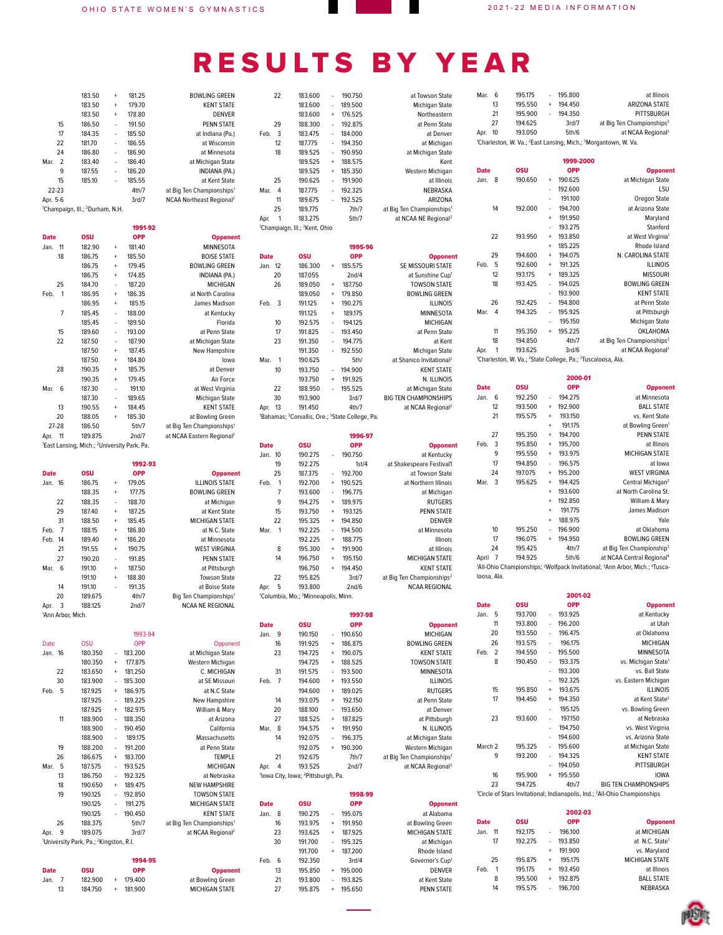| at Towson State                                           | Mar.               | 6              | 195.175            |                             | 195.800            | at Illinois                                                                                                                                                          |
|-----------------------------------------------------------|--------------------|----------------|--------------------|-----------------------------|--------------------|----------------------------------------------------------------------------------------------------------------------------------------------------------------------|
| Michigan State                                            |                    | 13             | 195.550            | $\ddot{}$                   | 194.450            | <b>ARIZONA STATE</b>                                                                                                                                                 |
| Northeastern                                              |                    | 21             | 195.900            |                             | 194.350            | PITTSBURGH                                                                                                                                                           |
| at Penn State                                             |                    | 27             | 194.625            |                             | 3rd/7              | at Big Ten Championships <sup>2</sup>                                                                                                                                |
| at Denver                                                 | Apr. 10            |                | 193.050            |                             | 5th/6              | at NCAA Regional <sup>3</sup>                                                                                                                                        |
| at Michigan                                               |                    |                |                    |                             |                    | <sup>1</sup> Charleston, W. Va.; <sup>2</sup> East Lansing, Mich.; <sup>3</sup> Morgantown, W. Va.                                                                   |
| at Michigan State<br>Kent                                 |                    |                |                    |                             | 1999-2000          |                                                                                                                                                                      |
| Western Michigan                                          | <b>Date</b>        |                | osu                |                             | <b>OPP</b>         | <b>Opponent</b>                                                                                                                                                      |
| at Illinois                                               | Jan.               | 8              | 190.650            | $\ddot{}$                   | 190.625            | at Michigan State                                                                                                                                                    |
| NEBRASKA                                                  |                    |                |                    |                             | 192.600            | LSU                                                                                                                                                                  |
| ARIZONA                                                   |                    |                |                    |                             | 191.100            | Oregon State                                                                                                                                                         |
| at Big Ten Championships <sup>1</sup>                     |                    | 14             | 192.000            | Ĭ.<br>$\overline{+}$        | 194.700            | at Arizona State                                                                                                                                                     |
| at NCAA NE Regional <sup>2</sup>                          |                    |                |                    |                             | 191.950<br>193.275 | Maryland<br>Stanford                                                                                                                                                 |
|                                                           |                    | 22             | 193.950            | $\ddot{}$                   | 193.850            | at West Virginia <sup>1</sup>                                                                                                                                        |
|                                                           |                    |                |                    | $\overline{+}$              | 185.225            | Rhode Island                                                                                                                                                         |
| <b>Opponent</b>                                           |                    | 29             | 194.600            | $\ddot{}$                   | 194.075            | N. CAROLINA STATE                                                                                                                                                    |
| SE MISSOURI STATE                                         | Feb.               | - 5            | 192.600            | $\ddot{}$                   | 191.325            | <b>ILLINOIS</b>                                                                                                                                                      |
| at Sunshine Cup1                                          |                    | 12             | 193.175            | $\ddot{}$                   | 189.325            | <b>MISSOURI</b>                                                                                                                                                      |
| <b>TOWSON STATE</b>                                       |                    | 18             | 193.425            | Ĭ.                          | 194.025<br>193.900 | <b>BOWLING GREEN</b><br><b>KENT STATE</b>                                                                                                                            |
| <b>BOWLING GREEN</b><br><b>ILLINOIS</b>                   |                    | 26             | 192.425            |                             | 194.800            | at Penn State                                                                                                                                                        |
| MINNESOTA                                                 | Mar.               | $\overline{4}$ | 194.325            |                             | 195.925            | at Pittsburgh                                                                                                                                                        |
| <b>MICHIGAN</b>                                           |                    |                |                    |                             | 195.150            | <b>Michigan State</b>                                                                                                                                                |
| at Penn State                                             |                    | 11             | 195.350            | $\ddot{}$                   | 195.225            | OKLAHOMA                                                                                                                                                             |
| at Kent                                                   |                    | 18             | 194.850            |                             | 4th/7              | at Big Ten Championships <sup>2</sup>                                                                                                                                |
| Michigan State                                            | Apr.               | 1              | 193.625            |                             | 3rd/6              | at NCAA Regional <sup>3</sup>                                                                                                                                        |
| at Shanico Invitational <sup>2</sup><br><b>KENT STATE</b> |                    |                |                    |                             |                    | <sup>1</sup> Charleston, W. Va.; <sup>2</sup> State College, Pa.; <sup>3</sup> Tuscaloosa, Ala.                                                                      |
| N. ILLINOIS                                               |                    |                |                    |                             | 2000-01            |                                                                                                                                                                      |
| at Michigan State                                         | <b>Date</b>        |                | <b>OSU</b>         |                             | <b>OPP</b>         | <b>Opponent</b>                                                                                                                                                      |
| <b>BIG TEN CHAMPIONSHIPS</b>                              | Jan.               | 6              | 192.250            |                             | 194.275            | at Minnesota                                                                                                                                                         |
| at NCAA Regional <sup>2</sup>                             |                    | 12             | 193.500            | $\ddot{}$                   | 192.900            | <b>BALL STATE</b>                                                                                                                                                    |
|                                                           |                    | 21             | 195.575            | $\ddot{}$                   | 193.150            | vs. Kent State                                                                                                                                                       |
|                                                           |                    | 27             | 195.350            | $\ddot{}$<br>$\ddot{}$      | 191.175<br>194.700 | at Bowling Green <sup>1</sup><br><b>PENN STATE</b>                                                                                                                   |
| <b>Opponent</b>                                           | Feb.               | 3              | 195.850            | $\overline{1}$              | 195.700            | at Illinois                                                                                                                                                          |
| at Kentucky                                               |                    | 9              | 195.550            | $\ddot{}$                   | 193.975            | <b>MICHIGAN STATE</b>                                                                                                                                                |
| at Shakespeare Festival1                                  |                    | 17             | 194.850            | L,                          | 196.575            | at lowa                                                                                                                                                              |
| at Towson State                                           |                    | 24             | 197.075            | $\ddot{}$                   | 195.200            | <b>WEST VIRGINIA</b>                                                                                                                                                 |
| at Northern Illinois                                      | Mar.               | 3              | 195.625            | $\ddot{}$                   | 194.425            | Central Michigan <sup>2</sup>                                                                                                                                        |
| at Michigan<br><b>RUTGERS</b>                             |                    |                |                    | $\ddot{}$<br>$\overline{1}$ | 193.600<br>192.850 | at North Carolina St.<br>William & Mary                                                                                                                              |
| <b>PENN STATE</b>                                         |                    |                |                    | $\ddot{}$                   | 191.775            | James Madison                                                                                                                                                        |
| DENVER                                                    |                    |                |                    | $\ddot{}$                   | 188.975            | Yale                                                                                                                                                                 |
| at Minnesota                                              |                    | 10             | 195.250            |                             | 196.900            | at Oklahoma                                                                                                                                                          |
| Illinois                                                  |                    | 17             | 196.075            | $\ddot{}$                   | 194.950            | <b>BOWLING GREEN</b>                                                                                                                                                 |
| at Illinois                                               |                    | 24             | 195.425            |                             | 4th/7              | at Big Ten Championship <sup>3</sup>                                                                                                                                 |
| <b>MICHIGAN STATE</b><br><b>KENT STATE</b>                | April              | - 7            | 194.925            |                             | 5th/6              | at NCAA Central Regional <sup>4</sup><br><sup>1</sup> All-Ohio Championships; <sup>2</sup> Wolfpack Invitational; <sup>3</sup> Ann Arbor, Mich.; <sup>4</sup> Tusca- |
| at Big Ten Championships <sup>2</sup>                     |                    | loosa, Ala.    |                    |                             |                    |                                                                                                                                                                      |
| <b>NCAA REGIONAL</b>                                      |                    |                |                    |                             |                    |                                                                                                                                                                      |
|                                                           |                    |                |                    |                             | 2001-02            |                                                                                                                                                                      |
|                                                           | <b>Date</b>        |                | OSU                |                             | <b>OPP</b>         | <b>Opponent</b>                                                                                                                                                      |
|                                                           | Jan.               | 5              | 193.700            |                             | 193.925            | at Kentucky                                                                                                                                                          |
| <b>Opponent</b>                                           |                    | 11<br>20       | 193.800<br>193.550 | i,<br>L,                    | 196.200<br>196.475 | at Utah<br>at Oklahoma                                                                                                                                               |
| <b>MICHIGAN</b><br><b>BOWLING GREEN</b>                   |                    | 26             | 193.575            |                             | 196.175            | <b>MICHIGAN</b>                                                                                                                                                      |
| <b>KENT STATE</b>                                         | Feb.               | $\overline{2}$ | 194.550            |                             | 195.500            | <b>MINNESOTA</b>                                                                                                                                                     |
| <b>TOWSON STATE</b>                                       |                    | 8              | 190.450            | Ĭ.                          | 193.375            | vs. Michigan State <sup>1</sup>                                                                                                                                      |
| MINNESOTA                                                 |                    |                |                    |                             | 193.300            | vs. Ball State                                                                                                                                                       |
| <b>ILLINOIS</b>                                           |                    |                |                    |                             | 192.325            | vs. Eastern Michigan                                                                                                                                                 |
| <b>RUTGERS</b>                                            |                    | 15             | 195.850            | $\ddot{}$                   | 193.675            | <b>ILLINOIS</b>                                                                                                                                                      |
| at Penn State                                             |                    | 17             | 194.450            | $\overline{+}$              | 194.350<br>195.125 | at Kent State <sup>2</sup><br>vs. Bowling Green                                                                                                                      |
| at Denver<br>at Pittsburgh                                |                    | 23             | 193.600            | Ĭ.                          | 197.150            | at Nebraska                                                                                                                                                          |
| N. ILLINOIS                                               |                    |                |                    |                             | 194.750            | vs. West Virginia                                                                                                                                                    |
| at Michigan State                                         |                    |                |                    |                             | 194.600            | vs. Arizona State                                                                                                                                                    |
| Western Michigan                                          | March <sub>2</sub> |                | 195.325            | $\overline{a}$              | 195.600            | at Michigan State                                                                                                                                                    |
| at Big Ten Championships <sup>1</sup>                     |                    | 9              | 193.200            |                             | 194.325            | <b>KENT STATE</b>                                                                                                                                                    |
| at NCAA Regional <sup>2</sup>                             |                    |                |                    | $\ddot{}$                   | 194.050            | PITTSBURGH                                                                                                                                                           |
|                                                           |                    | 16<br>23       | 195.900<br>194.725 |                             | 195.550<br>4th/7   | <b>IOWA</b><br><b>BIG TEN CHAMPIONSHIPS</b>                                                                                                                          |
|                                                           |                    |                |                    |                             |                    | <sup>1</sup> Circle of Stars Invitational; Indianapolis, Ind.; <sup>2</sup> All-Ohio Championships                                                                   |
|                                                           |                    |                |                    |                             |                    |                                                                                                                                                                      |

| 2002-03     |            |     |            |                            |  |  |  |
|-------------|------------|-----|------------|----------------------------|--|--|--|
| <b>Date</b> | <b>OSU</b> |     | <b>OPP</b> | <b>Opponent</b>            |  |  |  |
| Jan.<br>11  | 192.175    | ä,  | 196.100    | at MICHIGAN                |  |  |  |
| 17          | 192.275    | i,  | 193.850    | at N.C. State <sup>1</sup> |  |  |  |
|             |            | $+$ | 191.900    | vs. Marvland               |  |  |  |
| 25          | 195.875    | $+$ | 195.175    | <b>MICHIGAN STATE</b>      |  |  |  |
| Feb.<br>1   | 195.175    | $+$ | 193.450    | at Illinois                |  |  |  |
| 8           | 195.500    | $+$ | 192.875    | <b>BALL STATE</b>          |  |  |  |
| 14          | 195.575    | ٠   | 196.700    | NEBRASKA                   |  |  |  |

| 22                     | 183.600                                               | l,        | 190.750                                                                 | at Towson State                       |
|------------------------|-------------------------------------------------------|-----------|-------------------------------------------------------------------------|---------------------------------------|
|                        | 183.600                                               | a.        | 189.500                                                                 | Michigan State                        |
|                        | 183.600                                               | $\ddot{}$ | 176.525                                                                 | Northeastern                          |
| 29                     | 188.300                                               | ÷.        | 192.875                                                                 | at Penn State                         |
| Feb.<br>3              | 183.475                                               | l,        | 184.000                                                                 | at Denver                             |
| 12                     | 187.775                                               | L.        | 194.350                                                                 | at Michigan                           |
| 18                     | 189.525                                               | l,        | 190.950                                                                 | at Michigan State                     |
|                        | 189.525                                               | $\ddot{}$ | 188.575                                                                 | Kent                                  |
|                        | 189.525                                               | $\ddot{}$ | 185.350                                                                 | Western Michigan                      |
| 25                     | 190.625                                               | ä,        | 191.900                                                                 | at Illinois                           |
| $\overline{4}$<br>Mar. | 187.775                                               | l,        | 192.325                                                                 | NEBRASKA                              |
| 11                     | 189.675                                               | l,        | 192.525                                                                 | ARIZONA                               |
| 25                     | 189.775                                               |           | 7th/7                                                                   | at Big Ten Championships <sup>1</sup> |
| Apr.<br>1              | 183.275                                               |           | 5th/7                                                                   | at NCAA NE Regional <sup>2</sup>      |
|                        | <sup>1</sup> Champaign, Ill.; <sup>2</sup> Kent, Ohio |           |                                                                         |                                       |
|                        |                                                       |           |                                                                         |                                       |
| <b>Date</b>            | <b>OSU</b>                                            |           | 1995-96<br><b>OPP</b>                                                   | Oppone                                |
| Jan. 12                | 186.300                                               | $\ddot{}$ | 185.575                                                                 | SE MISSOURI STATE                     |
| 20                     | 187.055                                               |           | 2nd/4                                                                   | at Sunshine Cup1                      |
| 26                     | 189.050                                               | $\ddot{}$ | 187.750                                                                 | <b>TOWSON STATE</b>                   |
|                        | 189.050                                               | $\ddot{}$ | 179.850                                                                 | <b>BOWLING GREEN</b>                  |
| Feb.<br>3              | 191.125                                               | $\ddot{}$ | 190.275                                                                 | <b>ILLINOIS</b>                       |
|                        | 191.125                                               | $\ddot{}$ | 189.175                                                                 | <b>MINNESOTA</b>                      |
| 10                     |                                                       | i,        |                                                                         | <b>MICHIGAN</b>                       |
| 17                     | 192.575<br>191.825                                    | i,        | 194.125                                                                 | at Penn State                         |
|                        |                                                       |           | 193.450                                                                 |                                       |
| 23                     | 191.350                                               | í,        | 194.775                                                                 | at Kent                               |
|                        | 191.350                                               | í,        | 192.550                                                                 | Michigan State                        |
| Mar.<br>1              | 190.625                                               |           | 5th/                                                                    | at Shanico Invitational <sup>2</sup>  |
| 10                     | 193.750                                               | ä,        | 194.900                                                                 | <b>KENT STATE</b>                     |
|                        | 193.750                                               | $\ddot{}$ | 191.925                                                                 | N. ILLINOIS                           |
| 22                     | 188.950                                               | ä,        | 195.525                                                                 | at Michigan State                     |
| 30                     | 193.900                                               |           | 3rd/7                                                                   | <b>BIG TEN CHAMPIONSHIPS</b>          |
| 13<br>Apr.             | 191.450                                               |           | 4th/7                                                                   | at NCAA Regional <sup>2</sup>         |
|                        |                                                       |           | 'Bahamas; <sup>2</sup> Corvallis, Ore.; <sup>3</sup> State College, Pa. |                                       |
|                        |                                                       |           | 1996-97                                                                 |                                       |
| <b>Date</b>            | <b>OSU</b>                                            |           | <b>OPP</b>                                                              | Oppone                                |
| Jan. 10                | 190.275                                               | L,        | 190.750                                                                 | at Kentucky                           |
| 19                     | 192.275                                               |           | 1st/4                                                                   | at Shakespeare Festival1              |
| 25                     | 187.375                                               | ä,        | 192.700                                                                 | at Towson State                       |
| Feb.<br>1              | 192.700                                               | $\ddot{}$ | 190.525                                                                 | at Northern Illinois                  |
| 7                      | 193.600                                               | ÷         | 196.775                                                                 | at Michigan                           |
| 9                      | 194.275                                               | $\ddot{}$ | 189.975                                                                 | <b>RUTGERS</b>                        |
| 15                     | 193.750                                               | $\ddot{}$ | 193.125                                                                 | <b>PENN STATE</b>                     |
| 22                     | 195.325                                               | $\ddot{}$ | 194.850                                                                 | <b>DENVER</b>                         |
| 1<br>Mar.              | 192.225                                               | ÷         | 194.500                                                                 | at Minnesota                          |
|                        | 192.225                                               | $\ddot{}$ | 188.775                                                                 | Illinois                              |
| 8                      | 195.300                                               | $\ddot{}$ | 191.900                                                                 | at Illinois                           |
|                        |                                                       |           |                                                                         |                                       |

| <b>Date</b> | OSU     |           | <b>OPP</b>                                                              | <b>Opponer</b>                       |
|-------------|---------|-----------|-------------------------------------------------------------------------|--------------------------------------|
| 12<br>Jan.  | 186.300 | $\ddot{}$ | 185.575                                                                 | SE MISSOURI STATE                    |
| 20          | 187.055 |           | 2nd/4                                                                   | at Sunshine Cup <sup>1</sup>         |
| 26          | 189.050 | $\ddot{}$ | 187.750                                                                 | <b>TOWSON STATE</b>                  |
|             | 189.050 | $\ddot{}$ | 179.850                                                                 | <b>BOWLING GREEN</b>                 |
| 3<br>Feb.   | 191.125 | $\ddot{}$ | 190.275                                                                 | <b>ILLINOIS</b>                      |
|             | 191.125 | $\ddot{}$ | 189.175                                                                 | <b>MINNESOTA</b>                     |
| 10          | 192.575 | ä,        | 194.125                                                                 | <b>MICHIGAN</b>                      |
| 17          | 191.825 | ä,        | 193.450                                                                 | at Penn State                        |
| 23          | 191.350 | ä,        | 194.775                                                                 | at Kent                              |
|             | 191.350 |           | 192.550                                                                 | Michigan State                       |
| Mar.<br>1   | 190.625 |           | 5th/                                                                    | at Shanico Invitational <sup>2</sup> |
| 10          | 193.750 |           | 194.900                                                                 | <b>KENT STATE</b>                    |
|             | 193.750 | $\ddot{}$ | 191.925                                                                 | N. ILLINOIS                          |
| 22          | 188.950 | ä,        | 195.525                                                                 | at Michigan State                    |
| 30          | 193.900 |           | 3rd/7                                                                   | <b>BIG TEN CHAMPIONSHIPS</b>         |
| 13<br>Apr.  | 191.450 |           | 4th/7                                                                   | at NCAA Regional <sup>2</sup>        |
|             |         |           | 'Bahamas; <sup>2</sup> Corvallis, Ore.; <sup>3</sup> State College, Pa. |                                      |
|             |         |           |                                                                         |                                      |
|             |         |           |                                                                         |                                      |

| <b>Date</b> |                 | osu                                                         |                | <b>OPP</b> | <b>Opponer</b>                        |
|-------------|-----------------|-------------------------------------------------------------|----------------|------------|---------------------------------------|
| Jan.        | 10 <sup>2</sup> | 190.275                                                     |                | 190.750    | at Kentucky                           |
|             | 19              | 192.275                                                     |                | 1st/4      | at Shakespeare Festival1              |
|             | 25              | 187.375                                                     |                | 192.700    | at Towson State                       |
| Feb.        | 1               | 192.700                                                     | $\ddot{}$      | 190.525    | at Northern Illinois                  |
|             | 7               | 193.600                                                     | $\overline{a}$ | 196.775    | at Michigan                           |
|             | 9               | 194.275                                                     | $\ddot{}$      | 189.975    | <b>RUTGERS</b>                        |
|             | 15              | 193.750                                                     | $\ddot{}$      | 193.125    | <b>PENN STATE</b>                     |
|             | 22              | 195.325                                                     | $\ddot{}$      | 194.850    | <b>DENVER</b>                         |
| Mar.        | 1               | 192.225                                                     | $\overline{a}$ | 194.500    | at Minnesota                          |
|             |                 | 192.225                                                     | $\ddot{}$      | 188.775    | <b>Illinois</b>                       |
|             | 8               | 195.300                                                     | $\ddot{}$      | 191.900    | at Illinois                           |
|             | 14              | 196.750                                                     | $\ddot{}$      | 195.150    | <b>MICHIGAN STATE</b>                 |
|             |                 | 196.750                                                     | $\ddot{}$      | 194.450    | <b>KENT STATE</b>                     |
|             | 22              | 195.825                                                     |                | 3rd/7      | at Big Ten Championships <sup>2</sup> |
| Apr.        | 5               | 193.800                                                     |                | 2nd/6      | <b>NCAA REGIONAL</b>                  |
|             |                 | <sup>1</sup> Columbia, Mo.; <sup>2</sup> Minneapolis, Minn. |                |            |                                       |

| <b>Date</b> | osu                                            |           | <b>OPP</b> | <b>Opponent</b>                       |
|-------------|------------------------------------------------|-----------|------------|---------------------------------------|
| 9<br>Jan.   | 190.150                                        | ä,        | 190.650    | <b>MICHIGAN</b>                       |
| 16          | 191.925                                        | $\ddot{}$ | 186.875    | <b>BOWLING GREEN</b>                  |
| 23          | 194.725                                        | $\ddot{}$ | 190.075    | <b>KENT STATE</b>                     |
|             | 194.725                                        | $\ddot{}$ | 188.525    | <b>TOWSON STATE</b>                   |
| 31          | 191.575                                        | ä,        | 193.500    | MINNESOTA                             |
| 7<br>Feb.   | 194.600                                        | $\ddot{}$ | 193.550    | <b>ILLINOIS</b>                       |
|             | 194.600                                        | $\ddot{}$ | 189.025    | <b>RUTGERS</b>                        |
| 14          | 193.075                                        | $\ddot{}$ | 192.150    | at Penn State                         |
| 20          | 188.100                                        | ä,        | 193.650    | at Denver                             |
| 27          | 188.525                                        | $\ddot{}$ | 187.825    | at Pittsburgh                         |
| 8<br>Mar.   | 194.575                                        | $\ddot{}$ | 191.950    | N. ILLINOIS                           |
| 14          | 192.075                                        | ä,        | 196.375    | at Michigan State                     |
|             | 192.075                                        | $\ddot{}$ | 190.300    | Western Michigan                      |
| 21          | 192.675                                        |           | 7th/7      | at Big Ten Championships <sup>1</sup> |
| 4<br>Apr.   | 193.525                                        |           | 2nd/7      | at NCAA Regional <sup>2</sup>         |
|             | 'lowa City, Iowa; <sup>2</sup> Pittsburgh, Pa. |           |            |                                       |

MICHIGAN STATE

|             |         |           | 1998-99    |                       |
|-------------|---------|-----------|------------|-----------------------|
| <b>Date</b> | osu     |           | <b>OPP</b> | <b>Opponent</b>       |
| 8<br>Jan.   | 190.275 | ä,        | 195.075    | at Alabama            |
| 16          | 193.975 | $+$       | 191.950    | at Bowling Green      |
| 23          | 193.625 | $\ddot{}$ | 187.925    | <b>MICHIGAN STATE</b> |
| 30          | 191.700 |           | 195.325    | at Michigan           |
|             | 191.700 | $\ddot{}$ | 187.200    | Rhode Island          |
| Feb.<br>6   | 192.350 |           | 3rd/4      | Governor's Cup1       |
| 13          | 195.850 | $\ddot{}$ | 195.000    | <b>DENVER</b>         |

13 195.850 + 195.000 DENVER 21 193.800 - 193.825 at Kent State  $+ 195.650$ 

|           |                | 183.50                                                  | $+$ | 181.25  | <b>BOWLING GREEN</b>                  |
|-----------|----------------|---------------------------------------------------------|-----|---------|---------------------------------------|
|           |                | 183.50                                                  | $+$ | 179.70  | <b>KENT STATE</b>                     |
|           |                | 183.50                                                  | $+$ | 178.80  | <b>DENVER</b>                         |
|           | 15             | 186.50                                                  |     | 191.50  | <b>PENN STATE</b>                     |
|           | 17             | 184.35                                                  | ä,  | 185.50  | at Indiana (Pa.)                      |
|           | 22             | 181.70                                                  | ä,  | 186.55  | at Wisconsin                          |
|           | 24             | 186.80                                                  | ä,  | 186.90  | at Minnesota                          |
| Mar.      | $\overline{2}$ | 183.40                                                  | ä,  | 186.40  | at Michigan State                     |
|           | 9              | 187.55                                                  | ä,  | 186.20  | INDIANA (PA.)                         |
|           | 15             | 185.10                                                  |     | 185.55  | at Kent State                         |
| $22 - 23$ |                |                                                         |     | 4th/7   | at Big Ten Championships <sup>1</sup> |
| Apr. 5-6  |                |                                                         |     | 3rd/7   | NCAA Northeast Regional <sup>2</sup>  |
|           |                | <sup>1</sup> Champaign, III.; <sup>2</sup> Durham, N.H. |     |         |                                       |
|           |                |                                                         |     | 1991-92 |                                       |

| <b>Date</b> |                | OSU                                                     |           | <b>OPP</b> | <b>Opponent</b>                       |
|-------------|----------------|---------------------------------------------------------|-----------|------------|---------------------------------------|
| Jan.        | 11             | 182.90                                                  | $\ddot{}$ | 181.40     | MINNESOTA                             |
|             | 18             | 186.75                                                  | $\ddot{}$ | 185.50     | <b>BOISE STATE</b>                    |
|             |                | 186.75                                                  | $\ddot{}$ | 179.45     | <b>BOWLING GREEN</b>                  |
|             |                | 186.75                                                  | $\ddot{}$ | 174.85     | INDIANA (PA.)                         |
|             | 25             | 184.70                                                  | ä,        | 187.20     | <b>MICHIGAN</b>                       |
| Feb.        | 1              | 186.95                                                  | $\ddot{}$ | 186.35     | at North Carolina                     |
|             |                | 186.95                                                  | $\ddot{}$ | 185.15     | James Madison                         |
|             | $\overline{7}$ | 185.45                                                  | -         | 188,00     | at Kentucky                           |
|             |                | 185.45                                                  | ä,        | 189.50     | Florida                               |
|             | 15             | 189.60                                                  | ä,        | 193.00     | at Penn State                         |
|             | 22             | 187.50                                                  | ä,        | 187.90     | at Michigan State                     |
|             |                | 187.50                                                  | $\ddot{}$ | 187.45     | New Hampshire                         |
|             |                | 187.50                                                  | $\ddot{}$ | 184.80     | lowa                                  |
|             | 28             | 190.35                                                  | $\ddot{}$ | 185.75     | at Denver                             |
|             |                | 190.35                                                  | $\ddot{}$ | 179.45     | Air Force                             |
| Mar.        | 6              | 187.30                                                  | ä,        | 191.10     | at West Virginia                      |
|             |                | 187.30                                                  | -         | 189.65     | Michigan State                        |
|             | 13             | 190.55                                                  | $\ddot{}$ | 184.45     | <b>KENT STATE</b>                     |
|             | 20             | 188.05                                                  | $+$       | 185.30     | at Bowling Green                      |
|             | 27-28          | 186.50                                                  |           | 5th/7      | at Big Ten Championships <sup>1</sup> |
| Apr.        | 11             | 189.875                                                 |           | 2nd/7      | at NCAA Eastern Regional <sup>2</sup> |
|             |                | 'East Lansing, Mich.; <sup>2</sup> University Park, Pa. |           |            |                                       |
|             |                |                                                         |           | 1992-93    |                                       |
| <b>Date</b> |                | <b>OSU</b>                                              |           | <b>OPP</b> | <b>Opponent</b>                       |
|             |                |                                                         |           |            |                                       |

|                | บรบ                        |                   | UPP    | <b>Oppone</b>                      |
|----------------|----------------------------|-------------------|--------|------------------------------------|
|                | 186.75                     | $+$               | 179.05 | <b>ILLINOIS STATE</b>              |
|                | 188.35                     | $+$               | 177.75 | <b>BOWLING GREEN</b>               |
| 22             | 188.35                     | ٠                 | 188.70 | at Michigan                        |
| 29             | 187.40                     | $+$               | 187.25 | at Kent State                      |
| 31             | 188.50                     | $+$               | 185.45 | <b>MICHIGAN STATE</b>              |
| $\overline{7}$ | 188.15                     | $\ddot{}$         | 186.80 | at N.C. State                      |
|                | 189.40                     | $+$               | 186.20 | at Minnesota                       |
| 21             | 191.55                     | $+$               | 190.75 | <b>WEST VIRGINIA</b>               |
| 27             | 190.20                     | ٠                 | 191.85 | <b>PENN STATE</b>                  |
| 6              | 191.10                     | $+$               | 187.50 | at Pittsburgh                      |
|                | 191.10                     | $+$               | 188.80 | <b>Towson State</b>                |
| 14             | 191.10                     | ٠                 | 191.35 | at Boise State                     |
| 20             | 189.675                    |                   | 4th/7  | Big Ten Championships <sup>1</sup> |
| 3              | 188.125                    |                   | 2nd/7  | <b>NCAA NE REGIONAL</b>            |
|                |                            |                   |        |                                    |
|                | vate<br>Jan. 16<br>Feb. 14 | 'Ann Arbor, Mich. |        |                                    |

|             |                                                                |           | 1993-94    |                                       |
|-------------|----------------------------------------------------------------|-----------|------------|---------------------------------------|
| Date        | OSU                                                            |           | OPP        | Opponent                              |
| Jan. 16     | 180.350                                                        | i.        | 183.200    | at Michigan State                     |
|             | 180.350                                                        | $+$       | 177.875    | Western Michigan                      |
| 22          | 183.650                                                        | $\ddot{}$ | 181.250    | C. MICHIGAN                           |
| 30          | 183.900                                                        | i.        | 185.300    | at SE Missouri                        |
| 5<br>Feb.   | 187.925                                                        | $+$       | 186.975    | at N.C. State                         |
|             | 187.925                                                        | i.        | 189.225    | New Hampshire                         |
|             | 187.925                                                        | $\ddot{}$ | 182.975    | William & Mary                        |
| 11          | 188.900                                                        | ä,        | 188,350    | at Arizona                            |
|             | 188,900                                                        | ä,        | 190.450    | California                            |
|             | 188.900                                                        | ä,        | 189.175    | Massachusetts                         |
| 19          | 188.200                                                        | ä,        | 191.200    | at Penn State                         |
| 26          | 186.675                                                        | $\ddot{}$ | 183.700    | <b>TEMPLE</b>                         |
| 5<br>Mar.   | 187.575                                                        | ä,        | 193.525    | <b>MICHIGAN</b>                       |
| 13          | 186.750                                                        | ä,        | 192.325    | at Nebraska                           |
| 18          | 190.650                                                        | $\ddot{}$ | 189.475    | <b>NEW HAMPSHIRE</b>                  |
| 19          | 190.125                                                        | ä,        | 192.850    | <b>TOWSON STATE</b>                   |
|             | 190.125                                                        | ä,        | 191.275    | <b>MICHIGAN STATE</b>                 |
|             | 190.125                                                        | ä,        | 190.450    | <b>KENT STATE</b>                     |
| 26          | 188.375                                                        |           | 5th/7      | at Big Ten Championships <sup>1</sup> |
| 9<br>Apr.   | 189.075                                                        |           | 3rd/7      | at NCAA Regional <sup>2</sup>         |
|             | <sup>1</sup> University Park, Pa.; <sup>2</sup> Kingston, R.I. |           |            |                                       |
|             |                                                                |           | 1994-95    |                                       |
| <b>Date</b> | <b>OSU</b>                                                     |           | <b>OPP</b> | <b>Opponent</b>                       |
| 7<br>Jan.   | 182.900                                                        | $\ddot{}$ | 179,400    | at Bowling Green                      |

13 182.900 + 179.400 at Bowling Green<br>13 184.750 + 181.900 MICHIGAN STATE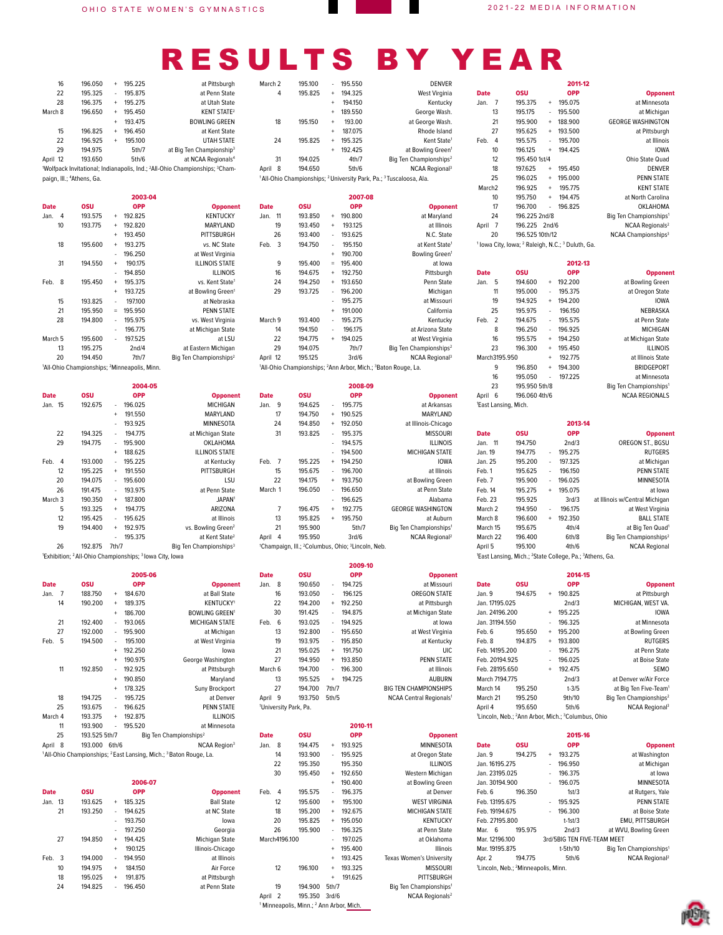| March 2                           | 195.100    | ł,                               | 195.550                                                                               | <b>DENVER</b>                                                                                         |                                  |                                                                                             |                                  | 2011-12    |                                    |
|-----------------------------------|------------|----------------------------------|---------------------------------------------------------------------------------------|-------------------------------------------------------------------------------------------------------|----------------------------------|---------------------------------------------------------------------------------------------|----------------------------------|------------|------------------------------------|
| 4                                 | 195.825    | $\ddot{}$                        | 194.325                                                                               | West Virginia                                                                                         | <b>Date</b>                      | osu                                                                                         |                                  | <b>OPP</b> | <b>Opponent</b>                    |
|                                   |            | $\ddot{\phantom{1}}$             | 194.150                                                                               | Kentucky                                                                                              | 7<br>Jan.                        | 195.375                                                                                     | $\ddot{}$                        | 195.075    | at Minnesota                       |
|                                   |            | $\ddot{}$                        | 189.550                                                                               | George Wash.                                                                                          | 13                               | 195.175                                                                                     | ÷,                               | 195.500    | at Michigan                        |
| 18                                | 195.150    | $\ddot{}$                        | 193.00                                                                                | at George Wash.                                                                                       | 21                               | 195.900                                                                                     | $\ddot{}$                        | 188.900    | <b>GEORGE WASHINGTON</b>           |
|                                   |            | $\ddot{\phantom{1}}$             | 187.075                                                                               | Rhode Island                                                                                          | 27                               | 195.625                                                                                     | $\ddot{}$                        | 193.500    | at Pittsburgh                      |
| 24                                | 195.825    | $\bf{+}$                         | 195.325                                                                               | Kent State <sup>1</sup>                                                                               | Feb.<br>$\overline{4}$           | 195.575                                                                                     | Ĭ.                               | 195.700    | at Illinois                        |
|                                   |            | $\ddot{}$                        | 192.425                                                                               | at Bowling Green <sup>1</sup>                                                                         | 10                               | 196.125                                                                                     | $\ddot{}$                        | 194.425    | <b>IOWA</b>                        |
| 31                                | 194.025    |                                  | 4th/7                                                                                 | Big Ten Championships <sup>2</sup>                                                                    | 12                               | 195.450 1st/4                                                                               |                                  |            | Ohio State Quad                    |
| April<br>- 8                      | 194.650    |                                  | 5th/6                                                                                 | NCAA Regional <sup>3</sup>                                                                            | 18                               | 197.625                                                                                     | $\ddag$                          | 195.450    | <b>DENVER</b>                      |
|                                   |            |                                  |                                                                                       | <sup>1</sup> All-Ohio Championships; <sup>2</sup> University Park, Pa.; <sup>3</sup> Tuscaloosa, Ala. | 25                               | 196.025                                                                                     | $\ddot{}$                        | 195.000    | <b>PENN STATE</b>                  |
|                                   |            |                                  |                                                                                       |                                                                                                       | March <sub>2</sub>               | 196.925                                                                                     | $\ddot{}$                        | 195.775    | <b>KENT STATE</b>                  |
|                                   |            |                                  | 2007-08                                                                               |                                                                                                       | 10                               | 195.750                                                                                     | $\ddag$                          | 194.475    | at North Carolina                  |
| <b>Date</b>                       | <b>OSU</b> |                                  | <b>OPP</b>                                                                            | <b>Opponent</b>                                                                                       | 17                               | 196.700                                                                                     | L,                               | 196.825    | OKLAHOMA                           |
| 11<br>Jan.                        | 193.850    | $\ddot{}$                        | 190.800                                                                               | at Maryland                                                                                           | 24                               | 196.225 2nd/8                                                                               |                                  |            | Big Ten Championships <sup>1</sup> |
| 19                                | 193.450    | $\ddag$                          | 193.125                                                                               | at Illinois                                                                                           | April 7                          | 196.225 2nd/6                                                                               |                                  |            | NCAA Regionals <sup>2</sup>        |
| 26                                | 193.400    |                                  | 193.625                                                                               | N.C. State                                                                                            | 20                               | 196.525 10th/12                                                                             |                                  |            | NCAA Championships <sup>3</sup>    |
| 3<br>Feb.                         | 194.750    |                                  | 195.150                                                                               | at Kent State <sup>1</sup>                                                                            |                                  | <sup>1</sup> lowa City, Iowa; <sup>2</sup> Raleigh, N.C.; <sup>3</sup> Duluth, Ga.          |                                  |            |                                    |
|                                   |            | $\ddag$                          | 190.700                                                                               | Bowling Green <sup>1</sup>                                                                            |                                  |                                                                                             |                                  |            |                                    |
| 9                                 | 195.400    | $\equiv$                         | 195.400                                                                               | at lowa                                                                                               |                                  |                                                                                             |                                  | 2012-13    |                                    |
| 16                                | 194.675    | $\ddot{}$                        | 192.750                                                                               | Pittsburgh                                                                                            | <b>Date</b>                      | <b>OSU</b>                                                                                  |                                  | <b>OPP</b> | <b>Opponent</b>                    |
| 24                                | 194.250    | $\ddot{}$                        | 193.650                                                                               | Penn State                                                                                            | 5<br>Jan.                        | 194.600                                                                                     | $\begin{array}{c} + \end{array}$ | 192.200    | at Bowling Green                   |
| 29                                | 193.725    |                                  | 196.200                                                                               | Michigan                                                                                              | 11                               | 195.000                                                                                     | L,                               | 195.375    | at Oregon State                    |
|                                   |            |                                  | 195.275                                                                               | at Missouri                                                                                           | 19                               | 194.925                                                                                     | $\ddot{}$                        | 194.200    | <b>IOWA</b>                        |
|                                   |            | $\ddag$                          | 191.000                                                                               | California                                                                                            | 25                               | 195.975                                                                                     | ÷,                               | 196.150    | NEBRASKA                           |
| March 9                           | 193.400    |                                  | 195.275                                                                               | Kentucky                                                                                              | Feb.<br>$\overline{2}$           | 194.675                                                                                     |                                  | 195.575    | at Penn State                      |
| 14                                | 194.150    |                                  | 196.175                                                                               | at Arizona State                                                                                      | 8                                | 196.250                                                                                     | ä,                               | 196.925    | <b>MICHIGAN</b>                    |
| 22                                | 194.775    | $\ddot{}$                        | 194.025                                                                               | at West Virginia                                                                                      | 16                               | 195.575                                                                                     | $\ddag$                          | 194.250    | at Michigan State                  |
| 29                                | 194.075    |                                  | 7th/7                                                                                 | Big Ten Championships <sup>2</sup>                                                                    | 23                               | 196.300                                                                                     | $\ddot{}$                        | 195.450    | <b>ILLINOIS</b>                    |
| April 12                          | 195.125    |                                  | 3rd/6                                                                                 | NCAA Regional <sup>3</sup>                                                                            | March3195.950                    |                                                                                             | $\ddot{}$                        | 192.775    | at Illinois State                  |
|                                   |            |                                  |                                                                                       | 1All-Ohio Championships; <sup>2</sup> Ann Arbor, Mich.; <sup>3</sup> Baton Rouge, La.                 | 9                                | 196.850                                                                                     | $^{\mathrm{+}}$                  | 194.300    | <b>BRIDGEPORT</b>                  |
|                                   |            |                                  |                                                                                       |                                                                                                       | 16                               | 195.050                                                                                     | i,                               | 197.225    | at Minnesota                       |
|                                   |            |                                  | 2008-09                                                                               |                                                                                                       | 23                               | 195.950 5th/8                                                                               |                                  |            | Big Ten Championships <sup>1</sup> |
| <b>Date</b>                       | <b>OSU</b> |                                  | <b>OPP</b>                                                                            | <b>Opponent</b>                                                                                       | April 6                          | 196.060 4th/6                                                                               |                                  |            | <b>NCAA REGIONALS</b>              |
| 9<br>Jan.                         | 194.625    |                                  | 195.775                                                                               | at Arkansas                                                                                           | <sup>1</sup> East Lansing, Mich. |                                                                                             |                                  |            |                                    |
| 17                                | 194.750    | $\ddot{}$                        | 190.525                                                                               | MARYLAND                                                                                              |                                  |                                                                                             |                                  |            |                                    |
| 24                                | 194.850    | $\ddot{}$                        | 192.050                                                                               | at Illinois-Chicago                                                                                   |                                  |                                                                                             |                                  | 2013-14    |                                    |
| 31                                | 193.825    |                                  | 195.375                                                                               | <b>MISSOURI</b>                                                                                       | <b>Date</b>                      | <b>OSU</b>                                                                                  |                                  | <b>OPP</b> | <b>Opponent</b>                    |
|                                   |            |                                  | 194.575                                                                               | <b>ILLINOIS</b>                                                                                       | Jan. 11                          | 194.750                                                                                     |                                  | 2nd/3      | OREGON ST., BGSU                   |
|                                   |            | Ĭ.                               | 194.500                                                                               | <b>MICHIGAN STATE</b>                                                                                 | Jan. 19                          | 194.775                                                                                     | $\overline{\phantom{a}}$         | 195.275    | <b>RUTGERS</b>                     |
| $\overline{7}$<br>Feb.            | 195.225    | $\ddot{}$                        | 194.250                                                                               | <b>IOWA</b>                                                                                           | Jan. 25                          | 195.200                                                                                     |                                  | 197.325    | at Michigan                        |
| 15                                | 195.675    |                                  | 196.700                                                                               | at Illinois                                                                                           | Feb. 1                           | 195.625                                                                                     | i,                               | 196.150    | <b>PENN STATE</b>                  |
| 22                                | 194.175    | $\ddot{}$                        | 193.750                                                                               | at Bowling Green                                                                                      | Feb. 7                           | 195.900                                                                                     | ÷,                               | 196.025    | MINNESOTA                          |
| March 1                           | 196.050    |                                  | 196.650                                                                               | at Penn State                                                                                         | Feb. 14                          | 195.275                                                                                     | $\ddot{}$                        | 195.075    | at lowa                            |
|                                   |            |                                  | 196.625                                                                               | Alabama                                                                                               | Feb. 23                          | 195.925                                                                                     |                                  | 3rd/3      | at Illinois w/Central Michigan     |
| $\overline{7}$                    | 196.475    | $\ddag$                          | 192.775                                                                               | <b>GEORGE WASHINGTON</b>                                                                              | March 2                          | 194.950                                                                                     | Ĭ.                               | 196.175    | at West Virginia                   |
| 13                                | 195.825    | $\ddot{}$                        | 195.750                                                                               | at Auburn                                                                                             | March 8                          | 196.600                                                                                     | $\ddot{}$                        | 192.350    | <b>BALL STATE</b>                  |
| 21                                | 195.900    |                                  | 5th/7                                                                                 | Big Ten Championships <sup>1</sup>                                                                    | March 15                         | 195.675                                                                                     |                                  | 4th/4      | at Big Ten Quad                    |
| $\overline{4}$                    | 195.950    |                                  | 3rd/6                                                                                 |                                                                                                       | March 22                         | 196.400                                                                                     |                                  | 6th/8      |                                    |
| April                             |            |                                  |                                                                                       | NCAA Regional <sup>2</sup>                                                                            |                                  |                                                                                             |                                  |            | Big Ten Championships <sup>2</sup> |
|                                   |            |                                  | <sup>1</sup> Champaign, Ill.; <sup>2</sup> Columbus, Ohio; <sup>3</sup> Lincoln, Neb. |                                                                                                       | April 5                          | 195.100                                                                                     |                                  | 4th/6      | <b>NCAA Regional</b>               |
|                                   |            |                                  |                                                                                       |                                                                                                       |                                  | <sup>1</sup> East Lansing, Mich.; <sup>2</sup> State College, Pa.; <sup>3</sup> Athens, Ga. |                                  |            |                                    |
|                                   |            |                                  | 2009-10                                                                               |                                                                                                       |                                  |                                                                                             |                                  |            |                                    |
| <b>Date</b>                       | <b>OSU</b> |                                  | <b>OPP</b>                                                                            | <b>Opponent</b>                                                                                       |                                  |                                                                                             |                                  | 2014-15    |                                    |
| 8<br>Jan.                         | 190.650    |                                  | 194.725                                                                               | at Missouri                                                                                           | <b>Date</b>                      | <b>OSU</b>                                                                                  |                                  | <b>OPP</b> | <b>Opponent</b>                    |
| 16                                | 193.050    |                                  | 196.125                                                                               | OREGON STATE                                                                                          | Jan. 9                           | 194.675                                                                                     |                                  | 190.825    | at Pittsburgh                      |
| 22                                | 194.200    | $\begin{array}{c} + \end{array}$ | 192.250                                                                               | at Pittsburgh                                                                                         | Jan. 17195.025                   |                                                                                             |                                  | 2nd/3      | MICHIGAN, WEST VA.                 |
| 30                                | 191.425    |                                  | 194.875                                                                               | at Michigan State                                                                                     | Jan. 24196.200                   |                                                                                             | $^{\mathrm{+}}$                  | 195.225    | <b>IOWA</b>                        |
| Feb. 6                            | 193.025    | ä,                               | 194.925                                                                               | at lowa                                                                                               | Jan. 31194.550                   |                                                                                             |                                  | 196.325    | at Minnesota                       |
| 13                                | 192.800    |                                  | 195.650                                                                               | at West Virginia                                                                                      | Feb. 6                           | 195.650                                                                                     | $\pmb{+}$                        | 195.200    | at Bowling Green                   |
| 19                                | 193.975    |                                  | 195.850                                                                               | at Kentucky                                                                                           | Feb. 8                           | 194.875                                                                                     | $\ddot{}$                        | 193.800    | <b>RUTGERS</b>                     |
| 21                                | 195.025    | $\bf{+}$                         | 191.750                                                                               | UIC                                                                                                   | Feb. 14195.200                   |                                                                                             | Ĭ.                               | 196.275    | at Penn State                      |
| 27                                | 194.950    | $\ddot{}$                        | 193.850                                                                               | <b>PENN STATE</b>                                                                                     | Feb. 20194.925                   |                                                                                             |                                  | 196.025    | at Boise State                     |
| March 6                           | 194.700    |                                  | 196.300                                                                               | at Illinois                                                                                           | Feb. 28195.650                   |                                                                                             | $\ddot{}$                        | 192.475    | <b>SEMO</b>                        |
| 13                                | 195.525    | $\ddag$                          | 194.725                                                                               | <b>AUBURN</b>                                                                                         | March 7194.775                   |                                                                                             |                                  | 2nd/3      | at Denver w/Air Force              |
| 27                                | 194.700    | 7th/7                            |                                                                                       | <b>BIG TEN CHAMPIONSHIPS</b>                                                                          | March 14                         | 195.250                                                                                     |                                  | $t - 3/5$  | at Big Ten Five-Team <sup>1</sup>  |
| April 9                           | 193.750    | 5th/5                            |                                                                                       | <b>NCAA Central Regionals1</b>                                                                        | March 21                         | 195.250                                                                                     |                                  | 9th/10     | Big Ten Championships <sup>2</sup> |
| <sup>1</sup> University Park, Pa. |            |                                  |                                                                                       |                                                                                                       | April 4                          | 195.650                                                                                     |                                  | 5th/6      | NCAA Regional <sup>3</sup>         |
|                                   |            |                                  |                                                                                       |                                                                                                       |                                  | <sup>1</sup> Lincoln, Neb.; <sup>2</sup> Ann Arbor, Mich.; <sup>3</sup> Columbus, Ohio      |                                  |            |                                    |
|                                   |            |                                  | 2010-11                                                                               |                                                                                                       |                                  |                                                                                             |                                  |            |                                    |
| <b>Date</b>                       | <b>OSU</b> |                                  | <b>OPP</b>                                                                            | <b>Opponent</b>                                                                                       |                                  |                                                                                             |                                  | 2015-16    |                                    |
| 8<br>Jan.                         | 194.475    | $\ddot{}$                        | 193.925                                                                               | MINNESOTA                                                                                             | <b>Date</b>                      | <b>OSU</b>                                                                                  |                                  | <b>OPP</b> | <b>Opponent</b>                    |
| 14                                | 193.900    |                                  | 195.925                                                                               | at Oregon State                                                                                       | Jan. 9                           | 194.275                                                                                     | $\ddot{}$                        | 193.275    | at Washington                      |
| 22                                | 195.350    |                                  | 195.350                                                                               | <b>ILLINOIS</b>                                                                                       | Jan. 16195.275                   |                                                                                             | Ĭ.                               | 196.950    | at Michigan                        |
| 30                                | 195.450    | $\ddot{}$                        | 192.650                                                                               | Western Michigan                                                                                      | Jan. 23195.025                   |                                                                                             |                                  | 196.375    | at lowa                            |
|                                   |            | $\ddot{}$                        | 190.400                                                                               | at Bowling Green                                                                                      | Jan. 30194.900                   |                                                                                             |                                  | 196.075    | MINNESOTA                          |
| Feb. 4                            | 195.575    | $\overline{\phantom{a}}$         | 196.375                                                                               | at Denver                                                                                             | Feb. 6                           | 196.350                                                                                     |                                  | 1st/3      | at Rutgers, Yale                   |
| 12                                | 195.600    | $\bf{+}$                         | 195.100                                                                               | <b>WEST VIRGINIA</b>                                                                                  | Feb. 13195.675                   |                                                                                             | $\overline{a}$                   | 195.925    | <b>PENN STATE</b>                  |
| 18                                | 195.200    | $\ddot{}$                        | 192.675                                                                               | <b>MICHIGAN STATE</b>                                                                                 | Feb. 19194.675                   |                                                                                             |                                  | 196.300    | at Boise State                     |

|             | 24             | 195.825                                                                   | $\ddot{}$ | 195.325     | Kent State <sup>1</sup>                                                                               |
|-------------|----------------|---------------------------------------------------------------------------|-----------|-------------|-------------------------------------------------------------------------------------------------------|
|             |                |                                                                           | $+$       | 192.425     | at Bowling Green <sup>1</sup>                                                                         |
|             | 31             | 194.025                                                                   |           | 4th/7       | Big Ten Championships <sup>2</sup>                                                                    |
| April       | 8              | 194.650                                                                   |           | 5th/6       | NCAA Regional <sup>3</sup>                                                                            |
|             |                |                                                                           |           |             | <sup>1</sup> All-Ohio Championships; <sup>2</sup> University Park, Pa.; <sup>3</sup> Tuscaloosa, Ala. |
|             |                |                                                                           |           |             |                                                                                                       |
|             |                |                                                                           |           | 2007-08     |                                                                                                       |
|             |                | <b>OSU</b>                                                                |           | <b>OPP</b>  | <b>Opponent</b>                                                                                       |
| Date        |                |                                                                           |           |             |                                                                                                       |
| Jan.        | 11             | 193.850                                                                   | $\ddot{}$ | 190.800     | at Maryland                                                                                           |
|             | 19             | 193.450                                                                   | $\ddot{}$ | 193.125     | at Illinois                                                                                           |
|             | 26             | 193.400                                                                   | ٠         | 193.625     | N.C. State                                                                                            |
| Feb.        | 3              | 194.750                                                                   | i,        | 195.150     | at Kent State <sup>1</sup>                                                                            |
|             |                |                                                                           | $\ddot{}$ | 190.700     | Bowling Green <sup>1</sup>                                                                            |
|             | 9              | 195.400                                                                   | $\equiv$  | 195.400     | at Iowa                                                                                               |
|             | 16             | 194.675                                                                   | $\ddot{}$ | 192.750     | Pittsburgh                                                                                            |
|             | 24             | 194.250                                                                   | $\ddot{}$ | 193.650     | Penn State                                                                                            |
|             | 29             | 193.725                                                                   | ÷.        | 196.200     | Michigan                                                                                              |
|             |                |                                                                           | ä,        |             |                                                                                                       |
|             |                |                                                                           |           | 195.275     | at Missouri                                                                                           |
|             |                |                                                                           | $\ddot{}$ | 191.000     | California                                                                                            |
| March 9     |                | 193.400                                                                   | ÷.        | 195.275     | Kentucky                                                                                              |
|             | 14             | 194.150                                                                   | ÷,        | 196.175     | at Arizona State                                                                                      |
|             | 22             | 194.775                                                                   | $+$       | 194.025     | at West Virginia                                                                                      |
|             | 29             | 194.075                                                                   |           | 7th/7       | Big Ten Championships <sup>2</sup>                                                                    |
| April 12    |                | 195.125                                                                   |           | 3rd/6       | NCAA Regional <sup>3</sup>                                                                            |
|             |                |                                                                           |           |             | 'All-Ohio Championships; <sup>2</sup> Ann Arbor, Mich.; <sup>3</sup> Baton Rouge, La.                 |
|             |                |                                                                           |           |             |                                                                                                       |
|             |                |                                                                           |           | 2008-09     |                                                                                                       |
|             |                |                                                                           |           |             |                                                                                                       |
| <b>Date</b> |                | <b>OSU</b>                                                                |           | <b>OPP</b>  | <b>Opponent</b>                                                                                       |
| Jan.        | 9              | 194.625                                                                   |           | 195.775     | at Arkansas                                                                                           |
|             | 17             | 194.750                                                                   | $\ddot{}$ | 190.525     | MARYLAND                                                                                              |
|             | 24             | 194.850                                                                   | $\ddot{}$ | 192.050     | at Illinois-Chicago                                                                                   |
|             | 31             | 193.825                                                                   | ÷,        | 195.375     | <b>MISSOURI</b>                                                                                       |
|             |                |                                                                           | ä,        | 194.575     | <b>ILLINOIS</b>                                                                                       |
|             |                |                                                                           | ä,        | 194.500     | <b>MICHIGAN STATE</b>                                                                                 |
| Feb.        | 7              | 195.225                                                                   | $\ddot{}$ | 194.250     | IOWA                                                                                                  |
|             |                |                                                                           |           | 196.700     |                                                                                                       |
|             | 15             | 195.675                                                                   | ÷.        |             | at Illinois                                                                                           |
|             | 22             | 194.175                                                                   | $\ddot{}$ | 193.750     | at Bowling Green                                                                                      |
| March 1     |                | 196.050                                                                   | ÷.        | 196.650     | at Penn State                                                                                         |
|             |                |                                                                           | ÷         | 196.625     | Alabama                                                                                               |
|             | 7              | 196.475                                                                   | $\ddot{}$ | 192.775     | <b>GEORGE WASHINGTON</b>                                                                              |
|             | 13             | 195.825                                                                   | $^+$      | 195.750     | at Auburn                                                                                             |
|             | 21             | 195.900                                                                   |           | 5th/7       | Big Ten Championships <sup>1</sup>                                                                    |
| April       | 4              | 195.950                                                                   |           | 3rd/6       | NCAA Regional <sup>2</sup>                                                                            |
|             |                | 'Champaign, Ill.; <sup>2</sup> Columbus, Ohio; <sup>3</sup> Lincoln, Neb. |           |             |                                                                                                       |
|             |                |                                                                           |           |             |                                                                                                       |
|             |                |                                                                           |           |             |                                                                                                       |
|             |                |                                                                           |           | 2009-10     |                                                                                                       |
| <b>Date</b> |                | <b>OSU</b>                                                                |           | <b>OPP</b>  | <b>Opponent</b>                                                                                       |
| Jan.        | - 8            | 190.650                                                                   |           | 194.725     | at Missouri                                                                                           |
|             | 16             | 193.050                                                                   | ä,        | 196.125     | <b>OREGON STATE</b>                                                                                   |
|             | 22             | 194.200                                                                   | $\ddot{}$ | 192.250     | at Pittsburgh                                                                                         |
|             | 30             | 191.425                                                                   | i,        | 194.875     | at Michigan State                                                                                     |
| Feb.        | 6              | 193.025                                                                   | ä,        | 194.925     | at lowa                                                                                               |
|             | 13             | 192.800                                                                   | ٠         | 195.650     | at West Virginia                                                                                      |
|             |                |                                                                           |           |             |                                                                                                       |
|             | 19             | 193.975                                                                   | ÷,        | 195.850     | at Kentucky                                                                                           |
|             | 21             | 195.025                                                                   | $\ddot{}$ | 191.750     | UIC                                                                                                   |
|             | 27             | 194.950                                                                   | $\ddot{}$ | 193.850     | <b>PENN STATE</b>                                                                                     |
| March 6     |                | 194.700                                                                   | ÷         | 196.300     | at Illinois                                                                                           |
|             | 13             | 195.525                                                                   | $+$       | 194.725     | <b>AUBURN</b>                                                                                         |
|             | 27             | 194.700                                                                   | 7th/7     |             | <b>BIG TEN CHAMPIONSHIPS</b>                                                                          |
| April       | 9              | 193.750                                                                   | 5th/5     |             | NCAA Central Regionals <sup>1</sup>                                                                   |
|             |                |                                                                           |           |             |                                                                                                       |
|             |                | <sup>1</sup> University Park, Pa.                                         |           |             |                                                                                                       |
|             |                |                                                                           |           |             |                                                                                                       |
|             |                |                                                                           |           | 2010-11     |                                                                                                       |
| <b>Date</b> |                | <b>OSU</b>                                                                |           | <b>OPP</b>  | <b>Opponent</b>                                                                                       |
| Jan.        | 8              | 194.475                                                                   |           | + 193.925   | MINNESOTA                                                                                             |
|             | 14             | 193.900                                                                   |           | 195.925     | at Oregon State                                                                                       |
|             | 22             | 195.350                                                                   |           | 195.350     | <b>ILLINOIS</b>                                                                                       |
|             | 30             | 195.450                                                                   |           | $+ 192.650$ | Western Michigan                                                                                      |
|             |                |                                                                           | $\ddot{}$ | 190.400     | at Bowling Green                                                                                      |
| Feb.        | $\overline{4}$ | 195.575                                                                   | ä,        | 196.375     | at Denver                                                                                             |
|             |                |                                                                           |           |             |                                                                                                       |
|             | 12             | 195.600                                                                   | $+$       | 195.100     | <b>WEST VIRGINIA</b>                                                                                  |
|             | 18             | 195.200                                                                   | $\pm$     | 192.675     | <b>MICHIGAN STATE</b>                                                                                 |
|             | 20             | 195.825                                                                   |           | $+ 195.050$ | <b>KENTUCKY</b>                                                                                       |
|             | 26             | 195.900                                                                   |           | $-196.325$  | at Penn State                                                                                         |
|             |                | March 4106 100                                                            |           | 107025      | at Oklahoma                                                                                           |

| 16          | 196.050                               | $\ddot{}$ | 195.225    | at Pittsburgh                                                                                       |
|-------------|---------------------------------------|-----------|------------|-----------------------------------------------------------------------------------------------------|
| 22          | 195.325                               | i.        | 195.875    | at Penn State                                                                                       |
| 28          | 196.375                               | $\ddot{}$ | 195.275    | at Utah State                                                                                       |
| March 8     | 196.650                               | $\ddot{}$ | 195.450    | <b>KENT STATE<sup>2</sup></b>                                                                       |
|             |                                       | $\ddot{}$ | 193.475    | <b>BOWLING GREEN</b>                                                                                |
| 15          | 196.825                               | $+$       | 196.450    | at Kent State                                                                                       |
| 22          | 196.925                               | $+$       | 195.100    | <b>UTAH STATE</b>                                                                                   |
| 29          | 194.975                               |           | 5th/7      | at Big Ten Championship <sup>3</sup>                                                                |
| April 12    | 193.650                               |           | 5th/6      | at NCAA Regionals <sup>4</sup>                                                                      |
|             |                                       |           |            | 'Wolfpack Invitational; Indianapolis, Ind.; <sup>2</sup> All-Ohio Championships; <sup>3</sup> Cham- |
|             | paign, III.; <sup>4</sup> Athens, Ga. |           |            |                                                                                                     |
|             |                                       |           |            |                                                                                                     |
|             |                                       |           |            |                                                                                                     |
|             |                                       |           | 2003-04    |                                                                                                     |
| <b>Date</b> | <b>OSU</b>                            |           | <b>OPP</b> | <b>Opponent</b>                                                                                     |
| 4<br>Jan.   | 193.575                               | +         | 192.825    | <b>KENTUCKY</b>                                                                                     |
| 10          | 193.775                               | $\ddot{}$ | 192.820    | <b>MARYLAND</b>                                                                                     |
|             |                                       | $\ddot{}$ | 193.450    | PITTSBURGH                                                                                          |
| 18          | 195.600                               | $\ddot{}$ | 193.275    | vs. NC State                                                                                        |
|             |                                       | ä,        | 196.250    | at West Virginia                                                                                    |
| 31          | 194.550                               | $\ddot{}$ | 190.175    | <b>ILLINOIS STATE</b>                                                                               |
|             |                                       | ä,        | 194.850    | <b>ILLINOIS</b>                                                                                     |
| Feb.<br>8   | 195.450                               | $\ddot{}$ | 195.375    | vs. Kent State <sup>1</sup>                                                                         |
|             |                                       | $\ddot{}$ | 193.725    | at Bowling Green <sup>1</sup>                                                                       |
| 15          | 193.825                               | ä,        | 197.100    | at Nebraska                                                                                         |

28 194.800 - 195.975 vs. West Virginia

March 5 195.600 - 197.525 at LSU<br>13 195.275 2nd/4 at Eastern Michigan 13 195.275 2nd/4 at Eastern Michigan<br>20 194.450 7th/7 Big Ten Championships<sup>2</sup>

- 196.775 at Michigan State

Big Ten Championships<sup>2</sup>

21 195.950 = 195.950<br>28 194.800 - 195.975

|                        | <sup>1</sup> All-Ohio Championships; <sup>2</sup> Minneapolis, Minn.                       |           |            |                                    |
|------------------------|--------------------------------------------------------------------------------------------|-----------|------------|------------------------------------|
|                        |                                                                                            |           | 2004-05    |                                    |
| <b>Date</b>            | OSU                                                                                        |           | <b>OPP</b> | <b>Opponent</b>                    |
| Jan. 15                | 192.675                                                                                    | -         | 196.025    | <b>MICHIGAN</b>                    |
|                        |                                                                                            | $+$       | 191.550    | <b>MARYLAND</b>                    |
|                        |                                                                                            | ä,        | 193.925    | <b>MINNESOTA</b>                   |
| 22                     | 194.325                                                                                    | ä,        | 194.775    | at Michigan State                  |
| 29                     | 194.775                                                                                    | ä,        | 195.900    | OKLAHOMA                           |
|                        |                                                                                            | $+$       | 188.625    | <b>ILLINOIS STATE</b>              |
| Feb.<br>$\overline{4}$ | 193.000                                                                                    | ä,        | 195.225    | at Kentucky                        |
| 12                     | 195.225                                                                                    | $\ddot{}$ | 191.550    | PITTSBURGH                         |
| 20                     | 194.075                                                                                    | -         | 195.600    | LSU                                |
| 26                     | 191.475                                                                                    | -         | 193.975    | at Penn State                      |
| March <sub>3</sub>     | 190.350                                                                                    | $\ddot{}$ | 187.800    | <b>JAPAN</b>                       |
| 5                      | 193.325                                                                                    | $+$       | 194.775    | ARIZONA                            |
| 12                     | 195.425                                                                                    | i.        | 195.625    | at Illinois                        |
| 19                     | 194.400                                                                                    | $+$       | 192.975    | vs. Bowling Green <sup>2</sup>     |
|                        |                                                                                            | ä,        | 195.375    | at Kent State <sup>2</sup>         |
| 26                     | 192.875                                                                                    | 7th/7     |            | Big Ten Championships <sup>3</sup> |
|                        | <sup>1</sup> Exhibition; <sup>2</sup> All-Ohio Championships; <sup>3</sup> lowa City, lowa |           |            |                                    |

|                        |               |           | 2005-06    |                                                                                                      |
|------------------------|---------------|-----------|------------|------------------------------------------------------------------------------------------------------|
| <b>Date</b>            | OSU           |           | <b>OPP</b> | <b>Opponent</b>                                                                                      |
| $\overline{7}$<br>Jan. | 188.750       | +         | 184.670    | at Ball State                                                                                        |
| 14                     | 190.200       | $\ddot{}$ | 189.375    | <b>KENTUCKY1</b>                                                                                     |
|                        |               | $+$       | 186.700    | <b>BOWLING GREEN!</b>                                                                                |
| 21                     | 192.400       | ä,        | 193.065    | <b>MICHIGAN STATE</b>                                                                                |
| 27                     | 192.000       |           | 195.900    | at Michigan                                                                                          |
| 5<br>Feb.              | 194.500       | ٠         | 195.100    | at West Virginia                                                                                     |
|                        |               | $+$       | 192.250    | lowa                                                                                                 |
|                        |               | $\ddot{}$ | 190.975    | George Washington                                                                                    |
| 11                     | 192.850       | ä,        | 192.925    | at Pittsburgh                                                                                        |
|                        |               | $\ddot{}$ | 190.850    | Maryland                                                                                             |
|                        |               | $+$       | 178.325    | Suny Brockport                                                                                       |
| 18                     | 194.725       | ä,        | 195.725    | at Denver                                                                                            |
| 25                     | 193.675       | ä,        | 196.625    | <b>PENN STATE</b>                                                                                    |
| March 4                | 193.375       | $+$       | 192.875    | <b>ILLINOIS</b>                                                                                      |
| 11                     | 193.900       | ä,        | 195.520    | at Minnesota                                                                                         |
| 25                     | 193.525 5th/7 |           |            | Big Ten Championships <sup>2</sup>                                                                   |
| 8<br>April             | 193.000       | 6th/6     |            | NCAA Region <sup>3</sup>                                                                             |
|                        |               |           |            | <sup>1</sup> All-Ohio Championships; <sup>2</sup> East Lansing, Mich.; <sup>3</sup> Baton Rouge, La. |

|             |         |           | 2006-07    |                   |
|-------------|---------|-----------|------------|-------------------|
| <b>Date</b> | OSU     |           | <b>OPP</b> | <b>Opponent</b>   |
| -13<br>Jan. | 193.625 | $\ddot{}$ | 185.325    | <b>Ball State</b> |
| 21          | 193.250 | ä,        | 194.625    | at NC State       |
|             |         | ٠         | 193.750    | lowa              |
|             |         | ٠         | 197.250    | Georgia           |
| 27          | 194.850 | $\ddot{}$ | 194.425    | Michigan State    |
|             |         | $\ddot{}$ | 190.125    | Illinois-Chicago  |
| 3<br>Feb.   | 194.000 | ä,        | 194.950    | at Illinois       |
| 10          | 194.975 | $\ddot{}$ | 184.150    | Air Force         |
| 18          | 195.025 | $\ddot{}$ | 191.875    | at Pittsburgh     |
| 24          | 194.825 |           | 196.450    | at Penn State     |
|             |         |           |            |                   |

 + 191.625 PITTSBURGH 19 194.900 5th/7 Big Ten Championships<sup>1</sup><br>April 2 195.350 3rd/6 **RCAA** Regionals<sup>2</sup> NCAA Regionals<sup>2</sup>

|         | 21                    | 195.025    | $\ddot{}$ | 191.750    | UIC                                 |
|---------|-----------------------|------------|-----------|------------|-------------------------------------|
|         | 27                    | 194.950    | $\ddot{}$ | 193.850    | <b>PENN STATE</b>                   |
| March 6 |                       | 194.700    | ä,        | 196.300    | at Illinois                         |
|         | 13                    | 195.525    | $\ddot{}$ | 194.725    | <b>AUBURN</b>                       |
|         | 27                    | 194.700    | 7th/7     |            | <b>BIG TEN CHAMPIONSHIPS</b>        |
| April   | 9                     | 193.750    | 5th/5     |            | NCAA Central Regionals <sup>1</sup> |
|         | 'University Park, Pa. |            |           |            |                                     |
|         |                       |            |           | 2010-11    |                                     |
| Date    |                       | <b>OSU</b> |           | <b>OPP</b> | <b>Opponer</b>                      |
| Jan.    | 8                     | 194.475    | $\ddot{}$ | 193.925    | <b>MINNESOTA</b>                    |
|         | 14                    | 193.900    | ä,        | 195.925    | at Oregon State                     |
|         | 22                    | 195.350    |           | 195.350    | <b>ILLINOIS</b>                     |
|         | 30                    | 195.450    | $\ddot{}$ | 192.650    | Western Michigan                    |
|         |                       |            | $\ddot{}$ | 190.400    | at Bowling Green                    |
| Feb.    | $\overline{a}$        | 195.575    | ä,        | 196.375    | at Denver                           |
|         | 12                    | 195.600    | $\ddot{}$ | 195.100    | <b>WEST VIRGINIA</b>                |
|         | 18                    | 195.200    | $\ddot{}$ | 192.675    | <b>MICHIGAN STATE</b>               |
|         | 20                    | 195.825    | $\ddot{}$ | 195.050    | <b>KENTUCKY</b>                     |
|         | 26                    | 195.900    | ä,        | 196.325    | at Penn State                       |
|         | March4196.100         |            | ä,        | 197.025    | at Oklahoma                         |
|         |                       |            | $\ddot{}$ | 195.400    | <b>Illinois</b>                     |
|         |                       |            | $\ddot{}$ | 193.425    | Texas Women's University            |
|         | 12                    | 196.100    | $\bf{+}$  | 193.325    | <b>MISSOURI</b>                     |
|         |                       |            | $\pm$     | 101625     | <b>DITTCRIIDGH</b>                  |

<sup>1</sup> Minneapolis, Minn.; <sup>2</sup> Ann Arbor, Mich.

| Jdl  | at Dowlling Green        |
|------|--------------------------|
| Fe   | at Denver                |
| Fe   | <b>WEST VIRGINIA</b>     |
| Fe   | <b>MICHIGAN STATE</b>    |
| Fe   | <b>KENTUCKY</b>          |
| Ma   | at Penn State            |
| Ma   | at Oklahoma              |
| Ma   | <b>Illinois</b>          |
| Ap   | Texas Women's University |
| 11.1 | 110001101                |

| <u>JUIL JIIJT.JJV</u> |         |     | .         | <u>ut miniuuvuu</u>                |
|-----------------------|---------|-----|-----------|------------------------------------|
| Feb. 6                | 195.650 | $+$ | 195.200   | at Bowling Green                   |
| Feb. 8                | 194.875 | $+$ | 193.800   | <b>RUTGERS</b>                     |
| Feb. 14195.200        |         |     | 196.275   | at Penn State                      |
| Feb. 20194.925        |         |     | 196.025   | at Boise State                     |
| Feb. 28195.650        |         | $+$ | 192.475   | SEMO                               |
| March 7194.775        |         |     | 2nd/3     | at Denver w/Air Force              |
| March 14              | 195.250 |     | $t - 3/5$ | at Big Ten Five-Team <sup>1</sup>  |
| March 21              | 195.250 |     | 9th/10    | Big Ten Championships <sup>2</sup> |
| April 4               | 195.650 |     | 5th/6     | NCAA Regional <sup>3</sup>         |
|                       |         |     |           |                                    |

|                |                                                             |     | 2015-16    |                                    |
|----------------|-------------------------------------------------------------|-----|------------|------------------------------------|
| <b>Date</b>    | osu                                                         |     | <b>OPP</b> | <b>Opponent</b>                    |
| Jan. 9         | 194.275                                                     | $+$ | 193.275    | at Washington                      |
| Jan. 16195.275 |                                                             |     | 196.950    | at Michigan                        |
| Jan. 23195.025 |                                                             | ٠   | 196.375    | at lowa                            |
| Jan. 30194.900 |                                                             |     | 196.075    | MINNESOTA                          |
| Feb. 6         | 196.350                                                     |     | 1st/3      | at Rutgers, Yale                   |
| Feb. 13195.675 |                                                             |     | 195.925    | <b>PENN STATE</b>                  |
| Feb. 19194.675 |                                                             |     | 196.300    | at Boise State                     |
| Feb. 27195.800 |                                                             |     | $t-1st/3$  | <b>EMU. PITTSBURGH</b>             |
| Mar. 6         | 195.975                                                     |     | 2nd/3      | at WVU. Bowling Green              |
| Mar. 12196.100 |                                                             |     |            | 3rd/5BIG TEN FIVE-TEAM MEET        |
| Mar. 19195.875 |                                                             |     | t-5th/10   | Big Ten Championships <sup>1</sup> |
| Apr. 2         | 194.775                                                     |     | 5th/6      | NCAA Regional <sup>2</sup>         |
|                | <sup>1</sup> Lincoln, Neb.; <sup>2</sup> Minneapolis, Minn. |     |            |                                    |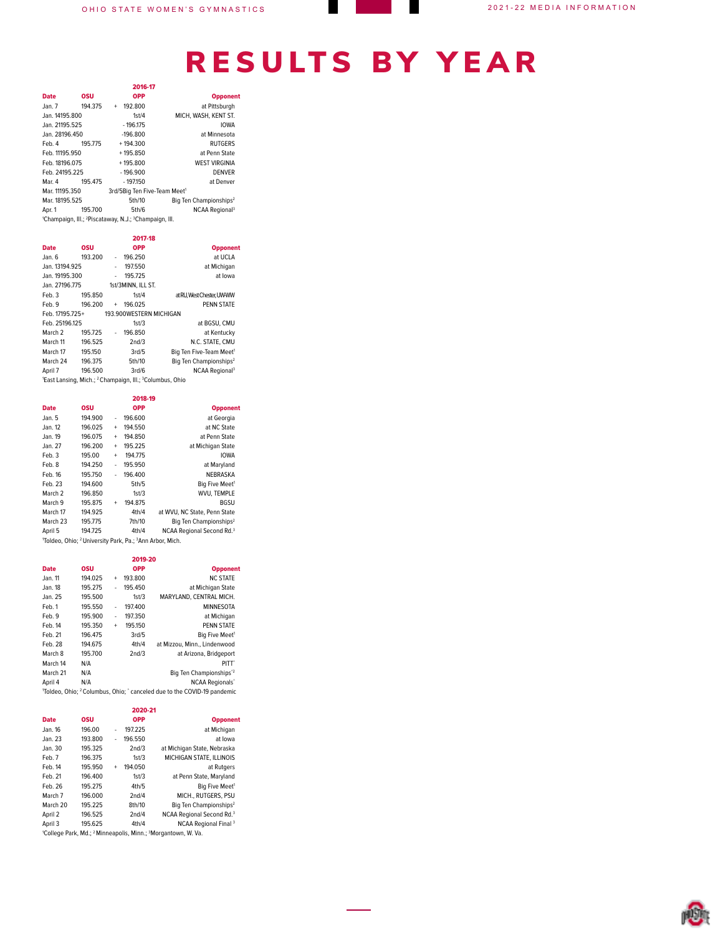|                |         | 2016-17                                                                                   |                                    |
|----------------|---------|-------------------------------------------------------------------------------------------|------------------------------------|
| <b>Date</b>    | osu     | <b>OPP</b>                                                                                | <b>Opponent</b>                    |
| Jan.7          | 194.375 | 192.800<br>$+$                                                                            | at Pittsburgh                      |
| Jan. 14195.800 |         | 1st/4                                                                                     | MICH. WASH. KENT ST.               |
| Jan. 21195.525 |         | $-196.175$                                                                                | <b>IOWA</b>                        |
| Jan. 28196.450 |         | $-196.800$                                                                                | at Minnesota                       |
| Feb. 4         | 195.775 | $+194.300$                                                                                | <b>RUTGERS</b>                     |
| Feb. 11195.950 |         | $+195.850$                                                                                | at Penn State                      |
| Feb. 18196.075 |         | $+195.800$                                                                                | <b>WEST VIRGINIA</b>               |
| Feb. 24195.225 |         | $-196.900$                                                                                | <b>DENVER</b>                      |
| Mar 4          | 195.475 | $-197150$                                                                                 | at Denver                          |
| Mar. 11195.350 |         | 3rd/5Big Ten Five-Team Meet <sup>1</sup>                                                  |                                    |
| Mar. 18195.525 |         | 5th/10                                                                                    | Big Ten Championships <sup>2</sup> |
| Apr. 1         | 195.700 | 5th/6                                                                                     | NCAA Regional <sup>3</sup>         |
|                |         | <sup>1</sup> Champaign, Ill.; <sup>2</sup> Piscataway, N.J.; <sup>3</sup> Champaign, Ill. |                                    |

|                 |            |     | 2017-18                                                                         |                                     |
|-----------------|------------|-----|---------------------------------------------------------------------------------|-------------------------------------|
| <b>Date</b>     | <b>OSU</b> |     | <b>OPP</b>                                                                      | <b>Opponent</b>                     |
| Jan. 6          | 193.200    | ä,  | 196.250                                                                         | at UCLA                             |
| Jan. 13194.925  |            |     | 197.550                                                                         | at Michigan                         |
| Jan. 19195.300  |            | ä,  | 195.725                                                                         | at lowa                             |
| Jan. 27196.775  |            |     | 1st/3MINN. ILL ST.                                                              |                                     |
| Feb. 3          | 195.850    |     | 1st/4                                                                           | at RU, West Chester, UW-WW          |
| Feb. 9          | 196.200    | $+$ | 196.025                                                                         | <b>PENN STATE</b>                   |
| Feb. 17195.725+ |            |     | 193.900WESTERN MICHIGAN                                                         |                                     |
| Feb. 25196.125  |            |     | 1st/3                                                                           | at BGSU, CMU                        |
| March 2         | 195.725    |     | 196.850                                                                         | at Kentucky                         |
| March 11        | 196.525    |     | 2nd/3                                                                           | N.C. STATE, CMU                     |
| March 17        | 195.150    |     | 3rd/5                                                                           | Big Ten Five-Team Meet <sup>1</sup> |
| March 24        | 196.375    |     | 5th/10                                                                          | Big Ten Championships <sup>2</sup>  |
| April 7         | 196.500    |     | 3rd/6                                                                           | NCAA Regional <sup>3</sup>          |
|                 |            |     | 'East Lansing, Mich.; <sup>2</sup> Champaign, Ill.; <sup>3</sup> Columbus, Ohio |                                     |

|                                                                                             |         |     | 2018-19    |                                       |
|---------------------------------------------------------------------------------------------|---------|-----|------------|---------------------------------------|
| <b>Date</b>                                                                                 | osu     |     | <b>OPP</b> | <b>Opponent</b>                       |
| Jan. 5                                                                                      | 194.900 | ä,  | 196.600    | at Georgia                            |
| Jan. 12                                                                                     | 196.025 | $+$ | 194.550    | at NC State                           |
| Jan. 19                                                                                     | 196.075 | $+$ | 194.850    | at Penn State                         |
| Jan. 27                                                                                     | 196.200 | $+$ | 195.225    | at Michigan State                     |
| Feb. 3                                                                                      | 195.00  | $+$ | 194.775    | <b>IOWA</b>                           |
| Feb. 8                                                                                      | 194.250 | ä,  | 195.950    | at Maryland                           |
| Feb. 16                                                                                     | 195.750 |     | 196.400    | NEBRASKA                              |
| Feb. 23                                                                                     | 194.600 |     | 5th/5      | Big Five Meet <sup>1</sup>            |
| March 2                                                                                     | 196.850 |     | 1st/3      | WVU. TEMPLE                           |
| March 9                                                                                     | 195.875 | $+$ | 194.875    | <b>BGSU</b>                           |
| March 17                                                                                    | 194.925 |     | 4th/4      | at WVU. NC State, Penn State          |
| March 23                                                                                    | 195.775 |     | 7th/10     | Big Ten Championships <sup>2</sup>    |
| April 5                                                                                     | 194.725 |     | 4th/4      | NCAA Regional Second Rd. <sup>3</sup> |
| <sup>1</sup> Toldeo, Ohio; <sup>2</sup> University Park, Pa.; <sup>3</sup> Ann Arbor, Mich. |         |     |            |                                       |

|                                                                                                         |         |           | 2019-20    |                                     |  |
|---------------------------------------------------------------------------------------------------------|---------|-----------|------------|-------------------------------------|--|
| <b>Date</b>                                                                                             | OSU     |           | <b>OPP</b> | <b>Opponent</b>                     |  |
| Jan. 11                                                                                                 | 194.025 | $+$       | 193.800    | <b>NC STATE</b>                     |  |
| Jan. 18                                                                                                 | 195.275 | ٠         | 195.450    | at Michigan State                   |  |
| Jan. 25                                                                                                 | 195.500 |           | 1st/3      | MARYLAND, CENTRAL MICH.             |  |
| Feb. 1                                                                                                  | 195.550 | ä,        | 197.400    | <b>MINNESOTA</b>                    |  |
| Feb. 9                                                                                                  | 195.900 | -         | 197.350    | at Michigan                         |  |
| Feb. 14                                                                                                 | 195.350 | $\ddot{}$ | 195.150    | <b>PENN STATE</b>                   |  |
| Feb. 21                                                                                                 | 196.475 |           | 3rd/5      | Big Five Meet <sup>1</sup>          |  |
| Feb. 28                                                                                                 | 194.675 |           | 4th/4      | at Mizzou, Minn., Lindenwood        |  |
| March 8                                                                                                 | 195.700 |           | 2nd/3      | at Arizona, Bridgeport              |  |
| March 14                                                                                                | N/A     |           |            | PITT <sup>*</sup>                   |  |
| March 21                                                                                                | N/A     |           |            | Big Ten Championships <sup>12</sup> |  |
| April 4                                                                                                 | N/A     |           |            | <b>NCAA Regionals</b> <sup>*</sup>  |  |
| <sup>1</sup> Toldeo, Ohio; <sup>2</sup> Columbus, Ohio; $\hat{ }$ canceled due to the COVID-19 pandemic |         |           |            |                                     |  |

|             |            | 2020-21                                                                                          |                                       |
|-------------|------------|--------------------------------------------------------------------------------------------------|---------------------------------------|
| <b>Date</b> | <b>OSU</b> | <b>OPP</b>                                                                                       | <b>Opponent</b>                       |
| Jan. 16     | 196.00     | 197.225<br>ä,                                                                                    | at Michigan                           |
| Jan. 23     | 193.800    | 196.550<br>ä,                                                                                    | at lowa                               |
| Jan. 30     | 195.325    | 2nd/3                                                                                            | at Michigan State, Nebraska           |
| Feb. 7      | 196.375    | 1st/3                                                                                            | MICHIGAN STATE, ILLINOIS              |
| Feb. 14     | 195.950    | 194.050<br>$+$                                                                                   | at Rutgers                            |
| Feb. 21     | 196.400    | 1st/3                                                                                            | at Penn State, Maryland               |
| Feb. 26     | 195.275    | 4th/5                                                                                            | Big Five Meet <sup>1</sup>            |
| March 7     | 196.000    | 2nd/4                                                                                            | MICH., RUTGERS, PSU                   |
| March 20    | 195.225    | 8th/10                                                                                           | Big Ten Championships <sup>2</sup>    |
| April 2     | 196.525    | 2nd/4                                                                                            | NCAA Regional Second Rd. <sup>3</sup> |
| April 3     | 195.625    | 4th/4                                                                                            | NCAA Regional Final <sup>3</sup>      |
|             |            | <sup>1</sup> College Park, Md.; <sup>2</sup> Minneapolis, Minn.; <sup>3</sup> Morgantown, W. Va. |                                       |